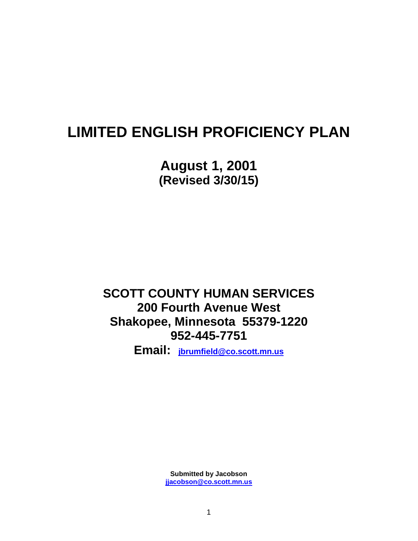# **LIMITED ENGLISH PROFICIENCY PLAN**

**August 1, 2001 (Revised 3/30/15)**

**SCOTT COUNTY HUMAN SERVICES 200 Fourth Avenue West Shakopee, Minnesota 55379-1220 952-445-7751**

**Email: [jbrumfield@co.scott.mn.us](mailto:jbrumfield@co.scott.mn.us)**

**Submitted by Jacobson [jjacobson@co.scott.mn.us](mailto:jjacobson@co.scott.mn.us)**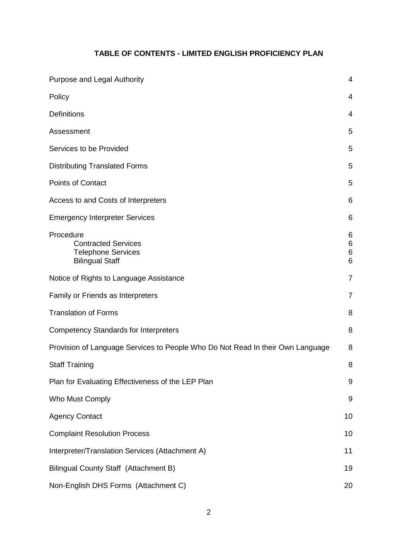### **TABLE OF CONTENTS - LIMITED ENGLISH PROFICIENCY PLAN**

| Purpose and Legal Authority                                                                    | 4                    |
|------------------------------------------------------------------------------------------------|----------------------|
| Policy                                                                                         | $\overline{4}$       |
| <b>Definitions</b>                                                                             | 4                    |
| Assessment                                                                                     | 5                    |
| Services to be Provided                                                                        | 5                    |
| <b>Distributing Translated Forms</b>                                                           | 5                    |
| <b>Points of Contact</b>                                                                       | 5                    |
| Access to and Costs of Interpreters                                                            | 6                    |
| <b>Emergency Interpreter Services</b>                                                          | 6                    |
| Procedure<br><b>Contracted Services</b><br><b>Telephone Services</b><br><b>Bilingual Staff</b> | 6<br>6<br>$\,6$<br>6 |
| Notice of Rights to Language Assistance                                                        | $\overline{7}$       |
| Family or Friends as Interpreters                                                              | 7                    |
| <b>Translation of Forms</b>                                                                    | 8                    |
| <b>Competency Standards for Interpreters</b>                                                   | 8                    |
| Provision of Language Services to People Who Do Not Read In their Own Language                 | 8                    |
| <b>Staff Training</b>                                                                          | 8                    |
| Plan for Evaluating Effectiveness of the LEP Plan                                              | 9                    |
| Who Must Comply                                                                                | 9                    |
| <b>Agency Contact</b>                                                                          | 10                   |
| <b>Complaint Resolution Process</b>                                                            | 10                   |
| Interpreter/Translation Services (Attachment A)                                                | 11                   |
| Bilingual County Staff (Attachment B)                                                          | 19                   |
| Non-English DHS Forms (Attachment C)                                                           | 20                   |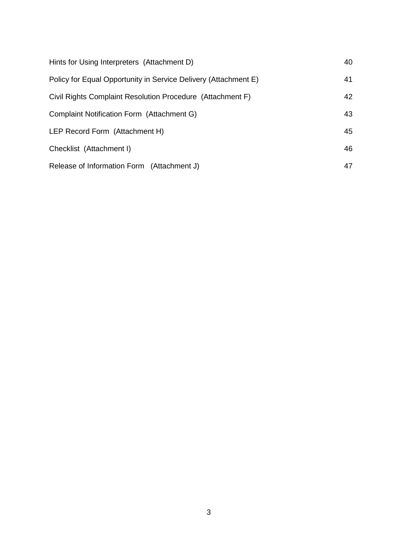| Hints for Using Interpreters (Attachment D)                     | 40 |
|-----------------------------------------------------------------|----|
| Policy for Equal Opportunity in Service Delivery (Attachment E) | 41 |
| Civil Rights Complaint Resolution Procedure (Attachment F)      | 42 |
| Complaint Notification Form (Attachment G)                      | 43 |
| LEP Record Form (Attachment H)                                  | 45 |
| Checklist (Attachment I)                                        | 46 |
| Release of Information Form (Attachment J)                      | 47 |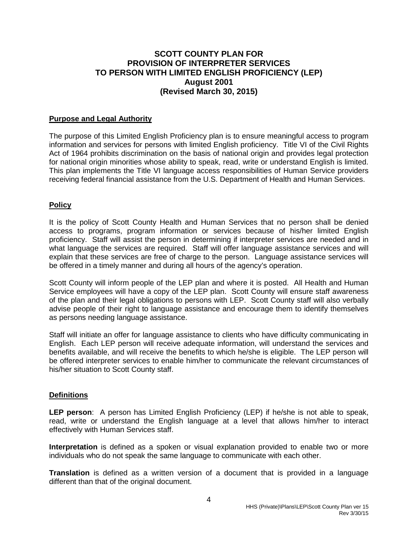### **SCOTT COUNTY PLAN FOR PROVISION OF INTERPRETER SERVICES TO PERSON WITH LIMITED ENGLISH PROFICIENCY (LEP) August 2001 (Revised March 30, 2015)**

#### **Purpose and Legal Authority**

The purpose of this Limited English Proficiency plan is to ensure meaningful access to program information and services for persons with limited English proficiency. Title VI of the Civil Rights Act of 1964 prohibits discrimination on the basis of national origin and provides legal protection for national origin minorities whose ability to speak, read, write or understand English is limited. This plan implements the Title VI language access responsibilities of Human Service providers receiving federal financial assistance from the U.S. Department of Health and Human Services.

#### **Policy**

It is the policy of Scott County Health and Human Services that no person shall be denied access to programs, program information or services because of his/her limited English proficiency. Staff will assist the person in determining if interpreter services are needed and in what language the services are required. Staff will offer language assistance services and will explain that these services are free of charge to the person. Language assistance services will be offered in a timely manner and during all hours of the agency's operation.

Scott County will inform people of the LEP plan and where it is posted. All Health and Human Service employees will have a copy of the LEP plan. Scott County will ensure staff awareness of the plan and their legal obligations to persons with LEP. Scott County staff will also verbally advise people of their right to language assistance and encourage them to identify themselves as persons needing language assistance.

Staff will initiate an offer for language assistance to clients who have difficulty communicating in English. Each LEP person will receive adequate information, will understand the services and benefits available, and will receive the benefits to which he/she is eligible. The LEP person will be offered interpreter services to enable him/her to communicate the relevant circumstances of his/her situation to Scott County staff.

#### **Definitions**

**LEP person**: A person has Limited English Proficiency (LEP) if he/she is not able to speak, read, write or understand the English language at a level that allows him/her to interact effectively with Human Services staff.

**Interpretation** is defined as a spoken or visual explanation provided to enable two or more individuals who do not speak the same language to communicate with each other.

**Translation** is defined as a written version of a document that is provided in a language different than that of the original document.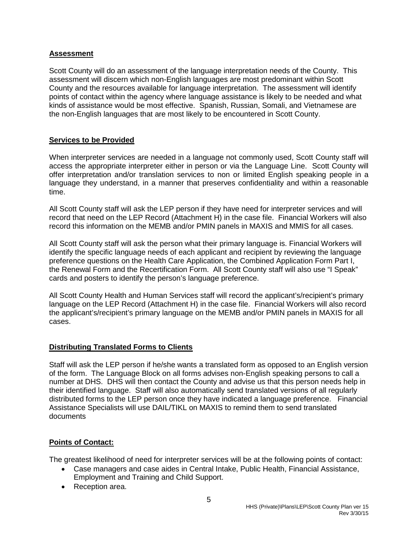#### **Assessment**

Scott County will do an assessment of the language interpretation needs of the County. This assessment will discern which non-English languages are most predominant within Scott County and the resources available for language interpretation. The assessment will identify points of contact within the agency where language assistance is likely to be needed and what kinds of assistance would be most effective. Spanish, Russian, Somali, and Vietnamese are the non-English languages that are most likely to be encountered in Scott County.

#### **Services to be Provided**

When interpreter services are needed in a language not commonly used, Scott County staff will access the appropriate interpreter either in person or via the Language Line. Scott County will offer interpretation and/or translation services to non or limited English speaking people in a language they understand, in a manner that preserves confidentiality and within a reasonable time.

All Scott County staff will ask the LEP person if they have need for interpreter services and will record that need on the LEP Record (Attachment H) in the case file. Financial Workers will also record this information on the MEMB and/or PMIN panels in MAXIS and MMIS for all cases.

All Scott County staff will ask the person what their primary language is. Financial Workers will identify the specific language needs of each applicant and recipient by reviewing the language preference questions on the Health Care Application, the Combined Application Form Part I, the Renewal Form and the Recertification Form. All Scott County staff will also use "I Speak" cards and posters to identify the person's language preference.

All Scott County Health and Human Services staff will record the applicant's/recipient's primary language on the LEP Record (Attachment H) in the case file. Financial Workers will also record the applicant's/recipient's primary language on the MEMB and/or PMIN panels in MAXIS for all cases.

### **Distributing Translated Forms to Clients**

Staff will ask the LEP person if he/she wants a translated form as opposed to an English version of the form. The Language Block on all forms advises non-English speaking persons to call a number at DHS. DHS will then contact the County and advise us that this person needs help in their identified language. Staff will also automatically send translated versions of all regularly distributed forms to the LEP person once they have indicated a language preference. Financial Assistance Specialists will use DAIL/TIKL on MAXIS to remind them to send translated documents

### **Points of Contact:**

The greatest likelihood of need for interpreter services will be at the following points of contact:

- Case managers and case aides in Central Intake, Public Health, Financial Assistance, Employment and Training and Child Support.
- Reception area.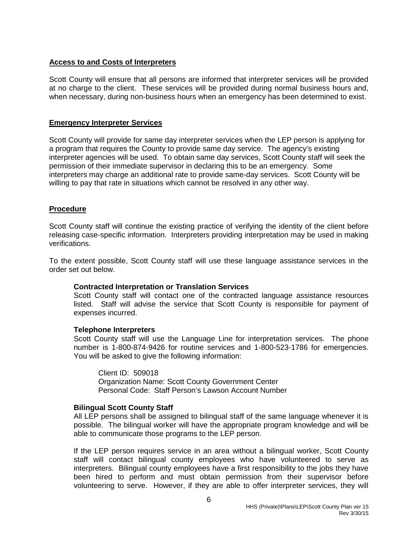#### **Access to and Costs of Interpreters**

Scott County will ensure that all persons are informed that interpreter services will be provided at no charge to the client. These services will be provided during normal business hours and, when necessary, during non-business hours when an emergency has been determined to exist.

#### **Emergency Interpreter Services**

Scott County will provide for same day interpreter services when the LEP person is applying for a program that requires the County to provide same day service. The agency's existing interpreter agencies will be used. To obtain same day services, Scott County staff will seek the permission of their immediate supervisor in declaring this to be an emergency. Some interpreters may charge an additional rate to provide same-day services. Scott County will be willing to pay that rate in situations which cannot be resolved in any other way.

#### **Procedure**

Scott County staff will continue the existing practice of verifying the identity of the client before releasing case-specific information. Interpreters providing interpretation may be used in making verifications.

To the extent possible, Scott County staff will use these language assistance services in the order set out below.

#### **Contracted Interpretation or Translation Services**

Scott County staff will contact one of the contracted language assistance resources listed. Staff will advise the service that Scott County is responsible for payment of expenses incurred.

#### **Telephone Interpreters**

Scott County staff will use the Language Line for interpretation services. The phone number is 1-800-874-9426 for routine services and 1-800-523-1786 for emergencies. You will be asked to give the following information:

Client ID: 509018 Organization Name: Scott County Government Center Personal Code: Staff Person's Lawson Account Number

#### **Bilingual Scott County Staff**

All LEP persons shall be assigned to bilingual staff of the same language whenever it is possible. The bilingual worker will have the appropriate program knowledge and will be able to communicate those programs to the LEP person.

If the LEP person requires service in an area without a bilingual worker, Scott County staff will contact bilingual county employees who have volunteered to serve as interpreters. Bilingual county employees have a first responsibility to the jobs they have been hired to perform and must obtain permission from their supervisor before volunteering to serve. However, if they are able to offer interpreter services, they will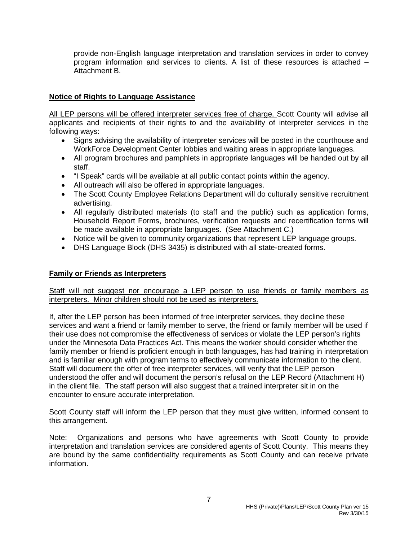provide non-English language interpretation and translation services in order to convey program information and services to clients. A list of these resources is attached – Attachment B.

#### **Notice of Rights to Language Assistance**

All LEP persons will be offered interpreter services free of charge. Scott County will advise all applicants and recipients of their rights to and the availability of interpreter services in the following ways:

- Signs advising the availability of interpreter services will be posted in the courthouse and WorkForce Development Center lobbies and waiting areas in appropriate languages.
- All program brochures and pamphlets in appropriate languages will be handed out by all staff.
- "I Speak" cards will be available at all public contact points within the agency.
- All outreach will also be offered in appropriate languages.
- The Scott County Employee Relations Department will do culturally sensitive recruitment advertising.
- All regularly distributed materials (to staff and the public) such as application forms, Household Report Forms, brochures, verification requests and recertification forms will be made available in appropriate languages. (See Attachment C.)
- Notice will be given to community organizations that represent LEP language groups.
- DHS Language Block (DHS 3435) is distributed with all state-created forms.

#### **Family or Friends as Interpreters**

Staff will not suggest nor encourage a LEP person to use friends or family members as interpreters. Minor children should not be used as interpreters.

If, after the LEP person has been informed of free interpreter services, they decline these services and want a friend or family member to serve, the friend or family member will be used if their use does not compromise the effectiveness of services or violate the LEP person's rights under the Minnesota Data Practices Act. This means the worker should consider whether the family member or friend is proficient enough in both languages, has had training in interpretation and is familiar enough with program terms to effectively communicate information to the client. Staff will document the offer of free interpreter services, will verify that the LEP person understood the offer and will document the person's refusal on the LEP Record (Attachment H) in the client file. The staff person will also suggest that a trained interpreter sit in on the encounter to ensure accurate interpretation.

Scott County staff will inform the LEP person that they must give written, informed consent to this arrangement.

Note: Organizations and persons who have agreements with Scott County to provide interpretation and translation services are considered agents of Scott County. This means they are bound by the same confidentiality requirements as Scott County and can receive private information.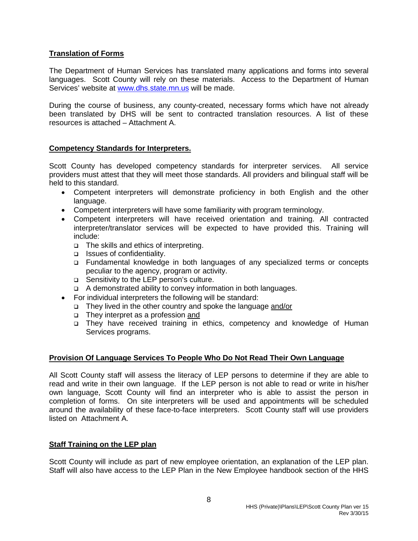#### **Translation of Forms**

The Department of Human Services has translated many applications and forms into several languages. Scott County will rely on these materials. Access to the Department of Human Services' website at [www.dhs.state.mn.us](http://www.dhs.state.mn.us/) will be made.

During the course of business, any county-created, necessary forms which have not already been translated by DHS will be sent to contracted translation resources. A list of these resources is attached – Attachment A.

#### **Competency Standards for Interpreters.**

Scott County has developed competency standards for interpreter services. All service providers must attest that they will meet those standards. All providers and bilingual staff will be held to this standard.

- Competent interpreters will demonstrate proficiency in both English and the other language.
- Competent interpreters will have some familiarity with program terminology.
- Competent interpreters will have received orientation and training. All contracted interpreter/translator services will be expected to have provided this. Training will include:
	- □ The skills and ethics of interpreting.
	- Issues of confidentiality.
	- Fundamental knowledge in both languages of any specialized terms or concepts peculiar to the agency, program or activity.
	- □ Sensitivity to the LEP person's culture.
	- A demonstrated ability to convey information in both languages.
- For individual interpreters the following will be standard:
	- They lived in the other country and spoke the language and/or
	- □ They interpret as a profession and
	- □ They have received training in ethics, competency and knowledge of Human Services programs.

#### **Provision Of Language Services To People Who Do Not Read Their Own Language**

All Scott County staff will assess the literacy of LEP persons to determine if they are able to read and write in their own language. If the LEP person is not able to read or write in his/her own language, Scott County will find an interpreter who is able to assist the person in completion of forms. On site interpreters will be used and appointments will be scheduled around the availability of these face-to-face interpreters. Scott County staff will use providers listed on Attachment A.

#### **Staff Training on the LEP plan**

Scott County will include as part of new employee orientation, an explanation of the LEP plan. Staff will also have access to the LEP Plan in the New Employee handbook section of the HHS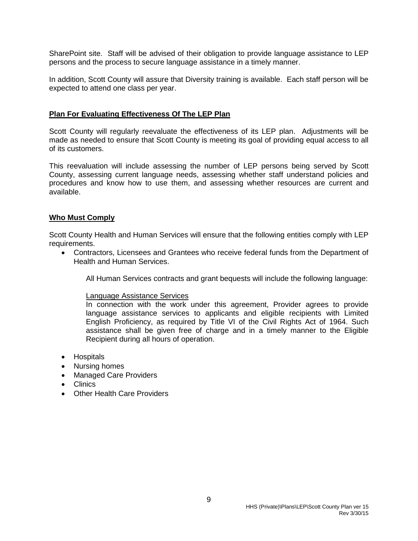SharePoint site. Staff will be advised of their obligation to provide language assistance to LEP persons and the process to secure language assistance in a timely manner.

In addition, Scott County will assure that Diversity training is available. Each staff person will be expected to attend one class per year.

#### **Plan For Evaluating Effectiveness Of The LEP Plan**

Scott County will regularly reevaluate the effectiveness of its LEP plan. Adjustments will be made as needed to ensure that Scott County is meeting its goal of providing equal access to all of its customers.

This reevaluation will include assessing the number of LEP persons being served by Scott County, assessing current language needs, assessing whether staff understand policies and procedures and know how to use them, and assessing whether resources are current and available.

#### **Who Must Comply**

Scott County Health and Human Services will ensure that the following entities comply with LEP requirements.

• Contractors, Licensees and Grantees who receive federal funds from the Department of Health and Human Services.

All Human Services contracts and grant bequests will include the following language:

#### Language Assistance Services

In connection with the work under this agreement, Provider agrees to provide language assistance services to applicants and eligible recipients with Limited English Proficiency, as required by Title VI of the Civil Rights Act of 1964. Such assistance shall be given free of charge and in a timely manner to the Eligible Recipient during all hours of operation.

- Hospitals
- Nursing homes
- Managed Care Providers
- Clinics
- Other Health Care Providers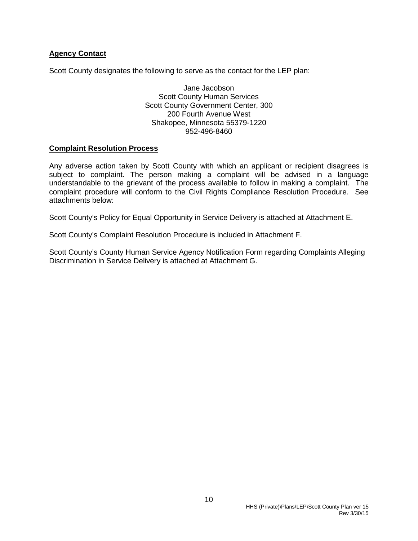#### **Agency Contact**

Scott County designates the following to serve as the contact for the LEP plan:

Jane Jacobson Scott County Human Services Scott County Government Center, 300 200 Fourth Avenue West Shakopee, Minnesota 55379-1220 952-496-8460

#### **Complaint Resolution Process**

Any adverse action taken by Scott County with which an applicant or recipient disagrees is subject to complaint. The person making a complaint will be advised in a language understandable to the grievant of the process available to follow in making a complaint. The complaint procedure will conform to the Civil Rights Compliance Resolution Procedure. See attachments below:

Scott County's Policy for Equal Opportunity in Service Delivery is attached at Attachment E.

Scott County's Complaint Resolution Procedure is included in Attachment F.

Scott County's County Human Service Agency Notification Form regarding Complaints Alleging Discrimination in Service Delivery is attached at Attachment G.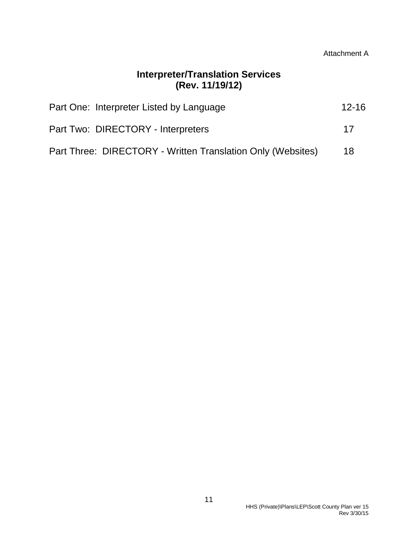## **Interpreter/Translation Services (Rev. 11/19/12)**

| Part One: Interpreter Listed by Language                    | $12 - 16$ |
|-------------------------------------------------------------|-----------|
| Part Two: DIRECTORY - Interpreters                          | 17        |
| Part Three: DIRECTORY - Written Translation Only (Websites) | 18        |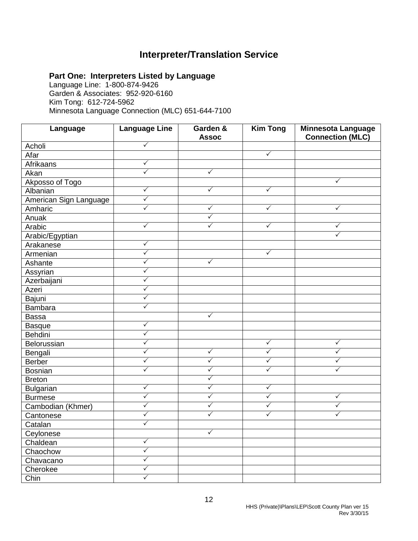## **Interpreter/Translation Service**

### **Part One: Interpreters Listed by Language**

Language Line: 1-800-874-9426 Garden & Associates: 952-920-6160 Kim Tong: 612-724-5962 Minnesota Language Connection (MLC) 651-644-7100

| Language               | <b>Language Line</b> | Garden &<br><b>Assoc</b> | <b>Kim Tong</b> | <b>Minnesota Language</b><br><b>Connection (MLC)</b> |
|------------------------|----------------------|--------------------------|-----------------|------------------------------------------------------|
| Acholi                 | $\checkmark$         |                          |                 |                                                      |
| Afar                   |                      |                          | $\checkmark$    |                                                      |
| Afrikaans              | $\checkmark$         |                          |                 |                                                      |
| Akan                   | $\checkmark$         | ✓                        |                 |                                                      |
| Akposso of Togo        |                      |                          |                 | $\checkmark$                                         |
| Albanian               | $\checkmark$         | $\checkmark$             | $\checkmark$    |                                                      |
| American Sign Language | $\checkmark$         |                          |                 |                                                      |
| Amharic                | $\checkmark$         | $\checkmark$             | $\checkmark$    | $\checkmark$                                         |
| Anuak                  |                      | $\checkmark$             |                 |                                                      |
| Arabic                 | $\checkmark$         | $\checkmark$             | $\checkmark$    | $\checkmark$                                         |
| Arabic/Egyptian        |                      |                          |                 | ✓                                                    |
| Arakanese              | $\checkmark$         |                          |                 |                                                      |
| Armenian               | $\checkmark$         |                          | $\checkmark$    |                                                      |
| Ashante                | $\checkmark$         | $\checkmark$             |                 |                                                      |
| Assyrian               | $\checkmark$         |                          |                 |                                                      |
| Azerbaijani            | $\checkmark$         |                          |                 |                                                      |
| Azeri                  | $\checkmark$         |                          |                 |                                                      |
| Bajuni                 | $\checkmark$         |                          |                 |                                                      |
| Bambara                | $\checkmark$         |                          |                 |                                                      |
| <b>Bassa</b>           |                      | ✓                        |                 |                                                      |
| Basque                 | $\checkmark$         |                          |                 |                                                      |
| Behdini                | $\checkmark$         |                          |                 |                                                      |
| Belorussian            | $\checkmark$         |                          | $\checkmark$    | $\checkmark$                                         |
| Bengali                | $\checkmark$         | $\checkmark$             | $\checkmark$    | ✓                                                    |
| <b>Berber</b>          | $\checkmark$         | $\checkmark$             | $\checkmark$    | ✓                                                    |
| Bosnian                | $\sqrt{}$            | $\checkmark$             | $\checkmark$    | ✓                                                    |
| <b>Breton</b>          |                      | $\checkmark$             |                 |                                                      |
| <b>Bulgarian</b>       | $\checkmark$         | $\checkmark$             | $\checkmark$    |                                                      |
| <b>Burmese</b>         | $\checkmark$         | $\checkmark$             | $\checkmark$    | $\checkmark$                                         |
| Cambodian (Khmer)      | $\checkmark$         | $\checkmark$             | $\checkmark$    | ✓                                                    |
| Cantonese              | $\checkmark$         | $\checkmark$             | ✓               | $\checkmark$                                         |
| Catalan                | ✓                    |                          |                 |                                                      |
| Ceylonese              |                      | $\checkmark$             |                 |                                                      |
| Chaldean               | $\checkmark$         |                          |                 |                                                      |
| Chaochow               | $\checkmark$         |                          |                 |                                                      |
| Chavacano              | $\checkmark$         |                          |                 |                                                      |
| Cherokee               | $\checkmark$         |                          |                 |                                                      |
| Chin                   | $\checkmark$         |                          |                 |                                                      |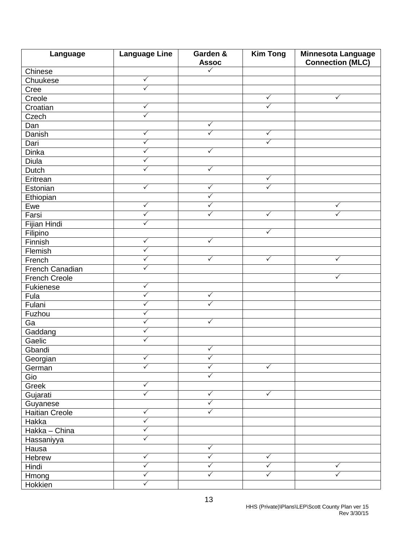| Language               | <b>Language Line</b> | Garden &          | <b>Kim Tong</b>         | <b>Minnesota Language</b> |
|------------------------|----------------------|-------------------|-------------------------|---------------------------|
|                        |                      | <b>Assoc</b><br>✓ |                         | <b>Connection (MLC)</b>   |
| Chinese                | $\checkmark$         |                   |                         |                           |
| Chuukese               | $\checkmark$         |                   |                         |                           |
| Cree                   |                      |                   | $\checkmark$            |                           |
| Creole                 | $\checkmark$         |                   | $\overline{\checkmark}$ | $\checkmark$              |
| Croatian               |                      |                   |                         |                           |
| Czech                  | $\checkmark$         |                   |                         |                           |
| Dan                    |                      | $\checkmark$      |                         |                           |
| Danish                 | $\checkmark$         | $\checkmark$      | $\checkmark$            |                           |
| Dari                   | $\checkmark$         |                   | $\checkmark$            |                           |
| <b>Dinka</b>           | ✓                    | $\checkmark$      |                         |                           |
| Diula                  | $\checkmark$         |                   |                         |                           |
| Dutch                  | $\checkmark$         | $\checkmark$      |                         |                           |
| Eritrean               |                      |                   | $\checkmark$            |                           |
| Estonian               | $\checkmark$         | $\checkmark$      | $\checkmark$            |                           |
| Ethiopian              |                      | $\checkmark$      |                         |                           |
| Ewe                    | $\checkmark$         | ✓                 |                         | ✓                         |
| Farsi                  | $\checkmark$         | ✓                 | $\checkmark$            | $\checkmark$              |
| Fijian Hindi           | $\checkmark$         |                   |                         |                           |
| Filipino               |                      |                   | $\checkmark$            |                           |
| Finnish                | $\checkmark$         | $\checkmark$      |                         |                           |
| Flemish                | $\checkmark$         |                   |                         |                           |
| French                 | ✓                    | ✓                 | $\checkmark$            | $\checkmark$              |
| <b>French Canadian</b> | $\checkmark$         |                   |                         |                           |
| <b>French Creole</b>   |                      |                   |                         | $\checkmark$              |
| Fukienese              | $\checkmark$         |                   |                         |                           |
| Fula                   | $\checkmark$         | $\checkmark$      |                         |                           |
| Fulani                 | ✓                    | $\checkmark$      |                         |                           |
| Fuzhou                 | $\checkmark$         |                   |                         |                           |
| Ga                     | $\checkmark$         | $\checkmark$      |                         |                           |
| Gaddang                | $\checkmark$         |                   |                         |                           |
| Gaelic                 | $\checkmark$         |                   |                         |                           |
| Gbandi                 |                      | $\checkmark$      |                         |                           |
| Georgian               | $\checkmark$         | $\checkmark$      |                         |                           |
| German                 | $\checkmark$         | $\checkmark$      | $\sqrt{}$               |                           |
| Gio                    |                      | $\checkmark$      |                         |                           |
| Greek                  | $\checkmark$         |                   |                         |                           |
| Gujarati               | ✓                    | ✓                 | $\checkmark$            |                           |
| Guyanese               |                      | $\checkmark$      |                         |                           |
| <b>Haitian Creole</b>  | $\sqrt{}$            | $\checkmark$      |                         |                           |
| Hakka                  | $\checkmark$         |                   |                         |                           |
| Hakka - China          | $\checkmark$         |                   |                         |                           |
| Hassaniyya             | $\checkmark$         |                   |                         |                           |
|                        |                      | $\checkmark$      |                         |                           |
| Hausa                  | $\checkmark$         | $\checkmark$      | $\checkmark$            |                           |
| Hebrew                 | $\checkmark$         | $\checkmark$      | $\checkmark$            | $\checkmark$              |
| Hindi                  | $\checkmark$         | $\checkmark$      | $\checkmark$            | $\checkmark$              |
| Hmong                  | $\checkmark$         |                   |                         |                           |
| Hokkien                |                      |                   |                         |                           |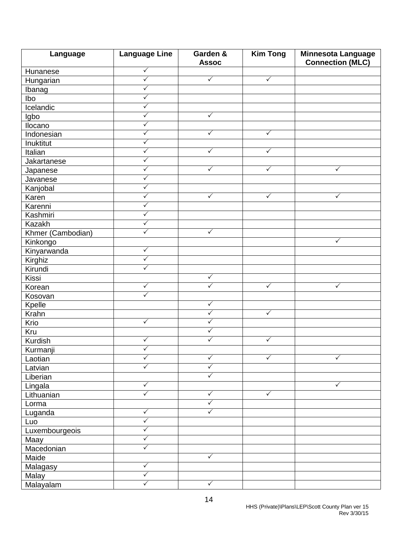| Language          | <b>Language Line</b> | Garden &<br><b>Assoc</b> | <b>Kim Tong</b> | <b>Minnesota Language</b><br><b>Connection (MLC)</b> |
|-------------------|----------------------|--------------------------|-----------------|------------------------------------------------------|
| Hunanese          | $\checkmark$         |                          |                 |                                                      |
| Hungarian         | $\checkmark$         | $\checkmark$             | $\checkmark$    |                                                      |
| Ibanag            | $\checkmark$         |                          |                 |                                                      |
| Ibo               | $\checkmark$         |                          |                 |                                                      |
| Icelandic         | $\checkmark$         |                          |                 |                                                      |
| Igbo              | $\checkmark$         | $\checkmark$             |                 |                                                      |
| Ilocano           | $\checkmark$         |                          |                 |                                                      |
| Indonesian        | $\checkmark$         | $\checkmark$             | $\sqrt{}$       |                                                      |
| Inuktitut         | $\checkmark$         |                          |                 |                                                      |
| Italian           | $\checkmark$         | $\checkmark$             | $\checkmark$    |                                                      |
| Jakartanese       | $\checkmark$         |                          |                 |                                                      |
| Japanese          | $\checkmark$         | $\checkmark$             | $\checkmark$    | $\checkmark$                                         |
| Javanese          | $\checkmark$         |                          |                 |                                                      |
| Kanjobal          | $\checkmark$         |                          |                 |                                                      |
| Karen             | $\sqrt{}$            | $\checkmark$             | $\checkmark$    | $\checkmark$                                         |
| Karenni           | $\checkmark$         |                          |                 |                                                      |
| Kashmiri          | $\checkmark$         |                          |                 |                                                      |
| Kazakh            | $\checkmark$         |                          |                 |                                                      |
| Khmer (Cambodian) | $\checkmark$         | $\sqrt{}$                |                 |                                                      |
| Kinkongo          |                      |                          |                 | $\checkmark$                                         |
| Kinyarwanda       | $\checkmark$         |                          |                 |                                                      |
| Kirghiz           | $\checkmark$         |                          |                 |                                                      |
| Kirundi           | $\checkmark$         |                          |                 |                                                      |
| Kissi             |                      | $\checkmark$             |                 |                                                      |
| Korean            | $\checkmark$         | $\checkmark$             | $\sqrt{}$       | $\checkmark$                                         |
| Kosovan           | $\checkmark$         |                          |                 |                                                      |
| Kpelle            |                      | $\checkmark$             |                 |                                                      |
| Krahn             |                      | $\checkmark$             | $\checkmark$    |                                                      |
| Krio              | $\checkmark$         | $\checkmark$             |                 |                                                      |
| Kru               |                      | $\checkmark$             |                 |                                                      |
| <b>Kurdish</b>    | $\checkmark$         | $\checkmark$             | $\checkmark$    |                                                      |
| Kurmanji          | $\checkmark$         |                          |                 |                                                      |
| Laotian           | $\checkmark$         | $\checkmark$             | $\checkmark$    | $\sqrt{}$                                            |
| Latvian           | $\checkmark$         | $\checkmark$             |                 |                                                      |
| Liberian          |                      | $\checkmark$             |                 |                                                      |
| Lingala           | $\checkmark$         |                          |                 | $\sqrt{}$                                            |
| Lithuanian        | $\checkmark$         | $\checkmark$             | $\checkmark$    |                                                      |
| Lorma             |                      | $\checkmark$             |                 |                                                      |
| Luganda           | $\checkmark$         | $\checkmark$             |                 |                                                      |
| Luo               | $\checkmark$         |                          |                 |                                                      |
| Luxembourgeois    | $\checkmark$         |                          |                 |                                                      |
| Maay              | $\checkmark$         |                          |                 |                                                      |
| Macedonian        | $\checkmark$         |                          |                 |                                                      |
| Maide             |                      | $\checkmark$             |                 |                                                      |
| Malagasy          | $\sqrt{}$            |                          |                 |                                                      |
| Malay             | $\checkmark$         |                          |                 |                                                      |
|                   | $\checkmark$         | $\checkmark$             |                 |                                                      |
| Malayalam         |                      |                          |                 |                                                      |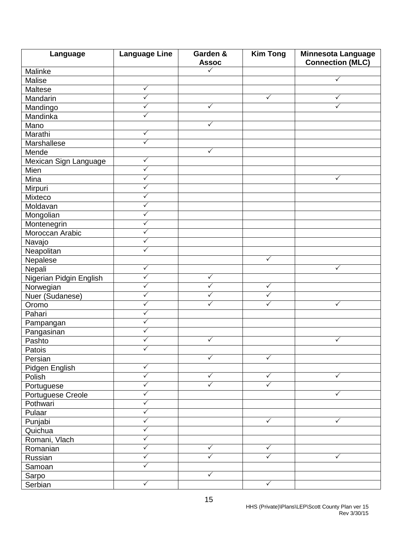| Language                      | <b>Language Line</b> | Garden &<br><b>Assoc</b> | <b>Kim Tong</b> | Minnesota Language<br><b>Connection (MLC)</b> |  |
|-------------------------------|----------------------|--------------------------|-----------------|-----------------------------------------------|--|
| Malinke                       |                      | ✓                        |                 |                                               |  |
| Malise                        |                      |                          |                 | $\checkmark$                                  |  |
| Maltese                       | $\checkmark$         |                          |                 |                                               |  |
| Mandarin                      | $\checkmark$         |                          | $\checkmark$    | ✓                                             |  |
| Mandingo                      | $\checkmark$         | $\checkmark$             |                 | $\checkmark$                                  |  |
| Mandinka                      | $\checkmark$         |                          |                 |                                               |  |
| Mano                          |                      | $\checkmark$             |                 |                                               |  |
| Marathi                       | $\checkmark$         |                          |                 |                                               |  |
| Marshallese                   | $\checkmark$         |                          |                 |                                               |  |
| Mende                         |                      | $\checkmark$             |                 |                                               |  |
|                               | ✓                    |                          |                 |                                               |  |
| Mexican Sign Language<br>Mien | $\checkmark$         |                          |                 |                                               |  |
| Mina                          | $\checkmark$         |                          |                 | $\sqrt{}$                                     |  |
|                               | $\sqrt{}$            |                          |                 |                                               |  |
| Mirpuri                       | $\checkmark$         |                          |                 |                                               |  |
| Mixteco                       |                      |                          |                 |                                               |  |
| Moldavan                      | ✓<br>$\checkmark$    |                          |                 |                                               |  |
| Mongolian                     | $\checkmark$         |                          |                 |                                               |  |
| Montenegrin                   |                      |                          |                 |                                               |  |
| Moroccan Arabic               | $\checkmark$         |                          |                 |                                               |  |
| Navajo                        | $\checkmark$         |                          |                 |                                               |  |
| Neapolitan                    | $\checkmark$         |                          |                 |                                               |  |
| Nepalese                      |                      |                          | $\checkmark$    |                                               |  |
| Nepali                        | $\checkmark$         |                          |                 | $\checkmark$                                  |  |
| Nigerian Pidgin English       | $\checkmark$         | $\checkmark$             |                 |                                               |  |
| Norwegian                     | $\checkmark$         | ✓                        | $\checkmark$    |                                               |  |
| Nuer (Sudanese)               | $\sqrt{}$            | ✓                        | $\checkmark$    |                                               |  |
| Oromo                         | $\checkmark$         | ✓                        | ✓               | $\checkmark$                                  |  |
| Pahari                        | $\checkmark$         |                          |                 |                                               |  |
| Pampangan                     | $\checkmark$         |                          |                 |                                               |  |
| Pangasinan                    | $\checkmark$         |                          |                 |                                               |  |
| Pashto                        | $\checkmark$         | $\checkmark$             |                 | $\checkmark$                                  |  |
| Patois                        | ✓                    |                          |                 |                                               |  |
| Persian                       |                      | $\checkmark$             | $\checkmark$    |                                               |  |
| Pidgen English                | $\checkmark$         |                          |                 |                                               |  |
| Polish                        | $\checkmark$         | ✓                        | $\checkmark$    | $\checkmark$                                  |  |
| Portuguese                    | ✓                    | $\checkmark$             | $\checkmark$    |                                               |  |
| Portuguese Creole             | ✓                    |                          |                 | ✓                                             |  |
| Pothwari                      | $\checkmark$         |                          |                 |                                               |  |
| Pulaar                        | $\checkmark$         |                          |                 |                                               |  |
| Punjabi                       | $\checkmark$         |                          | $\sqrt{}$       | $\checkmark$                                  |  |
| Quichua                       | $\checkmark$         |                          |                 |                                               |  |
| Romani, Vlach                 | $\checkmark$         |                          |                 |                                               |  |
| Romanian                      | $\checkmark$         | ✓                        | $\checkmark$    |                                               |  |
| Russian                       | $\checkmark$         | $\sqrt{}$                | $\sqrt{}$       | $\checkmark$                                  |  |
| Samoan                        | $\checkmark$         |                          |                 |                                               |  |
| Sarpo                         |                      | $\checkmark$             |                 |                                               |  |
| Serbian                       | $\checkmark$         |                          | $\checkmark$    |                                               |  |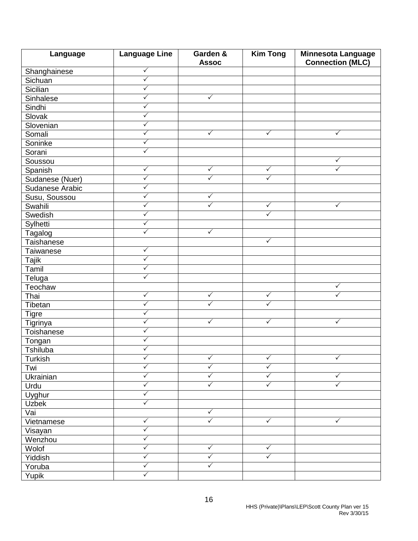| Language         | <b>Language Line</b> | Garden &<br><b>Assoc</b> | <b>Kim Tong</b> | Minnesota Language<br><b>Connection (MLC)</b> |
|------------------|----------------------|--------------------------|-----------------|-----------------------------------------------|
| Shanghainese     | ✓                    |                          |                 |                                               |
| Sichuan          | $\checkmark$         |                          |                 |                                               |
| Sicilian         | $\checkmark$         |                          |                 |                                               |
| Sinhalese        | $\checkmark$         | $\checkmark$             |                 |                                               |
| Sindhi           | $\checkmark$         |                          |                 |                                               |
| Slovak           | $\checkmark$         |                          |                 |                                               |
| Slovenian        | $\checkmark$         |                          |                 |                                               |
| Somali           | $\checkmark$         | $\checkmark$             | $\checkmark$    | $\checkmark$                                  |
| Soninke          | ✓                    |                          |                 |                                               |
| Sorani           | $\checkmark$         |                          |                 |                                               |
| Soussou          |                      |                          |                 | ✓                                             |
| Spanish          | $\checkmark$         | $\checkmark$             | $\checkmark$    | $\checkmark$                                  |
| Sudanese (Nuer)  | $\checkmark$         | $\checkmark$             | $\checkmark$    |                                               |
| Sudanese Arabic  | $\checkmark$         |                          |                 |                                               |
| Susu, Soussou    | ✓                    | $\checkmark$             |                 |                                               |
| Swahili          | $\checkmark$         | ✓                        | $\checkmark$    | $\checkmark$                                  |
| Swedish          | $\checkmark$         |                          | $\checkmark$    |                                               |
| Sylhetti         | $\checkmark$         |                          |                 |                                               |
| Tagalog          | ✓                    | $\checkmark$             |                 |                                               |
| Taishanese       |                      |                          | $\checkmark$    |                                               |
| Taiwanese        | $\checkmark$         |                          |                 |                                               |
| <b>Tajik</b>     | ✓                    |                          |                 |                                               |
| Tamil            | $\checkmark$         |                          |                 |                                               |
| Teluga           | $\checkmark$         |                          |                 |                                               |
| Teochaw          |                      |                          |                 | ✓                                             |
| Thai             | $\checkmark$         | $\checkmark$             | $\checkmark$    | ✓                                             |
| Tibetan          | $\checkmark$         | ✓                        | $\checkmark$    |                                               |
| <b>Tigre</b>     | $\checkmark$         |                          |                 |                                               |
| Tigrinya         | $\checkmark$         | $\checkmark$             | $\checkmark$    | $\checkmark$                                  |
| Toishanese       | $\checkmark$         |                          |                 |                                               |
| Tongan           | $\checkmark$         |                          |                 |                                               |
| Tshiluba         | $\checkmark$         |                          |                 |                                               |
| Turkish          | $\checkmark$         | $\checkmark$             | $\checkmark$    | $\checkmark$                                  |
| Twi              | $\checkmark$         | $\checkmark$             | $\checkmark$    |                                               |
| <b>Ukrainian</b> | $\checkmark$         | $\checkmark$             | $\checkmark$    | $\checkmark$                                  |
| Urdu             | $\checkmark$         | $\checkmark$             | $\checkmark$    | $\checkmark$                                  |
| Uyghur           | $\checkmark$         |                          |                 |                                               |
| Uzbek            | $\checkmark$         |                          |                 |                                               |
| Vai              |                      | $\checkmark$             |                 |                                               |
| Vietnamese       | $\checkmark$         | $\checkmark$             | $\sqrt{}$       | $\checkmark$                                  |
| Visayan          | $\checkmark$         |                          |                 |                                               |
| Wenzhou          | $\checkmark$         |                          |                 |                                               |
| Wolof            | $\checkmark$         | $\checkmark$             | $\checkmark$    |                                               |
| Yiddish          | $\checkmark$         | $\checkmark$             | $\checkmark$    |                                               |
| Yoruba           | $\checkmark$         | $\checkmark$             |                 |                                               |
|                  | $\checkmark$         |                          |                 |                                               |
| Yupik            |                      |                          |                 |                                               |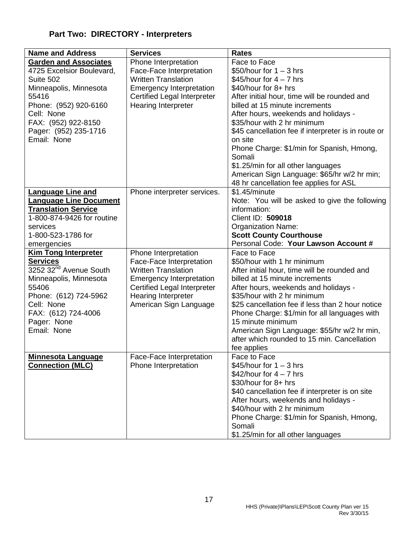## **Part Two: DIRECTORY - Interpreters**

| <b>Name and Address</b>            | <b>Services</b>                    | <b>Rates</b>                                        |
|------------------------------------|------------------------------------|-----------------------------------------------------|
| <b>Garden and Associates</b>       | Phone Interpretation               | Face to Face                                        |
| 4725 Excelsior Boulevard,          | Face-Face Interpretation           | \$50/hour for $1 - 3$ hrs                           |
| Suite 502                          | <b>Written Translation</b>         | \$45/hour for $4 - 7$ hrs                           |
| Minneapolis, Minnesota             | <b>Emergency Interpretation</b>    | \$40/hour for 8+ hrs                                |
| 55416                              | <b>Certified Legal Interpreter</b> | After initial hour, time will be rounded and        |
| Phone: (952) 920-6160              | Hearing Interpreter                | billed at 15 minute increments                      |
| Cell: None                         |                                    | After hours, weekends and holidays -                |
| FAX: (952) 922-8150                |                                    | \$35/hour with 2 hr minimum                         |
| Pager: (952) 235-1716              |                                    | \$45 cancellation fee if interpreter is in route or |
| Email: None                        |                                    | on site                                             |
|                                    |                                    | Phone Charge: \$1/min for Spanish, Hmong,           |
|                                    |                                    | Somali                                              |
|                                    |                                    | \$1.25/min for all other languages                  |
|                                    |                                    | American Sign Language: \$65/hr w/2 hr min;         |
|                                    |                                    | 48 hr cancellation fee applies for ASL              |
| <b>Language Line and</b>           | Phone interpreter services.        | \$1.45/minute                                       |
| <b>Language Line Document</b>      |                                    | Note: You will be asked to give the following       |
| <b>Translation Service</b>         |                                    | information:                                        |
| 1-800-874-9426 for routine         |                                    | Client ID: 509018                                   |
| services                           |                                    | <b>Organization Name:</b>                           |
| 1-800-523-1786 for                 |                                    | <b>Scott County Courthouse</b>                      |
| emergencies                        |                                    | Personal Code: Your Lawson Account #                |
| Kim Tong Interpreter               | Phone Interpretation               | Face to Face                                        |
| <b>Services</b>                    | Face-Face Interpretation           | \$50/hour with 1 hr minimum                         |
| 3252 32 <sup>nd</sup> Avenue South | <b>Written Translation</b>         | After initial hour, time will be rounded and        |
| Minneapolis, Minnesota             | <b>Emergency Interpretation</b>    | billed at 15 minute increments                      |
| 55406                              | <b>Certified Legal Interpreter</b> | After hours, weekends and holidays -                |
| Phone: (612) 724-5962              | Hearing Interpreter                | \$35/hour with 2 hr minimum                         |
| Cell: None                         | American Sign Language             | \$25 cancellation fee if less than 2 hour notice    |
| FAX: (612) 724-4006                |                                    | Phone Charge: \$1/min for all languages with        |
| Pager: None                        |                                    | 15 minute minimum                                   |
| Email: None                        |                                    | American Sign Language: \$55/hr w/2 hr min,         |
|                                    |                                    | after which rounded to 15 min. Cancellation         |
|                                    |                                    | fee applies                                         |
| <b>Minnesota Language</b>          | Face-Face Interpretation           | Face to Face                                        |
| <b>Connection (MLC)</b>            | Phone Interpretation               | \$45/hour for $1 - 3$ hrs                           |
|                                    |                                    | \$42/hour for $4 - 7$ hrs                           |
|                                    |                                    | \$30/hour for 8+ hrs                                |
|                                    |                                    | \$40 cancellation fee if interpreter is on site     |
|                                    |                                    | After hours, weekends and holidays -                |
|                                    |                                    | \$40/hour with 2 hr minimum                         |
|                                    |                                    | Phone Charge: \$1/min for Spanish, Hmong,           |
|                                    |                                    | Somali                                              |
|                                    |                                    | \$1.25/min for all other languages                  |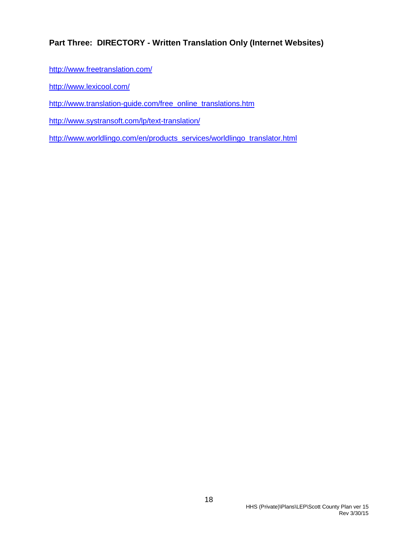## **Part Three: DIRECTORY - Written Translation Only (Internet Websites)**

- <http://www.freetranslation.com/>
- <http://www.lexicool.com/>
- [http://www.translation-guide.com/free\\_online\\_translations.htm](http://www.translation-guide.com/free_online_translations.htm)
- <http://www.systransoft.com/lp/text-translation/>
- [http://www.worldlingo.com/en/products\\_services/worldlingo\\_translator.html](http://www.worldlingo.com/en/products_services/worldlingo_translator.html)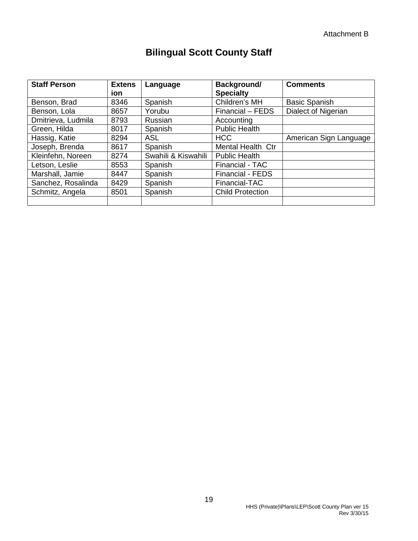## **Bilingual Scott County Staff**

| <b>Staff Person</b> | <b>Extens</b><br>ion | Language            | Background/<br><b>Specialty</b> | <b>Comments</b>        |
|---------------------|----------------------|---------------------|---------------------------------|------------------------|
| Benson, Brad        | 8346                 | Spanish             | Children's MH                   | <b>Basic Spanish</b>   |
| Benson, Lola        | 8657                 | Yorubu              | Financial - FEDS                | Dialect of Nigerian    |
| Dmitrieva, Ludmila  | 8793                 | Russian             | Accounting                      |                        |
| Green, Hilda        | 8017                 | Spanish             | <b>Public Health</b>            |                        |
| Hassig, Katie       | 8294                 | <b>ASL</b>          | <b>HCC</b>                      | American Sign Language |
| Joseph, Brenda      | 8617                 | Spanish             | <b>Mental Health Ctr</b>        |                        |
| Kleinfehn, Noreen   | 8274                 | Swahili & Kiswahili | <b>Public Health</b>            |                        |
| Letson, Leslie      | 8553                 | Spanish             | Financial - TAC                 |                        |
| Marshall, Jamie     | 8447                 | Spanish             | <b>Financial - FEDS</b>         |                        |
| Sanchez, Rosalinda  | 8429                 | Spanish             | Financial-TAC                   |                        |
| Schmitz, Angela     | 8501                 | Spanish             | <b>Child Protection</b>         |                        |
|                     |                      |                     |                                 |                        |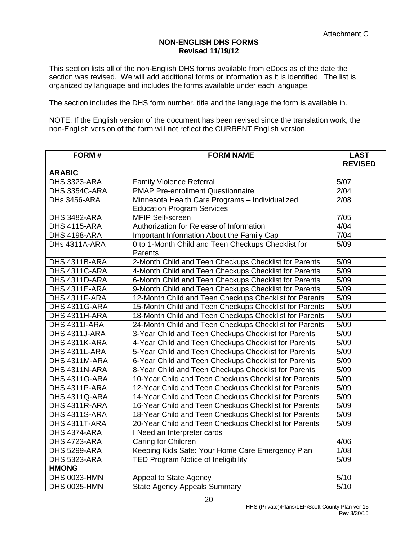#### **NON-ENGLISH DHS FORMS Revised 11/19/12**

This section lists all of the non-English DHS forms available from eDocs as of the date the section was revised. We will add additional forms or information as it is identified. The list is organized by language and includes the forms available under each language.

The section includes the DHS form number, title and the language the form is available in.

NOTE: If the English version of the document has been revised since the translation work, the non-English version of the form will not reflect the CURRENT English version.

| FORM#               | <b>FORM NAME</b>                                              | <b>LAST</b><br><b>REVISED</b> |
|---------------------|---------------------------------------------------------------|-------------------------------|
| <b>ARABIC</b>       |                                                               |                               |
| DHS 3323-ARA        | <b>Family Violence Referral</b>                               | 5/07                          |
| DHS 3354C-ARA       | <b>PMAP Pre-enrollment Questionnaire</b>                      | 2/04                          |
| DHs 3456-ARA        | Minnesota Health Care Programs - Individualized               | 2/08                          |
|                     | <b>Education Program Services</b>                             |                               |
| <b>DHS 3482-ARA</b> | MFIP Self-screen                                              | 7/05                          |
| <b>DHS 4115-ARA</b> | Authorization for Release of Information                      | 4/04                          |
| <b>DHS 4198-ARA</b> | Important Information About the Family Cap                    | 7/04                          |
| DHs 4311A-ARA       | 0 to 1-Month Child and Teen Checkups Checklist for<br>Parents | 5/09                          |
| DHS 4311B-ARA       | 2-Month Child and Teen Checkups Checklist for Parents         | 5/09                          |
| DHS 4311C-ARA       | 4-Month Child and Teen Checkups Checklist for Parents         | 5/09                          |
| DHS 4311D-ARA       | 6-Month Child and Teen Checkups Checklist for Parents         | 5/09                          |
| DHS 4311E-ARA       | 9-Month Child and Teen Checkups Checklist for Parents         | 5/09                          |
| DHS 4311F-ARA       | 12-Month Child and Teen Checkups Checklist for Parents        | 5/09                          |
| DHS 4311G-ARA       | 15-Month Child and Teen Checkups Checklist for Parents        | 5/09                          |
| DHS 4311H-ARA       | 18-Month Child and Teen Checkups Checklist for Parents        | 5/09                          |
| DHS 4311I-ARA       | 24-Month Child and Teen Checkups Checklist for Parents        | 5/09                          |
| DHS 4311J-ARA       | 3-Year Child and Teen Checkups Checklist for Parents          | 5/09                          |
| DHS 4311K-ARA       | 4-Year Child and Teen Checkups Checklist for Parents          | 5/09                          |
| DHS 4311L-ARA       | 5-Year Child and Teen Checkups Checklist for Parents          | 5/09                          |
| DHS 4311M-ARA       | 6-Year Child and Teen Checkups Checklist for Parents          | 5/09                          |
| DHS 4311N-ARA       | 8-Year Child and Teen Checkups Checklist for Parents          | 5/09                          |
| DHS 43110-ARA       | 10-Year Child and Teen Checkups Checklist for Parents         | 5/09                          |
| DHS 4311P-ARA       | 12-Year Child and Teen Checkups Checklist for Parents         | 5/09                          |
| DHS 4311Q-ARA       | 14-Year Child and Teen Checkups Checklist for Parents         | 5/09                          |
| DHS 4311R-ARA       | 16-Year Child and Teen Checkups Checklist for Parents         | 5/09                          |
| DHS 4311S-ARA       | 18-Year Child and Teen Checkups Checklist for Parents         | 5/09                          |
| DHS 4311T-ARA       | 20-Year Child and Teen Checkups Checklist for Parents         | 5/09                          |
| DHS 4374-ARA        | I Need an Interpreter cards                                   |                               |
| DHS 4723-ARA        | Caring for Children                                           | 4/06                          |
| DHS 5299-ARA        | Keeping Kids Safe: Your Home Care Emergency Plan              | 1/08                          |
| <b>DHS 5323-ARA</b> | TED Program Notice of Ineligibility                           | 5/09                          |
| <b>HMONG</b>        |                                                               |                               |
| <b>DHS 0033-HMN</b> | Appeal to State Agency                                        | 5/10                          |
| <b>DHS 0035-HMN</b> | <b>State Agency Appeals Summary</b>                           | 5/10                          |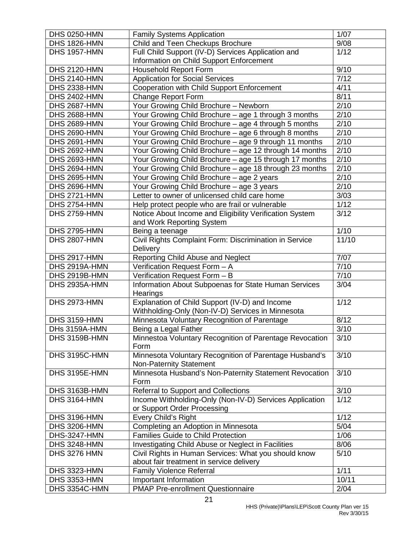| <b>DHS 0250-HMN</b> | <b>Family Systems Application</b>                       | 1/07              |
|---------------------|---------------------------------------------------------|-------------------|
| <b>DHS 1826-HMN</b> | Child and Teen Checkups Brochure                        | 9/08              |
| <b>DHS 1957-HMN</b> | Full Child Support (IV-D) Services Application and      | 1/12              |
|                     | Information on Child Support Enforcement                |                   |
| <b>DHS 2120-HMN</b> | <b>Household Report Form</b>                            | 9/10              |
| <b>DHS 2140-HMN</b> | <b>Application for Social Services</b>                  | 7/12              |
| <b>DHS 2338-HMN</b> | Cooperation with Child Support Enforcement              | 4/11              |
| <b>DHS 2402-HMN</b> | <b>Change Report Form</b>                               | 8/11              |
| DHS 2687-HMN        | Your Growing Child Brochure - Newborn                   | 2/10              |
| <b>DHS 2688-HMN</b> | Your Growing Child Brochure - age 1 through 3 months    | 2/10              |
| <b>DHS 2689-HMN</b> | Your Growing Child Brochure - age 4 through 5 months    | 2/10              |
| <b>DHS 2690-HMN</b> | Your Growing Child Brochure - age 6 through 8 months    | 2/10              |
| <b>DHS 2691-HMN</b> | Your Growing Child Brochure - age 9 through 11 months   | 2/10              |
| <b>DHS 2692-HMN</b> | Your Growing Child Brochure - age 12 through 14 months  | 2/10              |
| <b>DHS 2693-HMN</b> | Your Growing Child Brochure - age 15 through 17 months  | 2/10              |
| <b>DHS 2694-HMN</b> | Your Growing Child Brochure - age 18 through 23 months  | 2/10              |
| <b>DHS 2695-HMN</b> | Your Growing Child Brochure - age 2 years               | 2/10              |
| <b>DHS 2696-HMN</b> | Your Growing Child Brochure - age 3 years               | 2/10              |
| <b>DHS 2721-HMN</b> | Letter to owner of unlicensed child care home           | 3/03              |
| <b>DHS 2754-HMN</b> | Help protect people who are frail or vulnerable         | 1/12              |
| <b>DHS 2759-HMN</b> | Notice About Income and Eligibility Verification System | 3/12              |
|                     | and Work Reporting System                               |                   |
| <b>DHS 2795-HMN</b> | Being a teenage                                         | 1/10              |
| <b>DHS 2807-HMN</b> | Civil Rights Complaint Form: Discrimination in Service  | 11/10             |
|                     | <b>Delivery</b>                                         |                   |
| <b>DHS 2917-HMN</b> | Reporting Child Abuse and Neglect                       | 7/07              |
| DHS 2919A-HMN       | Verification Request Form - A                           | 7/10              |
| DHS 2919B-HMN       | Verification Request Form - B                           | 7/10              |
| DHS 2935A-HMN       | Information About Subpoenas for State Human Services    | 3/04              |
|                     | Hearings                                                |                   |
| <b>DHS 2973-HMN</b> | Explanation of Child Support (IV-D) and Income          | $\overline{1/12}$ |
|                     | Withholding-Only (Non-IV-D) Services in Minnesota       |                   |
| <b>DHS 3159-HMN</b> | Minnesota Voluntary Recognition of Parentage            | 8/12              |
| DHs 3159A-HMN       | Being a Legal Father                                    | 3/10              |
| DHS 3159B-HMN       | Minnestoa Voluntary Recognition of Parentage Revocation | 3/10              |
|                     | Form                                                    |                   |
| DHS 3195C-HMN       | Minnesota Voluntary Recognition of Parentage Husband's  | 3/10              |
|                     | <b>Non-Paternity Statement</b>                          |                   |
| DHS 3195E-HMN       | Minnesota Husband's Non-Paternity Statement Revocation  | 3/10              |
|                     | Form                                                    |                   |
| DHS 3163B-HMN       | Referral to Support and Collections                     | 3/10              |
| <b>DHS 3164-HMN</b> | Income Withholding-Only (Non-IV-D) Services Application | 1/12              |
|                     | or Support Order Processing                             |                   |
| <b>DHS 3196-HMN</b> |                                                         | 1/12              |
|                     | Every Child's Right                                     |                   |
| <b>DHS 3206-HMN</b> | Completing an Adoption in Minnesota                     | 5/04              |
| <b>DHS-3247-HMN</b> | <b>Families Guide to Child Protection</b>               | 1/06              |
| <b>DHS 3248-HMN</b> | Investigating Child Abuse or Neglect in Facilities      | 8/06              |
| <b>DHS 3276 HMN</b> | Civil Rights in Human Services: What you should know    | 5/10              |
|                     | about fair treatment in service delivery                |                   |
| <b>DHS 3323-HMN</b> | <b>Family Violence Referral</b>                         | 1/11              |
| <b>DHS 3353-HMN</b> | Important Information                                   | 10/11             |
| DHS 3354C-HMN       | <b>PMAP Pre-enrollment Questionnaire</b>                | 2/04              |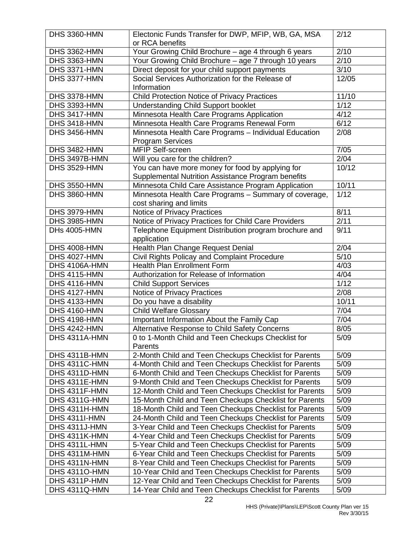| <b>DHS 3360-HMN</b>          | Electonic Funds Transfer for DWP, MFIP, WB, GA, MSA                       | 2/12              |
|------------------------------|---------------------------------------------------------------------------|-------------------|
|                              | or RCA benefits                                                           |                   |
| DHS 3362-HMN                 | Your Growing Child Brochure - age 4 through 6 years                       | $\sqrt{2/10}$     |
| DHS 3363-HMN                 | Your Growing Child Brochure - age 7 through 10 years                      | 2/10              |
| DHS 3371-HMN                 | Direct deposit for your child support payments                            | 3/10              |
| DHS 3377-HMN                 | Social Services Authorization for the Release of                          | 12/05             |
|                              | Information                                                               |                   |
| DHS 3378-HMN                 | Child Protection Notice of Privacy Practices                              | 11/10             |
| DHS 3393-HMN                 | <b>Understanding Child Support booklet</b>                                | $\overline{1/12}$ |
| DHS 3417-HMN                 | Minnesota Health Care Programs Application                                | 4/12              |
| DHS 3418-HMN                 | Minnesota Health Care Programs Renewal Form                               | 6/12              |
| DHS 3456-HMN                 | Minnesota Health Care Programs - Individual Education                     | 2/08              |
|                              | <b>Program Services</b>                                                   |                   |
| DHS 3482-HMN                 | MFIP Self-screen                                                          | 7/05              |
| DHS 3497B-HMN                | Will you care for the children?                                           | 2/04              |
| <b>DHS 3529-HMN</b>          | You can have more money for food by applying for                          | 10/12             |
|                              | Supplemental Nutrition Assistance Program benefits                        |                   |
| <b>DHS 3550-HMN</b>          | Minnesota Child Care Assistance Program Application                       | 10/11             |
| <b>DHS 3860-HMN</b>          | Minnesota Health Care Programs - Summary of coverage,                     | 1/12              |
|                              | cost sharing and limits                                                   |                   |
| DHS 3979-HMN                 | Notice of Privacy Practices                                               | 8/11              |
| DHS 3985-HMN                 | Notice of Privacy Practices for Child Care Providers                      | 2/11              |
| <b>DHs 4005-HMN</b>          | Telephone Equipment Distribution program brochure and                     | 9/11              |
|                              | application                                                               |                   |
| <b>DHS 4008-HMN</b>          | Health Plan Change Request Denial                                         | 2/04              |
| <b>DHS 4027-HMN</b>          | Civil Rights Policay and Complaint Procedure                              | $\overline{5/10}$ |
| DHS 4106A-HMN                | <b>Health Plan Enrollment Form</b>                                        | 4/03              |
| DHS 4115-HMN<br>DHS 4116-HMN | Authorization for Release of Information<br><b>Child Support Services</b> | 4/04<br>1/12      |
| DHS 4127-HMN                 | Notice of Privacy Practices                                               | 2/08              |
| DHS 4133-HMN                 | Do you have a disability                                                  | 10/11             |
| DHS 4160-HMN                 | <b>Child Welfare Glossary</b>                                             | 7/04              |
| <b>DHS 4198-HMN</b>          | Important Information About the Family Cap                                | 7/04              |
| <b>DHS 4242-HMN</b>          | Alternative Response to Child Safety Concerns                             | 8/05              |
| DHS 4311A-HMN                | 0 to 1-Month Child and Teen Checkups Checklist for                        | 5/09              |
|                              | Parents                                                                   |                   |
| DHS 4311B-HMN                | 2-Month Child and Teen Checkups Checklist for Parents                     | 5/09              |
| DHS 4311C-HMN                | 4-Month Child and Teen Checkups Checklist for Parents                     | 5/09              |
| DHS 4311D-HMN                | 6-Month Child and Teen Checkups Checklist for Parents                     | 5/09              |
| DHS 4311E-HMN                | 9-Month Child and Teen Checkups Checklist for Parents                     | 5/09              |
| DHS 4311F-HMN                | 12-Month Child and Teen Checkups Checklist for Parents                    | 5/09              |
| DHS 4311G-HMN                | 15-Month Child and Teen Checkups Checklist for Parents                    | 5/09              |
| DHS 4311H-HMN                | 18-Month Child and Teen Checkups Checklist for Parents                    | 5/09              |
| DHS 4311I-HMN                | 24-Month Child and Teen Checkups Checklist for Parents                    | 5/09              |
| DHS 4311J-HMN                | 3-Year Child and Teen Checkups Checklist for Parents                      | 5/09              |
| DHS 4311K-HMN                | 4-Year Child and Teen Checkups Checklist for Parents                      | 5/09              |
| DHS 4311L-HMN                | 5-Year Child and Teen Checkups Checklist for Parents                      | 5/09              |
| DHS 4311M-HMN                | 6-Year Child and Teen Checkups Checklist for Parents                      | 5/09              |
| DHS 4311N-HMN                | 8-Year Child and Teen Checkups Checklist for Parents                      | 5/09              |
| <b>DHS 43110-HMN</b>         | 10-Year Child and Teen Checkups Checklist for Parents                     | 5/09              |
| DHS 4311P-HMN                | 12-Year Child and Teen Checkups Checklist for Parents                     | 5/09              |
| DHS 4311Q-HMN                | 14-Year Child and Teen Checkups Checklist for Parents                     | 5/09              |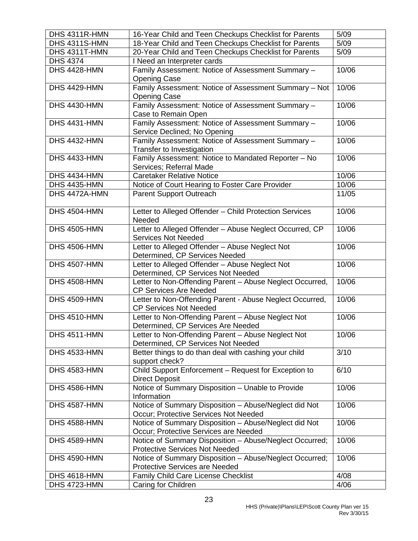| DHS 4311R-HMN       | 16-Year Child and Teen Checkups Checklist for Parents                                            | 5/09  |
|---------------------|--------------------------------------------------------------------------------------------------|-------|
| DHS 4311S-HMN       | 18-Year Child and Teen Checkups Checklist for Parents                                            | 5/09  |
| DHS 4311T-HMN       | 20-Year Child and Teen Checkups Checklist for Parents                                            | 5/09  |
| <b>DHS 4374</b>     | I Need an Interpreter cards                                                                      |       |
| DHS 4428-HMN        | Family Assessment: Notice of Assessment Summary -<br><b>Opening Case</b>                         | 10/06 |
| <b>DHS 4429-HMN</b> | Family Assessment: Notice of Assessment Summary - Not<br><b>Opening Case</b>                     | 10/06 |
| DHS 4430-HMN        | Family Assessment: Notice of Assessment Summary -<br>Case to Remain Open                         | 10/06 |
| DHS 4431-HMN        | Family Assessment: Notice of Assessment Summary -<br>Service Declined; No Opening                | 10/06 |
| <b>DHS 4432-HMN</b> | Family Assessment: Notice of Assessment Summary -<br>Transfer to Investigation                   | 10/06 |
| DHS 4433-HMN        | Family Assessment: Notice to Mandated Reporter - No<br>Services; Referral Made                   | 10/06 |
| DHS 4434-HMN        | <b>Caretaker Relative Notice</b>                                                                 | 10/06 |
| <b>DHS 4435-HMN</b> | Notice of Court Hearing to Foster Care Provider                                                  | 10/06 |
| DHS 4472A-HMN       | <b>Parent Support Outreach</b>                                                                   | 11/05 |
| <b>DHS 4504-HMN</b> | Letter to Alleged Offender - Child Protection Services<br>Needed                                 | 10/06 |
| <b>DHS 4505-HMN</b> | Letter to Alleged Offender - Abuse Neglect Occurred, CP<br><b>Services Not Needed</b>            | 10/06 |
| <b>DHS 4506-HMN</b> | Letter to Alleged Offender - Abuse Neglect Not<br>Determined, CP Services Needed                 | 10/06 |
| <b>DHS 4507-HMN</b> | Letter to Alleged Offender - Abuse Neglect Not<br>Determined, CP Services Not Needed             | 10/06 |
| <b>DHS 4508-HMN</b> | Letter to Non-Offending Parent - Abuse Neglect Occurred,<br><b>CP Services Are Needed</b>        | 10/06 |
| <b>DHS 4509-HMN</b> | Letter to Non-Offending Parent - Abuse Neglect Occurred,<br><b>CP Services Not Needed</b>        | 10/06 |
| <b>DHS 4510-HMN</b> | Letter to Non-Offending Parent - Abuse Neglect Not<br>Determined, CP Services Are Needed         | 10/06 |
| DHS 4511-HMN        | Letter to Non-Offending Parent - Abuse Neglect Not<br>Determined, CP Services Not Needed         | 10/06 |
| DHS 4533-HMN        | Better things to do than deal with cashing your child<br>support check?                          | 3/10  |
| <b>DHS 4583-HMN</b> | Child Support Enforcement - Request for Exception to<br><b>Direct Deposit</b>                    | 6/10  |
| DHS 4586-HMN        | Notice of Summary Disposition - Unable to Provide<br>Information                                 | 10/06 |
| DHS 4587-HMN        | Notice of Summary Disposition - Abuse/Neglect did Not<br>Occur; Protective Services Not Needed   | 10/06 |
| <b>DHS 4588-HMN</b> | Notice of Summary Disposition - Abuse/Neglect did Not<br>Occur; Protective Services are Needed   | 10/06 |
| DHS 4589-HMN        | Notice of Summary Disposition - Abuse/Neglect Occurred;<br><b>Protective Services Not Needed</b> | 10/06 |
| <b>DHS 4590-HMN</b> | Notice of Summary Disposition - Abuse/Neglect Occurred;<br>Protective Services are Needed        | 10/06 |
| <b>DHS 4618-HMN</b> | Family Child Care License Checklist                                                              | 4/08  |
| DHS 4723-HMN        | Caring for Children                                                                              | 4/06  |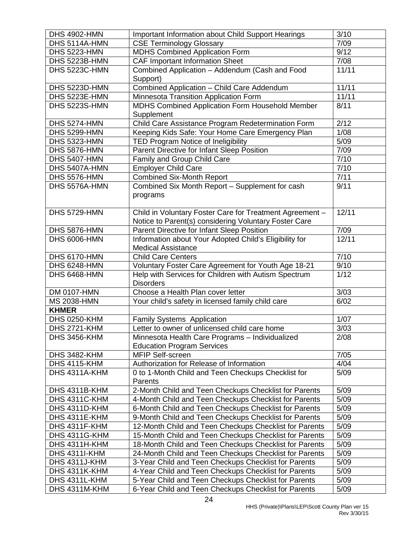| <b>DHS 4902-HMN</b>  | <b>Important Information about Child Support Hearings</b>                                                         | 3/10  |
|----------------------|-------------------------------------------------------------------------------------------------------------------|-------|
| DHS 5114A-HMN        | <b>CSE Terminology Glossary</b>                                                                                   | 7/09  |
| DHS 5223-HMN         | <b>MDHS Combined Application Form</b>                                                                             | 9/12  |
| DHS 5223B-HMN        | <b>CAF Important Information Sheet</b>                                                                            | 7/08  |
| DHS 5223C-HMN        | Combined Application - Addendum (Cash and Food<br>Support)                                                        | 11/11 |
| DHS 5223D-HMN        | Combined Application - Child Care Addendum                                                                        | 11/11 |
| DHS 5223E-HMN        | Minnesota Transition Application Form                                                                             | 11/11 |
| DHS 5223S-HMN        | MDHS Combined Application Form Household Member                                                                   | 8/11  |
|                      | Supplement                                                                                                        |       |
| DHS 5274-HMN         | Child Care Assistance Program Redetermination Form                                                                | 2/12  |
| <b>DHS 5299-HMN</b>  | Keeping Kids Safe: Your Home Care Emergency Plan                                                                  | 1/08  |
| DHS 5323-HMN         | TED Program Notice of Ineligibility                                                                               | 5/09  |
| DHS 5876-HMN         | Parent Directive for Infant Sleep Position                                                                        | 7/09  |
| <b>DHS 5407-HMN</b>  | Family and Group Child Care                                                                                       | 7/10  |
| DHS 5407A-HMN        | <b>Employer Child Care</b>                                                                                        | 7/10  |
| DHS 5576-HMN         | <b>Combined Six-Month Report</b>                                                                                  | 7/11  |
| DHS 5576A-HMN        | Combined Six Month Report - Supplement for cash<br>programs                                                       | 9/11  |
| DHS 5729-HMN         | Child in Voluntary Foster Care for Treatment Agreement -<br>Notice to Parent(s) considering Voluntary Foster Care | 12/11 |
| DHS 5876-HMN         | Parent Directive for Infant Sleep Position                                                                        | 7/09  |
| DHS 6006-HMN         | Information about Your Adopted Child's Eligibility for<br><b>Medical Assistance</b>                               | 12/11 |
| DHS 6170-HMN         | <b>Child Care Centers</b>                                                                                         | 7/10  |
| <b>DHS 6248-HMN</b>  | Voluntary Foster Care Agreement for Youth Age 18-21                                                               | 9/10  |
| <b>DHS 6468-HMN</b>  | Help with Services for Children with Autism Spectrum<br><b>Disorders</b>                                          | 1/12  |
| DM 0107-HMN          | Choose a Health Plan cover letter                                                                                 | 3/03  |
| <b>MS 2038-HMN</b>   | Your child's safety in licensed family child care                                                                 | 6/02  |
| <b>KHMER</b>         |                                                                                                                   |       |
| DHS 0250-KHM         | Family Systems Application                                                                                        | 1/07  |
| <b>DHS 2721-KHM</b>  | Letter to owner of unlicensed child care home                                                                     | 3/03  |
| <b>DHS 3456-KHM</b>  | Minnesota Health Care Programs - Individualized<br><b>Education Program Services</b>                              | 2/08  |
| <b>DHS 3482-KHM</b>  | <b>MFIP Self-screen</b>                                                                                           | 7/05  |
| <b>DHS 4115-KHM</b>  | Authorization for Release of Information                                                                          | 4/04  |
| DHS 4311A-KHM        | 0 to 1-Month Child and Teen Checkups Checklist for<br>Parents                                                     | 5/09  |
| DHS 4311B-KHM        | 2-Month Child and Teen Checkups Checklist for Parents                                                             | 5/09  |
| DHS 4311C-KHM        | 4-Month Child and Teen Checkups Checklist for Parents                                                             | 5/09  |
| DHS 4311D-KHM        | 6-Month Child and Teen Checkups Checklist for Parents                                                             | 5/09  |
| DHS 4311E-KHM        | 9-Month Child and Teen Checkups Checklist for Parents                                                             | 5/09  |
| DHS 4311F-KHM        | 12-Month Child and Teen Checkups Checklist for Parents                                                            | 5/09  |
| DHS 4311G-KHM        | 15-Month Child and Teen Checkups Checklist for Parents                                                            | 5/09  |
| DHS 4311H-KHM        | 18-Month Child and Teen Checkups Checklist for Parents                                                            | 5/09  |
| <b>DHS 4311I-KHM</b> | 24-Month Child and Teen Checkups Checklist for Parents                                                            | 5/09  |
| DHS 4311J-KHM        | 3-Year Child and Teen Checkups Checklist for Parents                                                              | 5/09  |
| DHS 4311K-KHM        | 4-Year Child and Teen Checkups Checklist for Parents                                                              | 5/09  |
| DHS 4311L-KHM        | 5-Year Child and Teen Checkups Checklist for Parents                                                              | 5/09  |
| DHS 4311M-KHM        | 6-Year Child and Teen Checkups Checklist for Parents                                                              | 5/09  |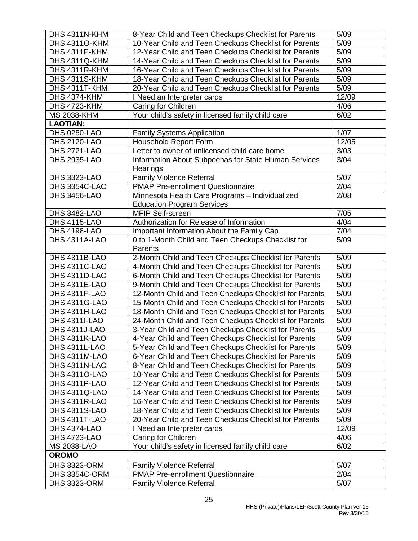| DHS 4311N-KHM        | 8-Year Child and Teen Checkups Checklist for Parents   | 5/09  |
|----------------------|--------------------------------------------------------|-------|
| <b>DHS 4311O-KHM</b> | 10-Year Child and Teen Checkups Checklist for Parents  | 5/09  |
| DHS 4311P-KHM        | 12-Year Child and Teen Checkups Checklist for Parents  | 5/09  |
| DHS 4311Q-KHM        | 14-Year Child and Teen Checkups Checklist for Parents  | 5/09  |
| DHS 4311R-KHM        | 16-Year Child and Teen Checkups Checklist for Parents  | 5/09  |
| DHS 4311S-KHM        | 18-Year Child and Teen Checkups Checklist for Parents  | 5/09  |
| DHS 4311T-KHM        | 20-Year Child and Teen Checkups Checklist for Parents  | 5/09  |
| DHS 4374-KHM         | I Need an Interpreter cards                            | 12/09 |
| DHS 4723-KHM         | Caring for Children                                    | 4/06  |
| <b>MS 2038-KHM</b>   | Your child's safety in licensed family child care      | 6/02  |
| <b>LAOTIAN:</b>      |                                                        |       |
| <b>DHS 0250-LAO</b>  | <b>Family Systems Application</b>                      | 1/07  |
| <b>DHS 2120-LAO</b>  | <b>Household Report Form</b>                           | 12/05 |
| <b>DHS 2721-LAO</b>  | Letter to owner of unlicensed child care home          | 3/03  |
| <b>DHS 2935-LAO</b>  | Information About Subpoenas for State Human Services   | 3/04  |
|                      | Hearings                                               |       |
| <b>DHS 3323-LAO</b>  | <b>Family Violence Referral</b>                        | 5/07  |
| DHS 3354C-LAO        | <b>PMAP Pre-enrollment Questionnaire</b>               | 2/04  |
| <b>DHS 3456-LAO</b>  | Minnesota Health Care Programs - Individualized        | 2/08  |
|                      | <b>Education Program Services</b>                      |       |
| <b>DHS 3482-LAO</b>  | MFIP Self-screen                                       | 7/05  |
| <b>DHS 4115-LAO</b>  | Authorization for Release of Information               | 4/04  |
| <b>DHS 4198-LAO</b>  | Important Information About the Family Cap             | 7/04  |
| DHS 4311A-LAO        | 0 to 1-Month Child and Teen Checkups Checklist for     | 5/09  |
|                      | Parents                                                |       |
| DHS 4311B-LAO        | 2-Month Child and Teen Checkups Checklist for Parents  | 5/09  |
| DHS 4311C-LAO        | 4-Month Child and Teen Checkups Checklist for Parents  | 5/09  |
| DHS 4311D-LAO        | 6-Month Child and Teen Checkups Checklist for Parents  | 5/09  |
| DHS 4311E-LAO        | 9-Month Child and Teen Checkups Checklist for Parents  | 5/09  |
| DHS 4311F-LAO        | 12-Month Child and Teen Checkups Checklist for Parents | 5/09  |
| DHS 4311G-LAO        | 15-Month Child and Teen Checkups Checklist for Parents | 5/09  |
| DHS 4311H-LAO        | 18-Month Child and Teen Checkups Checklist for Parents | 5/09  |
| <b>DHS 4311I-LAO</b> | 24-Month Child and Teen Checkups Checklist for Parents | 5/09  |
| DHS 4311J-LAO        | 3-Year Child and Teen Checkups Checklist for Parents   | 5/09  |
| DHS 4311K-LAO        | 4-Year Child and Teen Checkups Checklist for Parents   | 5/09  |
| DHS 4311L-LAO        | 5-Year Child and Teen Checkups Checklist for Parents   | 5/09  |
| DHS 4311M-LAO        | 6-Year Child and Teen Checkups Checklist for Parents   | 5/09  |
| DHS 4311N-LAO        | 8-Year Child and Teen Checkups Checklist for Parents   | 5/09  |
| <b>DHS 43110-LAO</b> | 10-Year Child and Teen Checkups Checklist for Parents  | 5/09  |
| DHS 4311P-LAO        | 12-Year Child and Teen Checkups Checklist for Parents  | 5/09  |
| DHS 4311Q-LAO        | 14-Year Child and Teen Checkups Checklist for Parents  | 5/09  |
| DHS 4311R-LAO        | 16-Year Child and Teen Checkups Checklist for Parents  | 5/09  |
| DHS 4311S-LAO        | 18-Year Child and Teen Checkups Checklist for Parents  | 5/09  |
| DHS 4311T-LAO        | 20-Year Child and Teen Checkups Checklist for Parents  | 5/09  |
| <b>DHS 4374-LAO</b>  | I Need an Interpreter cards                            | 12/09 |
| <b>DHS 4723-LAO</b>  | Caring for Children                                    | 4/06  |
| <b>MS 2038-LAO</b>   | Your child's safety in licensed family child care      | 6/02  |
| <b>OROMO</b>         |                                                        |       |
| <b>DHS 3323-ORM</b>  | <b>Family Violence Referral</b>                        | 5/07  |
| DHS 3354C-ORM        | <b>PMAP Pre-enrollment Questionnaire</b>               | 2/04  |
| <b>DHS 3323-ORM</b>  | <b>Family Violence Referral</b>                        | 5/07  |
|                      |                                                        |       |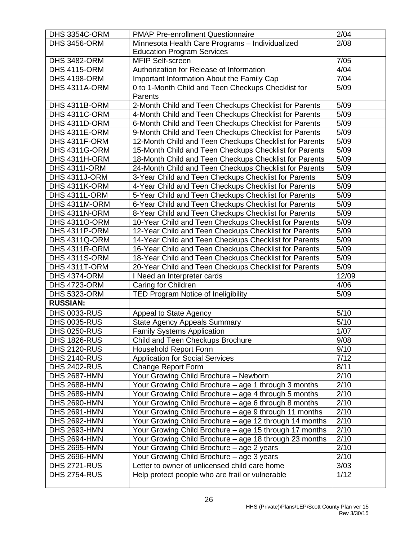| DHS 3354C-ORM        | <b>PMAP Pre-enrollment Questionnaire</b>               | 2/04  |
|----------------------|--------------------------------------------------------|-------|
| <b>DHS 3456-ORM</b>  | Minnesota Health Care Programs - Individualized        | 2/08  |
|                      | <b>Education Program Services</b>                      |       |
| <b>DHS 3482-ORM</b>  | <b>MFIP Self-screen</b>                                | 7/05  |
| <b>DHS 4115-ORM</b>  | Authorization for Release of Information               | 4/04  |
| <b>DHS 4198-ORM</b>  | Important Information About the Family Cap             | 7/04  |
| DHS 4311A-ORM        | 0 to 1-Month Child and Teen Checkups Checklist for     | 5/09  |
|                      | Parents                                                |       |
| DHS 4311B-ORM        | 2-Month Child and Teen Checkups Checklist for Parents  | 5/09  |
| DHS 4311C-ORM        | 4-Month Child and Teen Checkups Checklist for Parents  | 5/09  |
| DHS 4311D-ORM        | 6-Month Child and Teen Checkups Checklist for Parents  | 5/09  |
| DHS 4311E-ORM        | 9-Month Child and Teen Checkups Checklist for Parents  | 5/09  |
| DHS 4311F-ORM        | 12-Month Child and Teen Checkups Checklist for Parents | 5/09  |
| DHS 4311G-ORM        | 15-Month Child and Teen Checkups Checklist for Parents | 5/09  |
| DHS 4311H-ORM        | 18-Month Child and Teen Checkups Checklist for Parents | 5/09  |
| <b>DHS 4311I-ORM</b> | 24-Month Child and Teen Checkups Checklist for Parents | 5/09  |
| DHS 4311J-ORM        | 3-Year Child and Teen Checkups Checklist for Parents   | 5/09  |
| DHS 4311K-ORM        | 4-Year Child and Teen Checkups Checklist for Parents   | 5/09  |
| DHS 4311L-ORM        | 5-Year Child and Teen Checkups Checklist for Parents   | 5/09  |
| DHS 4311M-ORM        | 6-Year Child and Teen Checkups Checklist for Parents   | 5/09  |
| DHS 4311N-ORM        | 8-Year Child and Teen Checkups Checklist for Parents   | 5/09  |
| <b>DHS 43110-ORM</b> | 10-Year Child and Teen Checkups Checklist for Parents  | 5/09  |
| DHS 4311P-ORM        | 12-Year Child and Teen Checkups Checklist for Parents  | 5/09  |
| DHS 4311Q-ORM        | 14-Year Child and Teen Checkups Checklist for Parents  | 5/09  |
| DHS 4311R-ORM        | 16-Year Child and Teen Checkups Checklist for Parents  | 5/09  |
| DHS 4311S-ORM        | 18-Year Child and Teen Checkups Checklist for Parents  | 5/09  |
| DHS 4311T-ORM        | 20-Year Child and Teen Checkups Checklist for Parents  | 5/09  |
| <b>DHS 4374-ORM</b>  | I Need an Interpreter cards                            | 12/09 |
| <b>DHS 4723-ORM</b>  | Caring for Children                                    | 4/06  |
| <b>DHS 5323-ORM</b>  | TED Program Notice of Ineligibility                    | 5/09  |
| <b>RUSSIAN:</b>      |                                                        |       |
| <b>DHS 0033-RUS</b>  | Appeal to State Agency                                 | 5/10  |
| <b>DHS 0035-RUS</b>  | <b>State Agency Appeals Summary</b>                    | 5/10  |
| <b>DHS 0250-RUS</b>  | <b>Family Systems Application</b>                      | 1/07  |
| <b>DHS 1826-RUS</b>  | Child and Teen Checkups Brochure                       | 9/08  |
| <b>DHS 2120-RUS</b>  | <b>Household Report Form</b>                           | 9/10  |
| <b>DHS 2140-RUS</b>  | <b>Application for Social Services</b>                 | 7/12  |
| <b>DHS 2402-RUS</b>  | Change Report Form                                     | 8/11  |
| <b>DHS 2687-HMN</b>  | Your Growing Child Brochure - Newborn                  | 2/10  |
| <b>DHS 2688-HMN</b>  | Your Growing Child Brochure - age 1 through 3 months   | 2/10  |
| <b>DHS 2689-HMN</b>  | Your Growing Child Brochure - age 4 through 5 months   | 2/10  |
| <b>DHS 2690-HMN</b>  | Your Growing Child Brochure - age 6 through 8 months   | 2/10  |
| <b>DHS 2691-HMN</b>  | Your Growing Child Brochure - age 9 through 11 months  | 2/10  |
| <b>DHS 2692-HMN</b>  | Your Growing Child Brochure - age 12 through 14 months | 2/10  |
| <b>DHS 2693-HMN</b>  | Your Growing Child Brochure - age 15 through 17 months | 2/10  |
| <b>DHS 2694-HMN</b>  | Your Growing Child Brochure - age 18 through 23 months | 2/10  |
| <b>DHS 2695-HMN</b>  | Your Growing Child Brochure - age 2 years              | 2/10  |
| <b>DHS 2696-HMN</b>  | Your Growing Child Brochure - age 3 years              | 2/10  |
| <b>DHS 2721-RUS</b>  | Letter to owner of unlicensed child care home          | 3/03  |
| <b>DHS 2754-RUS</b>  | Help protect people who are frail or vulnerable        | 1/12  |
|                      |                                                        |       |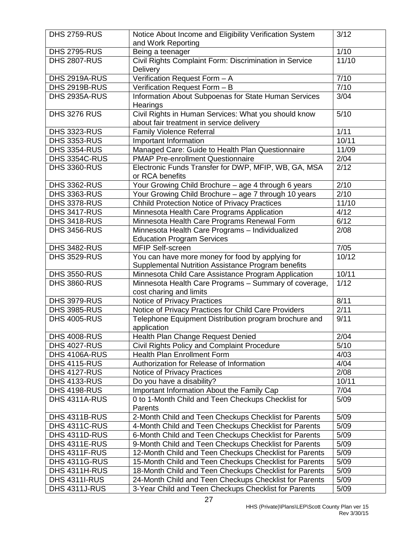| <b>DHS 2759-RUS</b>                   | Notice About Income and Eligibility Verification System | 3/12         |
|---------------------------------------|---------------------------------------------------------|--------------|
|                                       | and Work Reporting                                      |              |
| <b>DHS 2795-RUS</b>                   | Being a teenager                                        | 1/10         |
| <b>DHS 2807-RUS</b>                   | Civil Rights Complaint Form: Discrimination in Service  | 11/10        |
|                                       | <b>Delivery</b>                                         |              |
| DHS 2919A-RUS                         | Verification Request Form - A                           | 7/10         |
| DHS 2919B-RUS                         | Verification Request Form - B                           | 7/10         |
| DHS 2935A-RUS                         | Information About Subpoenas for State Human Services    | 3/04         |
|                                       | Hearings                                                |              |
| <b>DHS 3276 RUS</b>                   | Civil Rights in Human Services: What you should know    | 5/10         |
|                                       | about fair treatment in service delivery                |              |
| <b>DHS 3323-RUS</b>                   | <b>Family Violence Referral</b>                         | 1/11         |
| <b>DHS 3353-RUS</b>                   | Important Information                                   | 10/11        |
| <b>DHS 3354-RUS</b>                   | Managed Care: Guide to Health Plan Questionnaire        | 11/09        |
| DHS 3354C-RUS                         | <b>PMAP Pre-enrollment Questionnaire</b>                | 2/04         |
| <b>DHS 3360-RUS</b>                   | Electronic Funds Transfer for DWP, MFIP, WB, GA, MSA    | 2/12         |
|                                       | or RCA benefits                                         |              |
| <b>DHS 3362-RUS</b>                   | Your Growing Child Brochure - age 4 through 6 years     | 2/10         |
| <b>DHS 3363-RUS</b>                   | Your Growing Child Brochure - age 7 through 10 years    | 2/10         |
| <b>DHS 3378-RUS</b>                   | <b>Chhild Protection Notice of Privacy Practices</b>    | 11/10        |
| <b>DHS 3417-RUS</b>                   | Minnesota Health Care Programs Application              | 4/12         |
| <b>DHS 3418-RUS</b>                   | Minnesota Health Care Programs Renewal Form             | 6/12         |
| <b>DHS 3456-RUS</b>                   | Minnesota Health Care Programs - Individualized         | 2/08         |
|                                       | <b>Education Program Services</b>                       |              |
| <b>DHS 3482-RUS</b>                   | <b>MFIP Self-screen</b>                                 | 7/05         |
| <b>DHS 3529-RUS</b>                   | You can have more money for food by applying for        | 10/12        |
|                                       | Supplemental Nutrition Assistance Program benefits      |              |
| <b>DHS 3550-RUS</b>                   | Minnesota Child Care Assistance Program Application     | 10/11        |
| <b>DHS 3860-RUS</b>                   | Minnesota Health Care Programs - Summary of coverage,   | 1/12         |
|                                       | cost charing and limits                                 |              |
| <b>DHS 3979-RUS</b>                   | Notice of Privacy Practices                             | 8/11         |
| <b>DHS 3985-RUS</b>                   | Notice of Privacy Practices for Child Care Providers    | 2/11         |
| <b>DHS 4005-RUS</b>                   | Telephone Equipment Distribution program brochure and   | 9/11         |
|                                       | application                                             |              |
| <b>DHS 4008-RUS</b>                   | Health Plan Change Request Denied                       | 2/04         |
| <b>DHS 4027-RUS</b>                   | Civil Rights Policy and Complaint Procedure             | 5/10         |
| DHS 4106A-RUS                         | <b>Health Plan Enrollment Form</b>                      | 4/03         |
| <b>DHS 4115-RUS</b>                   | Authorization for Release of Information                | 4/04         |
| <b>DHS 4127-RUS</b>                   | Notice of Privacy Practices                             | 2/08         |
| <b>DHS 4133-RUS</b>                   | Do you have a disability?                               | 10/11        |
| <b>DHS 4198-RUS</b>                   | Important Information About the Family Cap              | 7/04         |
| DHS 4311A-RUS                         | 0 to 1-Month Child and Teen Checkups Checklist for      | 5/09         |
|                                       | Parents                                                 |              |
| DHS 4311B-RUS                         | 2-Month Child and Teen Checkups Checklist for Parents   | 5/09         |
| DHS 4311C-RUS                         | 4-Month Child and Teen Checkups Checklist for Parents   | 5/09         |
| DHS 4311D-RUS                         | 6-Month Child and Teen Checkups Checklist for Parents   | 5/09         |
| DHS 4311E-RUS                         | 9-Month Child and Teen Checkups Checklist for Parents   | 5/09         |
| DHS 4311F-RUS                         | 12-Month Child and Teen Checkups Checklist for Parents  | 5/09         |
| <b>DHS 4311G-RUS</b>                  | 15-Month Child and Teen Checkups Checklist for Parents  | 5/09         |
| DHS 4311H-RUS                         | 18-Month Child and Teen Checkups Checklist for Parents  | 5/09         |
| <b>DHS 4311I-RUS</b><br>DHS 4311J-RUS | 24-Month Child and Teen Checkups Checklist for Parents  | 5/09<br>5/09 |
|                                       | 3-Year Child and Teen Checkups Checklist for Parents    |              |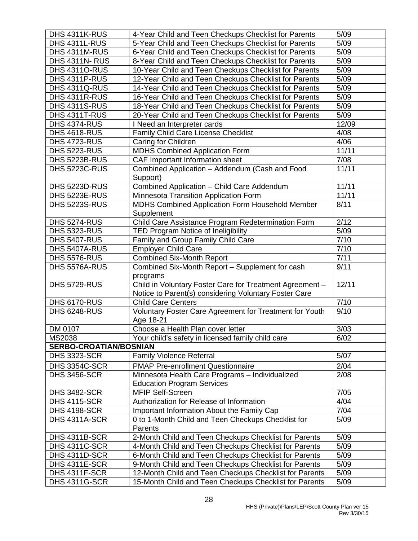| DHS 4311K-RUS                 | 4-Year Child and Teen Checkups Checklist for Parents                 | 5/09  |
|-------------------------------|----------------------------------------------------------------------|-------|
| DHS 4311L-RUS                 | 5-Year Child and Teen Checkups Checklist for Parents                 | 5/09  |
| DHS 4311M-RUS                 | 6-Year Child and Teen Checkups Checklist for Parents                 | 5/09  |
| DHS 4311N-RUS                 | 8-Year Child and Teen Checkups Checklist for Parents                 | 5/09  |
| <b>DHS 43110-RUS</b>          | 10-Year Child and Teen Checkups Checklist for Parents                | 5/09  |
| DHS 4311P-RUS                 | 12-Year Child and Teen Checkups Checklist for Parents                | 5/09  |
| DHS 4311Q-RUS                 | 14-Year Child and Teen Checkups Checklist for Parents                | 5/09  |
| DHS 4311R-RUS                 | 16-Year Child and Teen Checkups Checklist for Parents                | 5/09  |
| DHS 4311S-RUS                 | 18-Year Child and Teen Checkups Checklist for Parents                | 5/09  |
| DHS 4311T-RUS                 | 20-Year Child and Teen Checkups Checklist for Parents                | 5/09  |
| <b>DHS 4374-RUS</b>           | I Need an Interpreter cards                                          | 12/09 |
| <b>DHS 4618-RUS</b>           | Family Child Care License Checklist                                  | 4/08  |
| <b>DHS 4723-RUS</b>           | Caring for Children                                                  | 4/06  |
| <b>DHS 5223-RUS</b>           | <b>MDHS Combined Application Form</b>                                | 11/11 |
| DHS 5223B-RUS                 | CAF Important Information sheet                                      | 7/08  |
| <b>DHS 5223C-RUS</b>          | Combined Application - Addendum (Cash and Food                       | 11/11 |
|                               | Support)                                                             |       |
| DHS 5223D-RUS                 | Combined Application - Child Care Addendum                           | 11/11 |
| DHS 5223E-RUS                 | Minnesota Transition Application Form                                | 11/11 |
| <b>DHS 5223S-RUS</b>          | MDHS Combined Application Form Household Member                      | 8/11  |
|                               | Supplement                                                           |       |
| <b>DHS 5274-RUS</b>           | Child Care Assistance Program Redetermination Form                   | 2/12  |
| <b>DHS 5323-RUS</b>           | TED Program Notice of Ineligibility                                  | 5/09  |
| <b>DHS 5407-RUS</b>           | Family and Group Family Child Care                                   | 7/10  |
| DHS 5407A-RUS                 | <b>Employer Child Care</b>                                           | 7/10  |
| DHS 5576-RUS                  | <b>Combined Six-Month Report</b>                                     | 7/11  |
| DHS 5576A-RUS                 | Combined Six-Month Report - Supplement for cash<br>programs          | 9/11  |
| <b>DHS 5729-RUS</b>           | Child in Voluntary Foster Care for Treatment Agreement -             | 12/11 |
|                               | Notice to Parent(s) considering Voluntary Foster Care                |       |
| <b>DHS 6170-RUS</b>           | <b>Child Care Centers</b>                                            | 7/10  |
| <b>DHS 6248-RUS</b>           | Voluntary Foster Care Agreement for Treatment for Youth<br>Age 18-21 | 9/10  |
| DM 0107                       | Choose a Health Plan cover letter                                    | 3/03  |
| MS2038                        | Your child's safety in licensed family child care                    | 6/02  |
| <b>SERBO-CROATIAN/BOSNIAN</b> |                                                                      |       |
| <b>DHS 3323-SCR</b>           | <b>Family Violence Referral</b>                                      | 5/07  |
| DHS 3354C-SCR                 | <b>PMAP Pre-enrollment Questionnaire</b>                             | 2/04  |
| <b>DHS 3456-SCR</b>           | Minnesota Health Care Programs - Individualized                      | 2/08  |
|                               | <b>Education Program Services</b>                                    |       |
| <b>DHS 3482-SCR</b>           | <b>MFIP Self-Screen</b>                                              | 7/05  |
| <b>DHS 4115-SCR</b>           | Authorization for Release of Information                             | 4/04  |
| <b>DHS 4198-SCR</b>           | Important Information About the Family Cap                           | 7/04  |
| DHS 4311A-SCR                 | 0 to 1-Month Child and Teen Checkups Checklist for                   | 5/09  |
|                               | Parents                                                              |       |
| DHS 4311B-SCR                 | 2-Month Child and Teen Checkups Checklist for Parents                | 5/09  |
| <b>DHS 4311C-SCR</b>          | 4-Month Child and Teen Checkups Checklist for Parents                | 5/09  |
| DHS 4311D-SCR                 | 6-Month Child and Teen Checkups Checklist for Parents                | 5/09  |
| DHS 4311E-SCR                 | 9-Month Child and Teen Checkups Checklist for Parents                | 5/09  |
| DHS 4311F-SCR                 | 12-Month Child and Teen Checkups Checklist for Parents               | 5/09  |
| DHS 4311G-SCR                 | 15-Month Child and Teen Checkups Checklist for Parents               | 5/09  |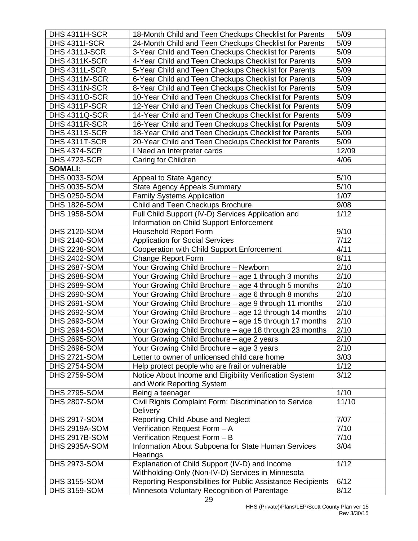| DHS 4311H-SCR        | 18-Month Child and Teen Checkups Checklist for Parents                    | 5/09  |
|----------------------|---------------------------------------------------------------------------|-------|
| <b>DHS 4311I-SCR</b> | 24-Month Child and Teen Checkups Checklist for Parents                    | 5/09  |
| DHS 4311J-SCR        | 3-Year Child and Teen Checkups Checklist for Parents                      | 5/09  |
| DHS 4311K-SCR        | 4-Year Child and Teen Checkups Checklist for Parents                      | 5/09  |
| DHS 4311L-SCR        | 5-Year Child and Teen Checkups Checklist for Parents                      | 5/09  |
| DHS 4311M-SCR        | 6-Year Child and Teen Checkups Checklist for Parents                      | 5/09  |
| DHS 4311N-SCR        | 8-Year Child and Teen Checkups Checklist for Parents                      | 5/09  |
| <b>DHS 43110-SCR</b> | 10-Year Child and Teen Checkups Checklist for Parents                     | 5/09  |
| DHS 4311P-SCR        | 12-Year Child and Teen Checkups Checklist for Parents                     | 5/09  |
| DHS 4311Q-SCR        | 14-Year Child and Teen Checkups Checklist for Parents                     | 5/09  |
| DHS 4311R-SCR        | 16-Year Child and Teen Checkups Checklist for Parents                     | 5/09  |
| DHS 4311S-SCR        | 18-Year Child and Teen Checkups Checklist for Parents                     | 5/09  |
| DHS 4311T-SCR        | 20-Year Child and Teen Checkups Checklist for Parents                     | 5/09  |
| <b>DHS 4374-SCR</b>  | I Need an Interpreter cards                                               | 12/09 |
| <b>DHS 4723-SCR</b>  | Caring for Children                                                       | 4/06  |
| <b>SOMALI:</b>       |                                                                           |       |
| <b>DHS 0033-SOM</b>  | Appeal to State Agency                                                    | 5/10  |
| <b>DHS 0035-SOM</b>  | <b>State Agency Appeals Summary</b>                                       | 5/10  |
| <b>DHS 0250-SOM</b>  | <b>Family Systems Application</b>                                         | 1/07  |
| <b>DHS 1826-SOM</b>  | Child and Teen Checkups Brochure                                          | 9/08  |
| <b>DHS 1958-SOM</b>  | Full Child Support (IV-D) Services Application and                        | 1/12  |
|                      | Information on Child Support Enforcement                                  |       |
| <b>DHS 2120-SOM</b>  | <b>Household Report Form</b>                                              | 9/10  |
| <b>DHS 2140-SOM</b>  | <b>Application for Social Services</b>                                    | 7/12  |
| <b>DHS 2238-SOM</b>  | Cooperation with Child Support Enforcement                                | 4/11  |
| <b>DHS 2402-SOM</b>  | <b>Change Report Form</b>                                                 | 8/11  |
| <b>DHS 2687-SOM</b>  | Your Growing Child Brochure - Newborn                                     | 2/10  |
| <b>DHS 2688-SOM</b>  | Your Growing Child Brochure - age 1 through 3 months                      | 2/10  |
| <b>DHS 2689-SOM</b>  | Your Growing Child Brochure - age 4 through 5 months                      | 2/10  |
| <b>DHS 2690-SOM</b>  | Your Growing Child Brochure - age 6 through 8 months                      | 2/10  |
| <b>DHS 2691-SOM</b>  | Your Growing Child Brochure - age 9 through 11 months                     | 2/10  |
| <b>DHS 2692-SOM</b>  | Your Growing Child Brochure - age 12 through 14 months                    | 2/10  |
| <b>DHS 2693-SOM</b>  | Your Growing Child Brochure - age 15 through 17 months                    | 2/10  |
| <b>DHS 2694-SOM</b>  | Your Growing Child Brochure - age 18 through 23 months                    | 2/10  |
| <b>DHS 2695-SOM</b>  | Your Growing Child Brochure - age 2 years                                 | 2/10  |
| <b>DHS 2696-SOM</b>  | Your Growing Child Brochure - age 3 years                                 | 2/10  |
| <b>DHS 2721-SOM</b>  | Letter to owner of unlicensed child care home                             | 3/03  |
| <b>DHS 2754-SOM</b>  | Help protect people who are frail or vulnerable                           | 1/12  |
| <b>DHS 2759-SOM</b>  | Notice About Income and Eligibility Verification System                   | 3/12  |
|                      | and Work Reporting System                                                 |       |
| <b>DHS 2795-SOM</b>  | Being a teenager                                                          | 1/10  |
| <b>DHS 2807-SOM</b>  | Civil Rights Complaint Form: Discrimination to Service<br><b>Delivery</b> | 11/10 |
| <b>DHS 2917-SOM</b>  | Reporting Child Abuse and Neglect                                         | 7/07  |
| DHS 2919A-SOM        | Verification Request Form - A                                             | 7/10  |
| DHS 2917B-SOM        | Verification Request Form - B                                             | 7/10  |
| <b>DHS 2935A-SOM</b> | Information About Subpoena for State Human Services<br>Hearings           | 3/04  |
| <b>DHS 2973-SOM</b>  | Explanation of Child Support (IV-D) and Income                            | 1/12  |
|                      | Withholding-Only (Non-IV-D) Services in Minnesota                         |       |
| <b>DHS 3155-SOM</b>  | Reporting Responsibilities for Public Assistance Recipients               | 6/12  |
| <b>DHS 3159-SOM</b>  | Minnesota Voluntary Recognition of Parentage                              | 8/12  |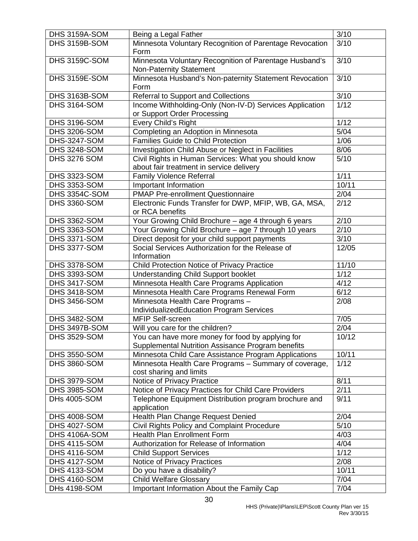| DHS 3159A-SOM        | Being a Legal Father                                    | 3/10   |
|----------------------|---------------------------------------------------------|--------|
| DHS 3159B-SOM        | Minnesota Voluntary Recognition of Parentage Revocation | 3/10   |
|                      | Form                                                    |        |
| DHS 3159C-SOM        | Minnesota Voluntary Recognition of Parentage Husband's  | 3/10   |
|                      | <b>Non-Paternity Statement</b>                          |        |
| DHS 3159E-SOM        | Minnesota Husband's Non-paternity Statement Revocation  | 3/10   |
|                      | Form                                                    |        |
| DHS 3163B-SOM        | Referral to Support and Collections                     | 3/10   |
| <b>DHS 3164-SOM</b>  | Income Withholding-Only (Non-IV-D) Services Application | 1/12   |
|                      | or Support Order Processing                             |        |
| <b>DHS 3196-SOM</b>  | Every Child's Right                                     | 1/12   |
| <b>DHS 3206-SOM</b>  | Completing an Adoption in Minnesota                     | 5/04   |
| <b>DHS-3247-SOM</b>  | <b>Families Guide to Child Protection</b>               | 1/06   |
| <b>DHS 3248-SOM</b>  | Investigation Child Abuse or Neglect in Facilities      | 8/06   |
| <b>DHS 3276 SOM</b>  | Civil Rights in Human Services: What you should know    | $5/10$ |
|                      | about fair treatment in service delivery                |        |
| <b>DHS 3323-SOM</b>  | <b>Family Violence Referral</b>                         | 1/11   |
| <b>DHS 3353-SOM</b>  | Important Information                                   | 10/11  |
| DHS 3354C-SOM        | <b>PMAP Pre-enrollment Questionnaire</b>                | 2/04   |
| <b>DHS 3360-SOM</b>  | Electronic Funds Transfer for DWP, MFIP, WB, GA, MSA,   | 2/12   |
|                      | or RCA benefits                                         |        |
| <b>DHS 3362-SOM</b>  | Your Growing Child Brochure - age 4 through 6 years     | 2/10   |
| <b>DHS 3363-SOM</b>  | Your Growing Child Brochure - age 7 through 10 years    | 2/10   |
| <b>DHS 3371-SOM</b>  | Direct deposit for your child support payments          | 3/10   |
| <b>DHS 3377-SOM</b>  | Social Services Authorization for the Release of        | 12/05  |
|                      | Information                                             |        |
| <b>DHS 3378-SOM</b>  | Child Protection Notice of Privacy Practice             | 11/10  |
| <b>DHS 3393-SOM</b>  | <b>Understanding Child Support booklet</b>              | 1/12   |
| <b>DHS 3417-SOM</b>  | Minnesota Health Care Programs Application              | 4/12   |
| <b>DHS 3418-SOM</b>  | Minnesota Health Care Programs Renewal Form             | 6/12   |
| <b>DHS 3456-SOM</b>  | Minnesota Health Care Programs -                        | 2/08   |
|                      | IndividualizedEducation Program Services                |        |
| <b>DHS 3482-SOM</b>  | <b>MFIP Self-screen</b>                                 | 7/05   |
| DHS 3497B-SOM        | Will you care for the children?                         | 2/04   |
| <b>DHS 3529-SOM</b>  | You can have more money for food by applying for        | 10/12  |
|                      | Supplemental Nutrition Assisance Program benefits       |        |
| <b>DHS 3550-SOM</b>  | Minnesota Child Care Assistance Program Applications    | 10/11  |
| <b>DHS 3860-SOM</b>  | Minnesota Health Care Programs - Summary of coverage,   | 1/12   |
|                      | cost sharing and limits                                 |        |
| <b>DHS 3979-SOM</b>  | Notice of Privacy Practice                              | 8/11   |
| <b>DHS 3985-SOM</b>  | Notice of Privacy Practices for Child Care Providers    | 2/11   |
| <b>DHs 4005-SOM</b>  | Telephone Equipment Distribution program brochure and   | 9/11   |
|                      | application                                             |        |
| <b>DHS 4008-SOM</b>  | Health Plan Change Request Denied                       | 2/04   |
| <b>DHS 4027-SOM</b>  | Civil Rights Policy and Complaint Procedure             | 5/10   |
| <b>DHS 4106A-SOM</b> | <b>Health Plan Enrollment Form</b>                      | 4/03   |
| <b>DHS 4115-SOM</b>  | Authorization for Release of Information                | 4/04   |
| <b>DHS 4116-SOM</b>  | <b>Child Support Services</b>                           | $1/12$ |
| <b>DHS 4127-SOM</b>  | Notice of Privacy Practices                             | 2/08   |
| <b>DHS 4133-SOM</b>  | Do you have a disability?                               | 10/11  |
| <b>DHS 4160-SOM</b>  | <b>Child Welfare Glossary</b>                           | 7/04   |
| <b>DHs 4198-SOM</b>  | Important Information About the Family Cap              | 7/04   |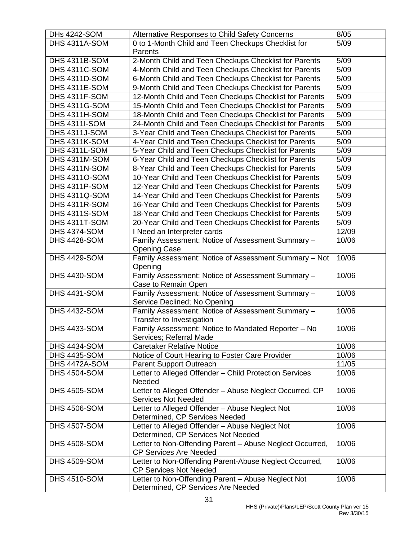| <b>DHs 4242-SOM</b>  | Alternative Responses to Child Safety Concerns           | 8/05  |
|----------------------|----------------------------------------------------------|-------|
| DHS 4311A-SOM        | 0 to 1-Month Child and Teen Checkups Checklist for       | 5/09  |
|                      | Parents                                                  |       |
| DHS 4311B-SOM        | 2-Month Child and Teen Checkups Checklist for Parents    | 5/09  |
| DHS 4311C-SOM        | 4-Month Child and Teen Checkups Checklist for Parents    | 5/09  |
| DHS 4311D-SOM        | 6-Month Child and Teen Checkups Checklist for Parents    | 5/09  |
| DHS 4311E-SOM        | 9-Month Child and Teen Checkups Checklist for Parents    | 5/09  |
| DHS 4311F-SOM        | 12-Month Child and Teen Checkups Checklist for Parents   | 5/09  |
| <b>DHS 4311G-SOM</b> | 15-Month Child and Teen Checkups Checklist for Parents   | 5/09  |
| DHS 4311H-SOM        | 18-Month Child and Teen Checkups Checklist for Parents   | 5/09  |
| <b>DHS 4311I-SOM</b> | 24-Month Child and Teen Checkups Checklist for Parents   | 5/09  |
| DHS 4311J-SOM        | 3-Year Child and Teen Checkups Checklist for Parents     | 5/09  |
| DHS 4311K-SOM        | 4-Year Child and Teen Checkups Checklist for Parents     | 5/09  |
| DHS 4311L-SOM        | 5-Year Child and Teen Checkups Checklist for Parents     | 5/09  |
| DHS 4311M-SOM        | 6-Year Child and Teen Checkups Checklist for Parents     | 5/09  |
| DHS 4311N-SOM        | 8-Year Child and Teen Checkups Checklist for Parents     | 5/09  |
| <b>DHS 43110-SOM</b> | 10-Year Child and Teen Checkups Checklist for Parents    | 5/09  |
| DHS 4311P-SOM        | 12-Year Child and Teen Checkups Checklist for Parents    | 5/09  |
| <b>DHS 4311Q-SOM</b> | 14-Year Child and Teen Checkups Checklist for Parents    | 5/09  |
| DHS 4311R-SOM        | 16-Year Child and Teen Checkups Checklist for Parents    | 5/09  |
| <b>DHS 4311S-SOM</b> | 18-Year Child and Teen Checkups Checklist for Parents    | 5/09  |
| DHS 4311T-SOM        | 20-Year Child and Teen Checkups Checklist for Parents    | 5/09  |
| <b>DHS 4374-SOM</b>  | I Need an Interpreter cards                              | 12/09 |
| <b>DHS 4428-SOM</b>  | Family Assessment: Notice of Assessment Summary -        | 10/06 |
|                      | <b>Opening Case</b>                                      |       |
| <b>DHS 4429-SOM</b>  | Family Assessment: Notice of Assessment Summary - Not    | 10/06 |
|                      | Opening                                                  |       |
| <b>DHS 4430-SOM</b>  | Family Assessment: Notice of Assessment Summary -        | 10/06 |
|                      | Case to Remain Open                                      |       |
| <b>DHS 4431-SOM</b>  | Family Assessment: Notice of Assessment Summary -        | 10/06 |
|                      | Service Declined; No Opening                             |       |
| <b>DHS 4432-SOM</b>  | Family Assessment: Notice of Assessment Summary -        | 10/06 |
|                      | Transfer to Investigation                                |       |
| <b>DHS 4433-SOM</b>  | Family Assessment: Notice to Mandated Reporter - No      | 10/06 |
|                      | Services; Referral Made                                  |       |
| <b>DHS 4434-SOM</b>  | <b>Caretaker Relative Notice</b>                         | 10/06 |
| <b>DHS 4435-SOM</b>  | Notice of Court Hearing to Foster Care Provider          | 10/06 |
| DHS 4472A-SOM        | Parent Support Outreach                                  | 11/05 |
| <b>DHS 4504-SOM</b>  | Letter to Alleged Offender - Child Protection Services   | 10/06 |
|                      | Needed                                                   |       |
| <b>DHS 4505-SOM</b>  | Letter to Alleged Offender - Abuse Neglect Occurred, CP  | 10/06 |
|                      | <b>Services Not Needed</b>                               |       |
| <b>DHS 4506-SOM</b>  | Letter to Alleged Offender - Abuse Neglect Not           | 10/06 |
|                      | Determined, CP Services Needed                           |       |
| <b>DHS 4507-SOM</b>  | Letter to Alleged Offender - Abuse Neglect Not           | 10/06 |
|                      | Determined, CP Services Not Needed                       |       |
| <b>DHS 4508-SOM</b>  | Letter to Non-Offending Parent - Abuse Neglect Occurred, | 10/06 |
|                      | <b>CP Services Are Needed</b>                            |       |
| <b>DHS 4509-SOM</b>  | Letter to Non-Offending Parent-Abuse Neglect Occurred,   | 10/06 |
|                      | <b>CP Services Not Needed</b>                            |       |
| <b>DHS 4510-SOM</b>  | Letter to Non-Offending Parent - Abuse Neglect Not       | 10/06 |
|                      | Determined, CP Services Are Needed                       |       |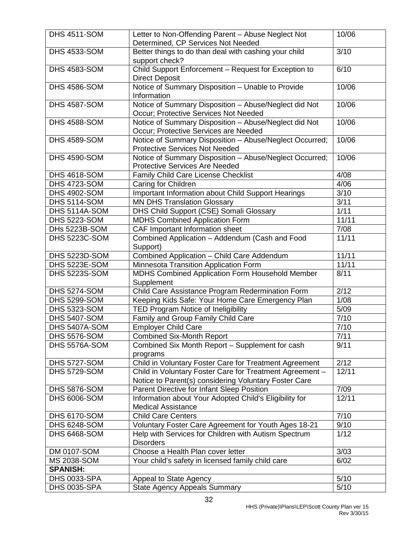| <b>DHS 4511-SOM</b>  | Letter to Non-Offending Parent - Abuse Neglect Not<br>Determined, CP Services Not Needed                          | 10/06 |
|----------------------|-------------------------------------------------------------------------------------------------------------------|-------|
| <b>DHS 4533-SOM</b>  | Better things to do than deal with cashing your child                                                             | 3/10  |
|                      | support check?                                                                                                    |       |
| <b>DHS 4583-SOM</b>  | Child Support Enforcement - Request for Exception to<br><b>Direct Deposit</b>                                     | 6/10  |
| <b>DHS 4586-SOM</b>  | Notice of Summary Disposition - Unable to Provide<br>Information                                                  | 10/06 |
| <b>DHS 4587-SOM</b>  | Notice of Summary Disposition - Abuse/Neglect did Not<br>Occur; Protective Services Not Needed                    | 10/06 |
| <b>DHS 4588-SOM</b>  | Notice of Summary Disposition - Abuse/Neglect did Not<br>Occur; Protective Services are Needed                    | 10/06 |
| <b>DHS 4589-SOM</b>  | Notice of Summary Disposition - Abuse/Neglect Occurred;<br><b>Protective Services Not Needed</b>                  | 10/06 |
| <b>DHS 4590-SOM</b>  | Notice of Summary Disposition - Abuse/Neglect Occurred;                                                           | 10/06 |
|                      | <b>Protective Services Are Needed</b>                                                                             |       |
| <b>DHS 4618-SOM</b>  | Family Child Care License Checklist                                                                               | 4/08  |
| <b>DHS 4723-SOM</b>  | <b>Caring for Children</b>                                                                                        | 4/06  |
| <b>DHS 4902-SOM</b>  | Important Information about Child Support Hearings                                                                | 3/10  |
| <b>DHS 5114-SOM</b>  | <b>MN DHS Translation Glossary</b>                                                                                | 3/11  |
| DHS 5114A-SOM        | DHS Child Support (CSE) Somali Glossary                                                                           | 1/11  |
| <b>DHS 5223-SOM</b>  | <b>MDHS Combined Application Form</b>                                                                             | 11/11 |
| DHs 5223B-SOM        | CAF Important Information sheet                                                                                   | 7/08  |
| <b>DHS 5223C-SOM</b> | Combined Application - Addendum (Cash and Food<br>Support)                                                        | 11/11 |
| DHS 5223D-SOM        | Combined Application - Child Care Addendum                                                                        | 11/11 |
| DHS 5223E-SOM        | Minnesota Transition Application Form                                                                             | 11/11 |
| <b>DHS 5223S-SOM</b> | MDHS Combined Application Form Household Member<br>Supplement                                                     | 8/11  |
| <b>DHS 5274-SOM</b>  | Child Care Assistance Program Redermination Form                                                                  | 2/12  |
| <b>DHS 5299-SOM</b>  | Keeping Kids Safe: Your Home Care Emergency Plan                                                                  | 1/08  |
| <b>DHS 5323-SOM</b>  | TED Program Notice of Ineligibility                                                                               | 5/09  |
| <b>DHS 5407-SOM</b>  | Family and Group Family Child Care                                                                                | 7/10  |
| DHS 5407A-SOM        | Employer Child Care                                                                                               | 7/10  |
| <b>DHS 5576-SOM</b>  | <b>Combined Six-Month Report</b>                                                                                  | 7/11  |
| DHS 5576A-SOM        | Combined Six Month Report - Supplement for cash<br>programs                                                       | 9/11  |
| <b>DHS 5727-SOM</b>  | Child in Voluntary Foster Care for Treatment Agreement                                                            | 2/12  |
| <b>DHS 5729-SOM</b>  | Child in Voluntary Foster Care for Treatment Agreement -<br>Notice to Parent(s) considering Voluntary Foster Care | 12/11 |
| <b>DHS 5876-SOM</b>  | Parent Directive for Infant Sleep Position                                                                        | 7/09  |
| <b>DHS 6006-SOM</b>  | Information about Your Adopted Child's Eligibility for                                                            | 12/11 |
|                      | <b>Medical Assistance</b>                                                                                         |       |
| <b>DHS 6170-SOM</b>  | <b>Child Care Centers</b>                                                                                         | 7/10  |
| <b>DHS 6248-SOM</b>  | Voluntary Foster Care Agreement for Youth Ages 18-21                                                              | 9/10  |
| <b>DHS 6468-SOM</b>  | Help with Services for Children with Autism Spectrum<br><b>Disorders</b>                                          | 1/12  |
| DM 0107-SOM          | Choose a Health Plan cover letter                                                                                 | 3/03  |
| MS 2038-SOM          | Your child's safety in licensed family child care                                                                 | 6/02  |
| <b>SPANISH:</b>      |                                                                                                                   |       |
| <b>DHS 0033-SPA</b>  | Appeal to State Agency                                                                                            | 5/10  |
| <b>DHS 0035-SPA</b>  | <b>State Agency Appeals Summary</b>                                                                               | 5/10  |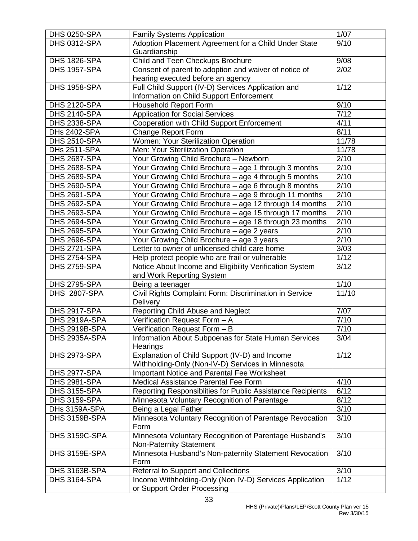| <b>DHS 0250-SPA</b> | <b>Family Systems Application</b>                          | 1/07              |
|---------------------|------------------------------------------------------------|-------------------|
| <b>DHS 0312-SPA</b> | Adoption Placement Agreement for a Child Under State       | 9/10              |
|                     | Guardianship                                               |                   |
| <b>DHS 1826-SPA</b> | Child and Teen Checkups Brochure                           | 9/08              |
| <b>DHS 1957-SPA</b> | Consent of parent to adoption and waiver of notice of      | 2/02              |
|                     | hearing executed before an agency                          |                   |
| <b>DHS 1958-SPA</b> | Full Child Support (IV-D) Services Application and         | 1/12              |
|                     | Information on Child Support Enforcement                   |                   |
| <b>DHS 2120-SPA</b> | <b>Household Report Form</b>                               | 9/10              |
| <b>DHS 2140-SPA</b> | <b>Application for Social Services</b>                     | $\overline{7/12}$ |
| <b>DHS 2338-SPA</b> | Cooperation with Child Support Enforcement                 | 4/11              |
| <b>DHs 2402-SPA</b> | <b>Change Report Form</b>                                  | 8/11              |
| <b>DHS 2510-SPA</b> | Women: Your Sterilization Operation                        | 11/78             |
| DHs 2511-SPA        | Men: Your Sterilization Operation                          | 11/78             |
| <b>DHS 2687-SPA</b> | Your Growing Child Brochure - Newborn                      | 2/10              |
| <b>DHS 2688-SPA</b> | Your Growing Child Brochure - age 1 through 3 months       | 2/10              |
| <b>DHS 2689-SPA</b> | Your Growing Child Brochure - age 4 through 5 months       | 2/10              |
| <b>DHS 2690-SPA</b> | Your Growing Child Brochure - age 6 through 8 months       | 2/10              |
| <b>DHS 2691-SPA</b> | Your Growing Child Brochure - age 9 through 11 months      | 2/10              |
| <b>DHS 2692-SPA</b> | Your Growing Child Brochure - age 12 through 14 months     | 2/10              |
| <b>DHS 2693-SPA</b> | Your Growing Child Brochure - age 15 through 17 months     | 2/10              |
| <b>DHS 2694-SPA</b> | Your Growing Child Brochure - age 18 through 23 months     | 2/10              |
| <b>DHS 2695-SPA</b> | Your Growing Child Brochure - age 2 years                  | $\overline{2}/10$ |
| <b>DHS 2696-SPA</b> | Your Growing Child Brochure - age 3 years                  | 2/10              |
| <b>DHS 2721-SPA</b> | Letter to owner of unlicensed child care home              | 3/03              |
| <b>DHS 2754-SPA</b> | Help protect people who are frail or vulnerable            | 1/12              |
| <b>DHS 2759-SPA</b> | Notice About Income and Eligibility Verification System    | 3/12              |
|                     | and Work Reporting System                                  |                   |
| <b>DHS 2795-SPA</b> | Being a teenager                                           | 1/10              |
| <b>DHS 2807-SPA</b> | Civil Rights Complaint Form: Discrimination in Service     | 11/10             |
|                     | Delivery                                                   |                   |
| <b>DHS 2917-SPA</b> | Reporting Child Abuse and Neglect                          | 7/07              |
| DHS 2919A-SPA       | Verification Request Form - A                              | 7/10              |
| DHS 2919B-SPA       | Verification Request Form - B                              | 7/10              |
| DHS 2935A-SPA       | Information About Subpoenas for State Human Services       | 3/04              |
|                     | Hearings                                                   |                   |
| <b>DHS 2973-SPA</b> | Explanation of Child Support (IV-D) and Income             | 1/12              |
|                     | Withholding-Only (Non-IV-D) Services in Minnesota          |                   |
| <b>DHS 2977-SPA</b> | Important Notice and Parental Fee Worksheet                |                   |
| <b>DHS 2981-SPA</b> | Medical Assistance Parental Fee Form                       | 4/10              |
| <b>DHS 3155-SPA</b> | Reporting Responsiblities for Public Assistance Recipients | 6/12              |
| <b>DHS 3159-SPA</b> | Minnesota Voluntary Recognition of Parentage               | 8/12              |
| DHs 3159A-SPA       | Being a Legal Father                                       | 3/10              |
| DHS 3159B-SPA       | Minnesota Voluntary Recognition of Parentage Revocation    | 3/10              |
|                     | Form                                                       |                   |
| DHS 3159C-SPA       | Minnesota Voluntary Recognition of Parentage Husband's     | 3/10              |
|                     | <b>Non-Paternity Statement</b>                             |                   |
| DHS 3159E-SPA       | Minnesota Husband's Non-paternity Statement Revocation     | 3/10              |
|                     | Form                                                       |                   |
| DHS 3163B-SPA       | Referral to Support and Collections                        | 3/10              |
| <b>DHS 3164-SPA</b> | Income Withholding-Only (Non IV-D) Services Application    | 1/12              |
|                     | or Support Order Processing                                |                   |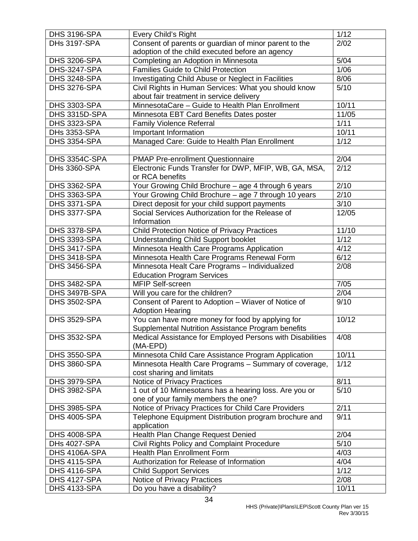| <b>DHS 3196-SPA</b> | Every Child's Right                                                                 | 1/12  |
|---------------------|-------------------------------------------------------------------------------------|-------|
| <b>DHs 3197-SPA</b> | Consent of parents or guardian of minor parent to the                               | 2/02  |
|                     | adoption of the child executed before an agency                                     |       |
| <b>DHS 3206-SPA</b> | Completing an Adoption in Minnesota                                                 | 5/04  |
| <b>DHS-3247-SPA</b> | <b>Families Guide to Child Protection</b>                                           | 1/06  |
| <b>DHS 3248-SPA</b> | Investigating Child Abuse or Neglect in Facilities                                  | 8/06  |
| <b>DHS 3276-SPA</b> | Civil Rights in Human Services: What you should know                                | 5/10  |
|                     | about fair treatment in service delivery                                            |       |
| <b>DHS 3303-SPA</b> | MinnesotaCare - Guide to Health Plan Enrollment                                     | 10/11 |
| DHS 3315D-SPA       | Minnesota EBT Card Benefits Dates poster                                            | 11/05 |
| <b>DHS 3323-SPA</b> | <b>Family Violence Referral</b>                                                     | 1/11  |
| <b>DHs 3353-SPA</b> | Important Information                                                               | 10/11 |
| <b>DHS 3354-SPA</b> | Managed Care: Guide to Health Plan Enrollment                                       | 1/12  |
|                     |                                                                                     |       |
| DHS 3354C-SPA       | <b>PMAP Pre-enrollment Questionnaire</b>                                            | 2/04  |
| <b>DHs 3360-SPA</b> | Electronic Funds Transfer for DWP, MFIP, WB, GA, MSA,                               | 2/12  |
|                     | or RCA benefits                                                                     |       |
| <b>DHS 3362-SPA</b> | Your Growing Child Brochure - age 4 through 6 years                                 | 2/10  |
| <b>DHS 3363-SPA</b> | Your Growing Child Brochure - age 7 through 10 years                                | 2/10  |
| <b>DHS 3371-SPA</b> | Direct deposit for your child support payments                                      | 3/10  |
| DHS 3377-SPA        | Social Services Authorization for the Release of                                    | 12/05 |
|                     | Information                                                                         |       |
|                     |                                                                                     |       |
| <b>DHS 3378-SPA</b> | <b>Child Protection Notice of Privacy Practices</b>                                 | 11/10 |
| <b>DHS 3393-SPA</b> | <b>Understanding Child Support booklet</b>                                          | 1/12  |
| <b>DHS 3417-SPA</b> | Minnesota Health Care Programs Application                                          | 4/12  |
| <b>DHS 3418-SPA</b> | Minnesota Health Care Programs Renewal Form                                         | 6/12  |
| <b>DHS 3456-SPA</b> | Minnesota Healt Care Programs - Individualized<br><b>Education Program Services</b> | 2/08  |
| <b>DHS 3482-SPA</b> | MFIP Self-screen                                                                    | 7/05  |
| DHS 3497B-SPA       | Will you care for the children?                                                     | 2/04  |
| <b>DHS 3502-SPA</b> | Consent of Parent to Adoption - Wiaver of Notice of                                 | 9/10  |
|                     | <b>Adoption Hearing</b>                                                             |       |
| <b>DHS 3529-SPA</b> | You can have more money for food by applying for                                    | 10/12 |
|                     | Supplemental Nutrition Assistance Program benefits                                  |       |
| <b>DHS 3532-SPA</b> | Medical Assistance for Employed Persons with Disabilities                           | 4/08  |
|                     | (MA-EPD)                                                                            |       |
| <b>DHS 3550-SPA</b> | Minnesota Child Care Assistance Program Application                                 | 10/11 |
| <b>DHS 3860-SPA</b> | Minnesota Health Care Programs - Summary of coverage,                               | 1/12  |
|                     | cost sharing and limitats                                                           |       |
| <b>DHS 3979-SPA</b> | Notice of Privacy Practices                                                         | 8/11  |
| <b>DHS 3982-SPA</b> | 1 out of 10 Minnesotans has a hearing loss. Are you or                              | 5/10  |
|                     | one of your family members the one?                                                 |       |
| <b>DHS 3985-SPA</b> | Notice of Privacy Practices for Child Care Providers                                | 2/11  |
| <b>DHS 4005-SPA</b> | Telephone Equipment Distribution program brochure and                               | 9/11  |
|                     | application                                                                         |       |
| <b>DHS 4008-SPA</b> | Health Plan Change Request Denied                                                   | 2/04  |
| <b>DHs 4027-SPA</b> | Civil Rights Policy and Complaint Procedure                                         | 5/10  |
| DHS 4106A-SPA       | <b>Health Plan Enrollment Form</b>                                                  | 4/03  |
| <b>DHS 4115-SPA</b> | Authorization for Release of Information                                            | 4/04  |
| <b>DHS 4116-SPA</b> | <b>Child Support Services</b>                                                       | 1/12  |
| <b>DHS 4127-SPA</b> | Notice of Privacy Practices                                                         | 2/08  |
| <b>DHS 4133-SPA</b> | Do you have a disability?                                                           | 10/11 |
|                     |                                                                                     |       |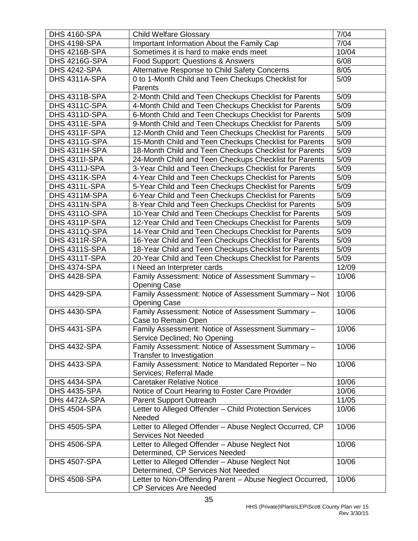| <b>DHS 4160-SPA</b>                                                 | <b>Child Welfare Glossary</b>                            | 7/04  |
|---------------------------------------------------------------------|----------------------------------------------------------|-------|
| <b>DHS 4198-SPA</b>                                                 | Important Information About the Family Cap               | 7/04  |
| DHS 4216B-SPA                                                       | Sometimes it is hard to make ends meet                   | 10/04 |
| DHS 4216G-SPA                                                       | Food Support: Questions & Answers                        | 6/08  |
| <b>DHS 4242-SPA</b>                                                 | Alternative Response to Child Safety Concerns            | 8/05  |
| DHS 4311A-SPA<br>0 to 1-Month Child and Teen Checkups Checklist for |                                                          | 5/09  |
|                                                                     | Parents                                                  |       |
| DHS 4311B-SPA                                                       | 2-Month Child and Teen Checkups Checklist for Parents    | 5/09  |
| DHS 4311C-SPA                                                       | 4-Month Child and Teen Checkups Checklist for Parents    | 5/09  |
| DHS 4311D-SPA                                                       | 6-Month Child and Teen Checkups Checklist for Parents    | 5/09  |
| DHS 4311E-SPA                                                       | 9-Month Child and Teen Checkups Checklist for Parents    | 5/09  |
| DHS 4311F-SPA                                                       | 12-Month Child and Teen Checkups Checklist for Parents   | 5/09  |
| DHS 4311G-SPA                                                       | 15-Month Child and Teen Checkups Checklist for Parents   | 5/09  |
| DHS 4311H-SPA                                                       | 18-Month Child and Teen Checkups Checklist for Parents   | 5/09  |
| DHS 4311I-SPA                                                       | 24-Month Child and Teen Checkups Checklist for Parents   | 5/09  |
| DHS 4311J-SPA                                                       | 3-Year Child and Teen Checkups Checklist for Parents     | 5/09  |
| DHS 4311K-SPA                                                       | 4-Year Child and Teen Checkups Checklist for Parents     | 5/09  |
| DHS 4311L-SPA                                                       | 5-Year Child and Teen Checkups Checklist for Parents     | 5/09  |
| DHS 4311M-SPA                                                       | 6-Year Child and Teen Checkups Checklist for Parents     | 5/09  |
| DHS 4311N-SPA                                                       | 8-Year Child and Teen Checkups Checklist for Parents     | 5/09  |
| <b>DHS 43110-SPA</b>                                                | 10-Year Child and Teen Checkups Checklist for Parents    | 5/09  |
| DHS 4311P-SPA                                                       | 12-Year Child and Teen Checkups Checklist for Parents    | 5/09  |
| DHS 4311Q-SPA                                                       | 14-Year Child and Teen Checkups Checklist for Parents    | 5/09  |
| DHS 4311R-SPA                                                       | 16-Year Child and Teen Checkups Checklist for Parents    | 5/09  |
| DHS 4311S-SPA                                                       | 18-Year Child and Teen Checkups Checklist for Parents    | 5/09  |
| DHS 4311T-SPA                                                       | 20-Year Child and Teen Checkups Checklist for Parents    | 5/09  |
| <b>DHS 4374-SPA</b>                                                 | I Need an Interpreter cards                              | 12/09 |
| <b>DHS 4428-SPA</b>                                                 | Family Assessment: Notice of Assessment Summary -        | 10/06 |
|                                                                     | <b>Opening Case</b>                                      |       |
| <b>DHS 4429-SPA</b>                                                 | Family Assessment: Notice of Assessment Summary - Not    | 10/06 |
|                                                                     | <b>Opening Case</b>                                      |       |
| <b>DHS 4430-SPA</b>                                                 | Family Assessment: Notice of Assessment Summary -        | 10/06 |
|                                                                     | Case to Remain Open                                      |       |
| <b>DHS 4431-SPA</b>                                                 | Family Assessment: Notice of Assessment Summary -        | 10/06 |
|                                                                     | Service Declined; No Opening                             |       |
| <b>DHS 4432-SPA</b>                                                 | Family Assessment: Notice of Assessment Summary -        | 10/06 |
|                                                                     | Transfer to Investigation                                |       |
| <b>DHS 4433-SPA</b>                                                 | Family Assessment: Notice to Mandated Reporter - No      | 10/06 |
|                                                                     | Services; Referral Made                                  |       |
| <b>DHS 4434-SPA</b>                                                 | <b>Caretaker Relative Notice</b>                         | 10/06 |
| <b>DHS 4435-SPA</b>                                                 | Notice of Court Hearing to Foster Care Provider          | 10/06 |
| DHs 4472A-SPA                                                       | Parent Support Outreach                                  | 11/05 |
| <b>DHS 4504-SPA</b>                                                 | Letter to Alleged Offender - Child Protection Services   | 10/06 |
|                                                                     | Needed                                                   |       |
| <b>DHS 4505-SPA</b>                                                 | Letter to Alleged Offender - Abuse Neglect Occurred, CP  | 10/06 |
|                                                                     | <b>Services Not Needed</b>                               |       |
| <b>DHS 4506-SPA</b>                                                 | Letter to Alleged Offender - Abuse Neglect Not           | 10/06 |
|                                                                     | Determined, CP Services Needed                           |       |
| <b>DHS 4507-SPA</b>                                                 | Letter to Alleged Offender - Abuse Neglect Not           | 10/06 |
|                                                                     | Determined, CP Services Not Needed                       |       |
| <b>DHS 4508-SPA</b>                                                 | Letter to Non-Offending Parent - Abuse Neglect Occurred, | 10/06 |
|                                                                     | <b>CP Services Are Needed</b>                            |       |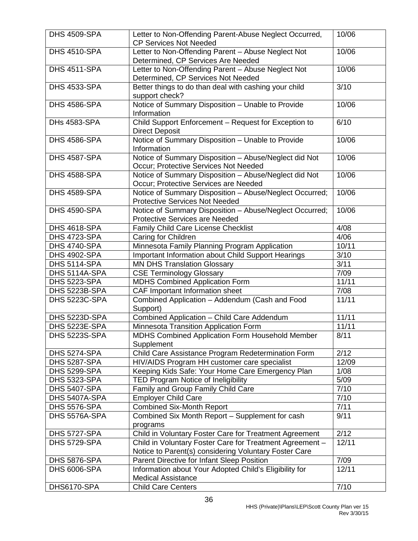|                     |                                                                                                     | 10/06 |
|---------------------|-----------------------------------------------------------------------------------------------------|-------|
| <b>DHS 4509-SPA</b> | Letter to Non-Offending Parent-Abuse Neglect Occurred,<br><b>CP Services Not Needed</b>             |       |
| <b>DHS 4510-SPA</b> |                                                                                                     | 10/06 |
|                     | Letter to Non-Offending Parent - Abuse Neglect Not<br>Determined, CP Services Are Needed            |       |
| <b>DHS 4511-SPA</b> | Letter to Non-Offending Parent - Abuse Neglect Not                                                  | 10/06 |
|                     | Determined, CP Services Not Needed                                                                  |       |
| <b>DHS 4533-SPA</b> | Better things to do than deal with cashing your child                                               | 3/10  |
|                     | support check?                                                                                      |       |
| <b>DHS 4586-SPA</b> | Notice of Summary Disposition - Unable to Provide                                                   | 10/06 |
|                     | Information                                                                                         |       |
| <b>DHs 4583-SPA</b> | Child Support Enforcement - Request for Exception to                                                | 6/10  |
|                     | <b>Direct Deposit</b>                                                                               |       |
| <b>DHS 4586-SPA</b> | Notice of Summary Disposition - Unable to Provide                                                   | 10/06 |
|                     | Information                                                                                         |       |
| <b>DHS 4587-SPA</b> | Notice of Summary Disposition - Abuse/Neglect did Not                                               | 10/06 |
|                     | Occur; Protective Services Not Needed                                                               |       |
| <b>DHS 4588-SPA</b> | Notice of Summary Disposition - Abuse/Neglect did Not                                               | 10/06 |
|                     | Occur; Protective Services are Needed                                                               |       |
| <b>DHS 4589-SPA</b> | Notice of Summary Disposition - Abuse/Neglect Occurred;                                             | 10/06 |
|                     | <b>Protective Services Not Needed</b>                                                               |       |
| <b>DHS 4590-SPA</b> | Notice of Summary Disposition - Abuse/Neglect Occurred;                                             | 10/06 |
|                     | <b>Protective Services are Needed</b>                                                               | 4/08  |
| <b>DHS 4618-SPA</b> | Family Child Care License Checklist                                                                 |       |
| <b>DHS 4723-SPA</b> | Caring for Children                                                                                 | 4/06  |
| <b>DHS 4740-SPA</b> | Minnesota Family Planning Program Application                                                       | 10/11 |
| <b>DHS 4902-SPA</b> | Important Information about Child Support Hearings                                                  | 3/10  |
| <b>DHS 5114-SPA</b> | <b>MN DHS Translation Glossary</b>                                                                  | 3/11  |
| DHS 5114A-SPA       | <b>CSE Terminology Glossary</b>                                                                     | 7/09  |
| <b>DHS 5223-SPA</b> | <b>MDHS Combined Application Form</b>                                                               | 11/11 |
| DHS 5223B-SPA       | CAF Important Information sheet                                                                     | 7/08  |
| DHS 5223C-SPA       | Combined Application - Addendum (Cash and Food                                                      | 11/11 |
|                     | Support)                                                                                            |       |
| DHS 5223D-SPA       | <b>Combined Application - Child Care Addendum</b>                                                   | 11/11 |
| DHS 5223E-SPA       | Minnesota Transition Application Form                                                               | 11/11 |
| DHS 5223S-SPA       | MDHS Combined Application Form Household Member                                                     | 8/11  |
|                     | Supplement                                                                                          |       |
| <b>DHS 5274-SPA</b> | Child Care Assistance Program Redetermination Form                                                  | 2/12  |
| <b>DHS 5287-SPA</b> | HIV/AIDS Program HH customer care specialist                                                        | 12/09 |
| <b>DHS 5299-SPA</b> | Keeping Kids Safe: Your Home Care Emergency Plan                                                    | 1/08  |
| <b>DHS 5323-SPA</b> | TED Program Notice of Ineligibility                                                                 | 5/09  |
| <b>DHS 5407-SPA</b> | Family and Group Family Child Care                                                                  | 7/10  |
| DHS 5407A-SPA       | <b>Employer Child Care</b>                                                                          | 7/10  |
| <b>DHS 5576-SPA</b> | <b>Combined Six-Month Report</b>                                                                    | 7/11  |
| DHS 5576A-SPA       | Combined Six Month Report - Supplement for cash                                                     | 9/11  |
|                     | programs                                                                                            |       |
| <b>DHS 5727-SPA</b> | Child in Voluntary Foster Care for Treatment Agreement                                              | 2/12  |
| <b>DHS 5729-SPA</b> | Child in Voluntary Foster Care for Treatment Agreement -                                            | 12/11 |
| DHS 5876-SPA        | Notice to Parent(s) considering Voluntary Foster Care<br>Parent Directive for Infant Sleep Position | 7/09  |
| <b>DHS 6006-SPA</b> | Information about Your Adopted Child's Eligibility for                                              | 12/11 |
|                     | <b>Medical Assistance</b>                                                                           |       |
| DHS6170-SPA         | <b>Child Care Centers</b>                                                                           | 7/10  |
|                     |                                                                                                     |       |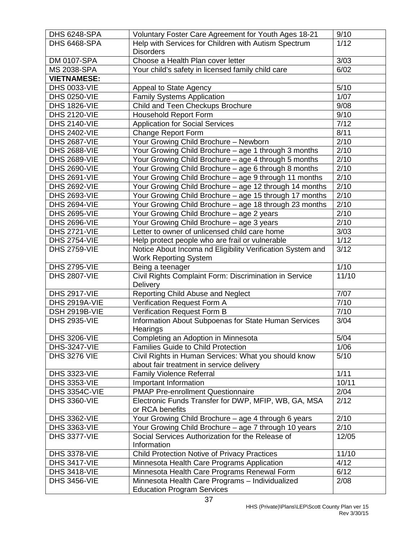| <b>DHS 6248-SPA</b>  | Voluntary Foster Care Agreement for Youth Ages 18-21       | 9/10          |
|----------------------|------------------------------------------------------------|---------------|
| <b>DHS 6468-SPA</b>  | Help with Services for Children with Autism Spectrum       | 1/12          |
|                      | <b>Disorders</b>                                           |               |
| DM 0107-SPA          | Choose a Health Plan cover letter                          | 3/03          |
| <b>MS 2038-SPA</b>   | Your child's safety in licensed family child care          |               |
| <b>VIETNAMESE:</b>   |                                                            |               |
| <b>DHS 0033-VIE</b>  | Appeal to State Agency                                     | 5/10          |
| <b>DHS 0250-VIE</b>  | <b>Family Systems Application</b>                          | 1/07          |
| <b>DHS 1826-VIE</b>  | Child and Teen Checkups Brochure                           | 9/08          |
| <b>DHS 2120-VIE</b>  | <b>Household Report Form</b>                               | 9/10          |
| <b>DHS 2140-VIE</b>  | <b>Application for Social Services</b>                     | 7/12          |
| <b>DHS 2402-VIE</b>  | <b>Change Report Form</b>                                  | 8/11          |
| <b>DHS 2687-VIE</b>  | Your Growing Child Brochure - Newborn                      | 2/10          |
| <b>DHS 2688-VIE</b>  | Your Growing Child Brochure - age 1 through 3 months       | 2/10          |
| <b>DHS 2689-VIE</b>  | Your Growing Child Brochure - age 4 through 5 months       | 2/10          |
| <b>DHS 2690-VIE</b>  | Your Growing Child Brochure - age 6 through 8 months       | 2/10          |
| <b>DHS 2691-VIE</b>  | Your Growing Child Brochure - age 9 through 11 months      | 2/10          |
| <b>DHS 2692-VIE</b>  | Your Growing Child Brochure - age 12 through 14 months     | 2/10          |
| <b>DHS 2693-VIE</b>  | Your Growing Child Brochure - age 15 through 17 months     | $\sqrt{2/10}$ |
| <b>DHS 2694-VIE</b>  | Your Growing Child Brochure - age 18 through 23 months     | 2/10          |
| <b>DHS 2695-VIE</b>  | Your Growing Child Brochure - age 2 years                  | 2/10          |
| <b>DHS 2696-VIE</b>  | Your Growing Child Brochure - age 3 years                  | 2/10          |
| <b>DHS 2721-VIE</b>  | Letter to owner of unlicensed child care home              | 3/03          |
| <b>DHS 2754-VIE</b>  | Help protect people who are frail or vulnerable            | 1/12          |
| <b>DHS 2759-VIE</b>  | Notice About Incoma nd Eligibility Verification System and | 3/12          |
|                      | <b>Work Reporting System</b>                               |               |
| <b>DHS 2795-VIE</b>  | Being a teenager                                           | 1/10          |
| <b>DHS 2807-VIE</b>  | Civil Rights Complaint Form: Discrimination in Service     | 11/10         |
|                      | Delivery                                                   |               |
| <b>DHS 2917-VIE</b>  | Reporting Child Abuse and Neglect                          | 7/07          |
| DHS 2919A-VIE        | Verification Request Form A                                | 7/10          |
| DSH 2919B-VIE        | Verification Request Form B                                | 7/10          |
| <b>DHS 2935-VIE</b>  | Information About Subpoenas for State Human Services       | 3/04          |
|                      | Hearings                                                   |               |
| <b>DHS 3206-VIE</b>  | Completing an Adoption in Minnesota                        | 5/04          |
| <b>DHS-3247-VIE</b>  | <b>Families Guide to Child Protection</b>                  | 1/06          |
| <b>DHS 3276 VIE</b>  | Civil Rights in Human Services: What you should know       | 5/10          |
|                      | about fair treatment in service delivery                   |               |
| <b>DHS 3323-VIE</b>  | <b>Family Violence Referral</b>                            | 1/11          |
| <b>DHS 3353-VIE</b>  | Important Information                                      | 10/11         |
| <b>DHS 3354C-VIE</b> | <b>PMAP Pre-enrollment Questionnaire</b>                   | 2/04          |
| <b>DHS 3360-VIE</b>  | Electronic Funds Transfer for DWP, MFIP, WB, GA, MSA       | 2/12          |
|                      | or RCA benefits                                            |               |
| <b>DHS 3362-VIE</b>  | Your Growing Child Brochure - age 4 through 6 years        | 2/10          |
| <b>DHS 3363-VIE</b>  | Your Growing Child Brochure - age 7 through 10 years       | 2/10          |
| <b>DHS 3377-VIE</b>  | Social Services Authorization for the Release of<br>12/05  |               |
|                      | Information                                                |               |
| <b>DHS 3378-VIE</b>  | <b>Child Protection Notive of Privacy Practices</b>        | 11/10         |
| <b>DHS 3417-VIE</b>  | Minnesota Health Care Programs Application                 | 4/12          |
| <b>DHS 3418-VIE</b>  | 6/12<br>Minnesota Health Care Programs Renewal Form        |               |
| <b>DHS 3456-VIE</b>  | Minnesota Health Care Programs - Individualized            | 2/08          |
|                      | <b>Education Program Services</b>                          |               |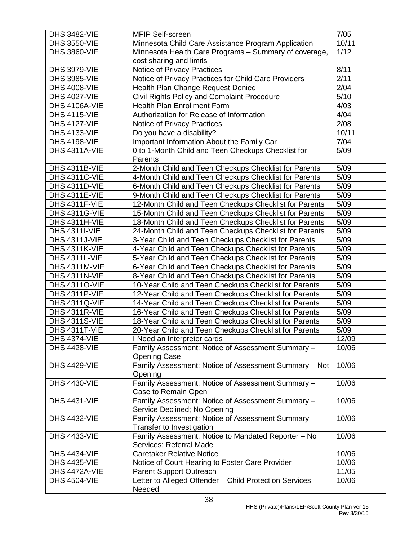| 10/11<br><b>DHS 3550-VIE</b><br>Minnesota Child Care Assistance Program Application<br>1/12<br><b>DHS 3860-VIE</b><br>Minnesota Health Care Programs - Summary of coverage,<br>cost sharing and limits<br>8/11<br><b>DHS 3979-VIE</b><br>Notice of Privacy Practices<br>Notice of Privacy Practices for Child Care Providers<br>2/11<br><b>DHS 3985-VIE</b><br>2/04<br><b>DHS 4008-VIE</b><br>Health Plan Change Request Denied<br>5/10<br><b>DHS 4027-VIE</b><br>Civil Rights Policy and Complaint Procedure<br><b>Health Plan Enrollment Form</b><br>4/03<br>DHS 4106A-VIE<br>4/04<br>Authorization for Release of Information<br><b>DHS 4115-VIE</b><br>2/08<br><b>DHS 4127-VIE</b><br>Notice of Privacy Practices<br>10/11<br><b>DHS 4133-VIE</b><br>Do you have a disability?<br>Important Information About the Family Car<br><b>DHS 4198-VIE</b><br>7/04<br>0 to 1-Month Child and Teen Checkups Checklist for<br>5/09<br>DHS 4311A-VIE<br>Parents<br>2-Month Child and Teen Checkups Checklist for Parents<br>5/09<br><b>DHS 4311B-VIE</b><br>DHS 4311C-VIE<br>4-Month Child and Teen Checkups Checklist for Parents<br>5/09<br>DHS 4311D-VIE<br>6-Month Child and Teen Checkups Checklist for Parents<br>5/09<br>5/09<br>DHS 4311E-VIE<br>9-Month Child and Teen Checkups Checklist for Parents<br>5/09<br>DHS 4311F-VIE<br>12-Month Child and Teen Checkups Checklist for Parents<br>15-Month Child and Teen Checkups Checklist for Parents<br>5/09<br>DHS 4311G-VIE<br>5/09<br>DHS 4311H-VIE<br>18-Month Child and Teen Checkups Checklist for Parents<br>5/09<br><b>DHS 4311I-VIE</b><br>24-Month Child and Teen Checkups Checklist for Parents<br>5/09<br>DHS 4311J-VIE<br>3-Year Child and Teen Checkups Checklist for Parents<br>5/09<br>DHS 4311K-VIE<br>4-Year Child and Teen Checkups Checklist for Parents<br>5/09<br>DHS 4311L-VIE<br>5-Year Child and Teen Checkups Checklist for Parents<br>6-Year Child and Teen Checkups Checklist for Parents<br>5/09<br>DHS 4311M-VIE<br>5/09<br>DHS 4311N-VIE<br>8-Year Child and Teen Checkups Checklist for Parents<br>5/09<br><b>DHS 43110-VIE</b><br>10-Year Child and Teen Checkups Checklist for Parents<br>5/09<br>DHS 4311P-VIE<br>12-Year Child and Teen Checkups Checklist for Parents<br>5/09<br>14-Year Child and Teen Checkups Checklist for Parents<br><b>DHS 4311Q-VIE</b><br>5/09<br>16-Year Child and Teen Checkups Checklist for Parents<br>DHS 4311R-VIE<br>18-Year Child and Teen Checkups Checklist for Parents<br>5/09<br><b>DHS 4311S-VIE</b><br>5/09<br>DHS 4311T-VIE<br>20-Year Child and Teen Checkups Checklist for Parents<br><b>DHS 4374-VIE</b><br>I Need an Interpreter cards<br>12/09<br><b>DHS 4428-VIE</b><br>Family Assessment: Notice of Assessment Summary -<br>10/06<br><b>Opening Case</b><br>Family Assessment: Notice of Assessment Summary - Not<br><b>DHS 4429-VIE</b><br>10/06<br>Opening<br><b>DHS 4430-VIE</b><br>Family Assessment: Notice of Assessment Summary -<br>10/06<br>Case to Remain Open<br>Family Assessment: Notice of Assessment Summary -<br><b>DHS 4431-VIE</b><br>10/06<br>Service Declined; No Opening<br>Family Assessment: Notice of Assessment Summary -<br><b>DHS 4432-VIE</b><br>10/06<br>Transfer to Investigation<br><b>DHS 4433-VIE</b><br>Family Assessment: Notice to Mandated Reporter - No<br>10/06<br>Services; Referral Made<br><b>DHS 4434-VIE</b><br><b>Caretaker Relative Notice</b><br>10/06<br>10/06<br><b>DHS 4435-VIE</b><br>Notice of Court Hearing to Foster Care Provider<br>11/05<br>DHS 4472A-VIE<br>Parent Support Outreach<br>Letter to Alleged Offender - Child Protection Services<br><b>DHS 4504-VIE</b><br>10/06 | <b>DHS 3482-VIE</b> | MFIP Self-screen | 7/05 |
|-----------------------------------------------------------------------------------------------------------------------------------------------------------------------------------------------------------------------------------------------------------------------------------------------------------------------------------------------------------------------------------------------------------------------------------------------------------------------------------------------------------------------------------------------------------------------------------------------------------------------------------------------------------------------------------------------------------------------------------------------------------------------------------------------------------------------------------------------------------------------------------------------------------------------------------------------------------------------------------------------------------------------------------------------------------------------------------------------------------------------------------------------------------------------------------------------------------------------------------------------------------------------------------------------------------------------------------------------------------------------------------------------------------------------------------------------------------------------------------------------------------------------------------------------------------------------------------------------------------------------------------------------------------------------------------------------------------------------------------------------------------------------------------------------------------------------------------------------------------------------------------------------------------------------------------------------------------------------------------------------------------------------------------------------------------------------------------------------------------------------------------------------------------------------------------------------------------------------------------------------------------------------------------------------------------------------------------------------------------------------------------------------------------------------------------------------------------------------------------------------------------------------------------------------------------------------------------------------------------------------------------------------------------------------------------------------------------------------------------------------------------------------------------------------------------------------------------------------------------------------------------------------------------------------------------------------------------------------------------------------------------------------------------------------------------------------------------------------------------------------------------------------------------------------------------------------------------------------------------------------------------------------------------------------------------------------------------------------------------------------------------------------------------------------------------------------------------------------------------------------------------------------------------------------------------------------------------------------------------------------------------------------------------------------------|---------------------|------------------|------|
|                                                                                                                                                                                                                                                                                                                                                                                                                                                                                                                                                                                                                                                                                                                                                                                                                                                                                                                                                                                                                                                                                                                                                                                                                                                                                                                                                                                                                                                                                                                                                                                                                                                                                                                                                                                                                                                                                                                                                                                                                                                                                                                                                                                                                                                                                                                                                                                                                                                                                                                                                                                                                                                                                                                                                                                                                                                                                                                                                                                                                                                                                                                                                                                                                                                                                                                                                                                                                                                                                                                                                                                                                                                                             |                     |                  |      |
|                                                                                                                                                                                                                                                                                                                                                                                                                                                                                                                                                                                                                                                                                                                                                                                                                                                                                                                                                                                                                                                                                                                                                                                                                                                                                                                                                                                                                                                                                                                                                                                                                                                                                                                                                                                                                                                                                                                                                                                                                                                                                                                                                                                                                                                                                                                                                                                                                                                                                                                                                                                                                                                                                                                                                                                                                                                                                                                                                                                                                                                                                                                                                                                                                                                                                                                                                                                                                                                                                                                                                                                                                                                                             |                     |                  |      |
|                                                                                                                                                                                                                                                                                                                                                                                                                                                                                                                                                                                                                                                                                                                                                                                                                                                                                                                                                                                                                                                                                                                                                                                                                                                                                                                                                                                                                                                                                                                                                                                                                                                                                                                                                                                                                                                                                                                                                                                                                                                                                                                                                                                                                                                                                                                                                                                                                                                                                                                                                                                                                                                                                                                                                                                                                                                                                                                                                                                                                                                                                                                                                                                                                                                                                                                                                                                                                                                                                                                                                                                                                                                                             |                     |                  |      |
|                                                                                                                                                                                                                                                                                                                                                                                                                                                                                                                                                                                                                                                                                                                                                                                                                                                                                                                                                                                                                                                                                                                                                                                                                                                                                                                                                                                                                                                                                                                                                                                                                                                                                                                                                                                                                                                                                                                                                                                                                                                                                                                                                                                                                                                                                                                                                                                                                                                                                                                                                                                                                                                                                                                                                                                                                                                                                                                                                                                                                                                                                                                                                                                                                                                                                                                                                                                                                                                                                                                                                                                                                                                                             |                     |                  |      |
|                                                                                                                                                                                                                                                                                                                                                                                                                                                                                                                                                                                                                                                                                                                                                                                                                                                                                                                                                                                                                                                                                                                                                                                                                                                                                                                                                                                                                                                                                                                                                                                                                                                                                                                                                                                                                                                                                                                                                                                                                                                                                                                                                                                                                                                                                                                                                                                                                                                                                                                                                                                                                                                                                                                                                                                                                                                                                                                                                                                                                                                                                                                                                                                                                                                                                                                                                                                                                                                                                                                                                                                                                                                                             |                     |                  |      |
|                                                                                                                                                                                                                                                                                                                                                                                                                                                                                                                                                                                                                                                                                                                                                                                                                                                                                                                                                                                                                                                                                                                                                                                                                                                                                                                                                                                                                                                                                                                                                                                                                                                                                                                                                                                                                                                                                                                                                                                                                                                                                                                                                                                                                                                                                                                                                                                                                                                                                                                                                                                                                                                                                                                                                                                                                                                                                                                                                                                                                                                                                                                                                                                                                                                                                                                                                                                                                                                                                                                                                                                                                                                                             |                     |                  |      |
|                                                                                                                                                                                                                                                                                                                                                                                                                                                                                                                                                                                                                                                                                                                                                                                                                                                                                                                                                                                                                                                                                                                                                                                                                                                                                                                                                                                                                                                                                                                                                                                                                                                                                                                                                                                                                                                                                                                                                                                                                                                                                                                                                                                                                                                                                                                                                                                                                                                                                                                                                                                                                                                                                                                                                                                                                                                                                                                                                                                                                                                                                                                                                                                                                                                                                                                                                                                                                                                                                                                                                                                                                                                                             |                     |                  |      |
|                                                                                                                                                                                                                                                                                                                                                                                                                                                                                                                                                                                                                                                                                                                                                                                                                                                                                                                                                                                                                                                                                                                                                                                                                                                                                                                                                                                                                                                                                                                                                                                                                                                                                                                                                                                                                                                                                                                                                                                                                                                                                                                                                                                                                                                                                                                                                                                                                                                                                                                                                                                                                                                                                                                                                                                                                                                                                                                                                                                                                                                                                                                                                                                                                                                                                                                                                                                                                                                                                                                                                                                                                                                                             |                     |                  |      |
|                                                                                                                                                                                                                                                                                                                                                                                                                                                                                                                                                                                                                                                                                                                                                                                                                                                                                                                                                                                                                                                                                                                                                                                                                                                                                                                                                                                                                                                                                                                                                                                                                                                                                                                                                                                                                                                                                                                                                                                                                                                                                                                                                                                                                                                                                                                                                                                                                                                                                                                                                                                                                                                                                                                                                                                                                                                                                                                                                                                                                                                                                                                                                                                                                                                                                                                                                                                                                                                                                                                                                                                                                                                                             |                     |                  |      |
|                                                                                                                                                                                                                                                                                                                                                                                                                                                                                                                                                                                                                                                                                                                                                                                                                                                                                                                                                                                                                                                                                                                                                                                                                                                                                                                                                                                                                                                                                                                                                                                                                                                                                                                                                                                                                                                                                                                                                                                                                                                                                                                                                                                                                                                                                                                                                                                                                                                                                                                                                                                                                                                                                                                                                                                                                                                                                                                                                                                                                                                                                                                                                                                                                                                                                                                                                                                                                                                                                                                                                                                                                                                                             |                     |                  |      |
|                                                                                                                                                                                                                                                                                                                                                                                                                                                                                                                                                                                                                                                                                                                                                                                                                                                                                                                                                                                                                                                                                                                                                                                                                                                                                                                                                                                                                                                                                                                                                                                                                                                                                                                                                                                                                                                                                                                                                                                                                                                                                                                                                                                                                                                                                                                                                                                                                                                                                                                                                                                                                                                                                                                                                                                                                                                                                                                                                                                                                                                                                                                                                                                                                                                                                                                                                                                                                                                                                                                                                                                                                                                                             |                     |                  |      |
|                                                                                                                                                                                                                                                                                                                                                                                                                                                                                                                                                                                                                                                                                                                                                                                                                                                                                                                                                                                                                                                                                                                                                                                                                                                                                                                                                                                                                                                                                                                                                                                                                                                                                                                                                                                                                                                                                                                                                                                                                                                                                                                                                                                                                                                                                                                                                                                                                                                                                                                                                                                                                                                                                                                                                                                                                                                                                                                                                                                                                                                                                                                                                                                                                                                                                                                                                                                                                                                                                                                                                                                                                                                                             |                     |                  |      |
|                                                                                                                                                                                                                                                                                                                                                                                                                                                                                                                                                                                                                                                                                                                                                                                                                                                                                                                                                                                                                                                                                                                                                                                                                                                                                                                                                                                                                                                                                                                                                                                                                                                                                                                                                                                                                                                                                                                                                                                                                                                                                                                                                                                                                                                                                                                                                                                                                                                                                                                                                                                                                                                                                                                                                                                                                                                                                                                                                                                                                                                                                                                                                                                                                                                                                                                                                                                                                                                                                                                                                                                                                                                                             |                     |                  |      |
|                                                                                                                                                                                                                                                                                                                                                                                                                                                                                                                                                                                                                                                                                                                                                                                                                                                                                                                                                                                                                                                                                                                                                                                                                                                                                                                                                                                                                                                                                                                                                                                                                                                                                                                                                                                                                                                                                                                                                                                                                                                                                                                                                                                                                                                                                                                                                                                                                                                                                                                                                                                                                                                                                                                                                                                                                                                                                                                                                                                                                                                                                                                                                                                                                                                                                                                                                                                                                                                                                                                                                                                                                                                                             |                     |                  |      |
|                                                                                                                                                                                                                                                                                                                                                                                                                                                                                                                                                                                                                                                                                                                                                                                                                                                                                                                                                                                                                                                                                                                                                                                                                                                                                                                                                                                                                                                                                                                                                                                                                                                                                                                                                                                                                                                                                                                                                                                                                                                                                                                                                                                                                                                                                                                                                                                                                                                                                                                                                                                                                                                                                                                                                                                                                                                                                                                                                                                                                                                                                                                                                                                                                                                                                                                                                                                                                                                                                                                                                                                                                                                                             |                     |                  |      |
|                                                                                                                                                                                                                                                                                                                                                                                                                                                                                                                                                                                                                                                                                                                                                                                                                                                                                                                                                                                                                                                                                                                                                                                                                                                                                                                                                                                                                                                                                                                                                                                                                                                                                                                                                                                                                                                                                                                                                                                                                                                                                                                                                                                                                                                                                                                                                                                                                                                                                                                                                                                                                                                                                                                                                                                                                                                                                                                                                                                                                                                                                                                                                                                                                                                                                                                                                                                                                                                                                                                                                                                                                                                                             |                     |                  |      |
|                                                                                                                                                                                                                                                                                                                                                                                                                                                                                                                                                                                                                                                                                                                                                                                                                                                                                                                                                                                                                                                                                                                                                                                                                                                                                                                                                                                                                                                                                                                                                                                                                                                                                                                                                                                                                                                                                                                                                                                                                                                                                                                                                                                                                                                                                                                                                                                                                                                                                                                                                                                                                                                                                                                                                                                                                                                                                                                                                                                                                                                                                                                                                                                                                                                                                                                                                                                                                                                                                                                                                                                                                                                                             |                     |                  |      |
|                                                                                                                                                                                                                                                                                                                                                                                                                                                                                                                                                                                                                                                                                                                                                                                                                                                                                                                                                                                                                                                                                                                                                                                                                                                                                                                                                                                                                                                                                                                                                                                                                                                                                                                                                                                                                                                                                                                                                                                                                                                                                                                                                                                                                                                                                                                                                                                                                                                                                                                                                                                                                                                                                                                                                                                                                                                                                                                                                                                                                                                                                                                                                                                                                                                                                                                                                                                                                                                                                                                                                                                                                                                                             |                     |                  |      |
|                                                                                                                                                                                                                                                                                                                                                                                                                                                                                                                                                                                                                                                                                                                                                                                                                                                                                                                                                                                                                                                                                                                                                                                                                                                                                                                                                                                                                                                                                                                                                                                                                                                                                                                                                                                                                                                                                                                                                                                                                                                                                                                                                                                                                                                                                                                                                                                                                                                                                                                                                                                                                                                                                                                                                                                                                                                                                                                                                                                                                                                                                                                                                                                                                                                                                                                                                                                                                                                                                                                                                                                                                                                                             |                     |                  |      |
|                                                                                                                                                                                                                                                                                                                                                                                                                                                                                                                                                                                                                                                                                                                                                                                                                                                                                                                                                                                                                                                                                                                                                                                                                                                                                                                                                                                                                                                                                                                                                                                                                                                                                                                                                                                                                                                                                                                                                                                                                                                                                                                                                                                                                                                                                                                                                                                                                                                                                                                                                                                                                                                                                                                                                                                                                                                                                                                                                                                                                                                                                                                                                                                                                                                                                                                                                                                                                                                                                                                                                                                                                                                                             |                     |                  |      |
|                                                                                                                                                                                                                                                                                                                                                                                                                                                                                                                                                                                                                                                                                                                                                                                                                                                                                                                                                                                                                                                                                                                                                                                                                                                                                                                                                                                                                                                                                                                                                                                                                                                                                                                                                                                                                                                                                                                                                                                                                                                                                                                                                                                                                                                                                                                                                                                                                                                                                                                                                                                                                                                                                                                                                                                                                                                                                                                                                                                                                                                                                                                                                                                                                                                                                                                                                                                                                                                                                                                                                                                                                                                                             |                     |                  |      |
|                                                                                                                                                                                                                                                                                                                                                                                                                                                                                                                                                                                                                                                                                                                                                                                                                                                                                                                                                                                                                                                                                                                                                                                                                                                                                                                                                                                                                                                                                                                                                                                                                                                                                                                                                                                                                                                                                                                                                                                                                                                                                                                                                                                                                                                                                                                                                                                                                                                                                                                                                                                                                                                                                                                                                                                                                                                                                                                                                                                                                                                                                                                                                                                                                                                                                                                                                                                                                                                                                                                                                                                                                                                                             |                     |                  |      |
|                                                                                                                                                                                                                                                                                                                                                                                                                                                                                                                                                                                                                                                                                                                                                                                                                                                                                                                                                                                                                                                                                                                                                                                                                                                                                                                                                                                                                                                                                                                                                                                                                                                                                                                                                                                                                                                                                                                                                                                                                                                                                                                                                                                                                                                                                                                                                                                                                                                                                                                                                                                                                                                                                                                                                                                                                                                                                                                                                                                                                                                                                                                                                                                                                                                                                                                                                                                                                                                                                                                                                                                                                                                                             |                     |                  |      |
|                                                                                                                                                                                                                                                                                                                                                                                                                                                                                                                                                                                                                                                                                                                                                                                                                                                                                                                                                                                                                                                                                                                                                                                                                                                                                                                                                                                                                                                                                                                                                                                                                                                                                                                                                                                                                                                                                                                                                                                                                                                                                                                                                                                                                                                                                                                                                                                                                                                                                                                                                                                                                                                                                                                                                                                                                                                                                                                                                                                                                                                                                                                                                                                                                                                                                                                                                                                                                                                                                                                                                                                                                                                                             |                     |                  |      |
|                                                                                                                                                                                                                                                                                                                                                                                                                                                                                                                                                                                                                                                                                                                                                                                                                                                                                                                                                                                                                                                                                                                                                                                                                                                                                                                                                                                                                                                                                                                                                                                                                                                                                                                                                                                                                                                                                                                                                                                                                                                                                                                                                                                                                                                                                                                                                                                                                                                                                                                                                                                                                                                                                                                                                                                                                                                                                                                                                                                                                                                                                                                                                                                                                                                                                                                                                                                                                                                                                                                                                                                                                                                                             |                     |                  |      |
|                                                                                                                                                                                                                                                                                                                                                                                                                                                                                                                                                                                                                                                                                                                                                                                                                                                                                                                                                                                                                                                                                                                                                                                                                                                                                                                                                                                                                                                                                                                                                                                                                                                                                                                                                                                                                                                                                                                                                                                                                                                                                                                                                                                                                                                                                                                                                                                                                                                                                                                                                                                                                                                                                                                                                                                                                                                                                                                                                                                                                                                                                                                                                                                                                                                                                                                                                                                                                                                                                                                                                                                                                                                                             |                     |                  |      |
|                                                                                                                                                                                                                                                                                                                                                                                                                                                                                                                                                                                                                                                                                                                                                                                                                                                                                                                                                                                                                                                                                                                                                                                                                                                                                                                                                                                                                                                                                                                                                                                                                                                                                                                                                                                                                                                                                                                                                                                                                                                                                                                                                                                                                                                                                                                                                                                                                                                                                                                                                                                                                                                                                                                                                                                                                                                                                                                                                                                                                                                                                                                                                                                                                                                                                                                                                                                                                                                                                                                                                                                                                                                                             |                     |                  |      |
|                                                                                                                                                                                                                                                                                                                                                                                                                                                                                                                                                                                                                                                                                                                                                                                                                                                                                                                                                                                                                                                                                                                                                                                                                                                                                                                                                                                                                                                                                                                                                                                                                                                                                                                                                                                                                                                                                                                                                                                                                                                                                                                                                                                                                                                                                                                                                                                                                                                                                                                                                                                                                                                                                                                                                                                                                                                                                                                                                                                                                                                                                                                                                                                                                                                                                                                                                                                                                                                                                                                                                                                                                                                                             |                     |                  |      |
|                                                                                                                                                                                                                                                                                                                                                                                                                                                                                                                                                                                                                                                                                                                                                                                                                                                                                                                                                                                                                                                                                                                                                                                                                                                                                                                                                                                                                                                                                                                                                                                                                                                                                                                                                                                                                                                                                                                                                                                                                                                                                                                                                                                                                                                                                                                                                                                                                                                                                                                                                                                                                                                                                                                                                                                                                                                                                                                                                                                                                                                                                                                                                                                                                                                                                                                                                                                                                                                                                                                                                                                                                                                                             |                     |                  |      |
|                                                                                                                                                                                                                                                                                                                                                                                                                                                                                                                                                                                                                                                                                                                                                                                                                                                                                                                                                                                                                                                                                                                                                                                                                                                                                                                                                                                                                                                                                                                                                                                                                                                                                                                                                                                                                                                                                                                                                                                                                                                                                                                                                                                                                                                                                                                                                                                                                                                                                                                                                                                                                                                                                                                                                                                                                                                                                                                                                                                                                                                                                                                                                                                                                                                                                                                                                                                                                                                                                                                                                                                                                                                                             |                     |                  |      |
|                                                                                                                                                                                                                                                                                                                                                                                                                                                                                                                                                                                                                                                                                                                                                                                                                                                                                                                                                                                                                                                                                                                                                                                                                                                                                                                                                                                                                                                                                                                                                                                                                                                                                                                                                                                                                                                                                                                                                                                                                                                                                                                                                                                                                                                                                                                                                                                                                                                                                                                                                                                                                                                                                                                                                                                                                                                                                                                                                                                                                                                                                                                                                                                                                                                                                                                                                                                                                                                                                                                                                                                                                                                                             |                     |                  |      |
|                                                                                                                                                                                                                                                                                                                                                                                                                                                                                                                                                                                                                                                                                                                                                                                                                                                                                                                                                                                                                                                                                                                                                                                                                                                                                                                                                                                                                                                                                                                                                                                                                                                                                                                                                                                                                                                                                                                                                                                                                                                                                                                                                                                                                                                                                                                                                                                                                                                                                                                                                                                                                                                                                                                                                                                                                                                                                                                                                                                                                                                                                                                                                                                                                                                                                                                                                                                                                                                                                                                                                                                                                                                                             |                     |                  |      |
|                                                                                                                                                                                                                                                                                                                                                                                                                                                                                                                                                                                                                                                                                                                                                                                                                                                                                                                                                                                                                                                                                                                                                                                                                                                                                                                                                                                                                                                                                                                                                                                                                                                                                                                                                                                                                                                                                                                                                                                                                                                                                                                                                                                                                                                                                                                                                                                                                                                                                                                                                                                                                                                                                                                                                                                                                                                                                                                                                                                                                                                                                                                                                                                                                                                                                                                                                                                                                                                                                                                                                                                                                                                                             |                     |                  |      |
|                                                                                                                                                                                                                                                                                                                                                                                                                                                                                                                                                                                                                                                                                                                                                                                                                                                                                                                                                                                                                                                                                                                                                                                                                                                                                                                                                                                                                                                                                                                                                                                                                                                                                                                                                                                                                                                                                                                                                                                                                                                                                                                                                                                                                                                                                                                                                                                                                                                                                                                                                                                                                                                                                                                                                                                                                                                                                                                                                                                                                                                                                                                                                                                                                                                                                                                                                                                                                                                                                                                                                                                                                                                                             |                     |                  |      |
|                                                                                                                                                                                                                                                                                                                                                                                                                                                                                                                                                                                                                                                                                                                                                                                                                                                                                                                                                                                                                                                                                                                                                                                                                                                                                                                                                                                                                                                                                                                                                                                                                                                                                                                                                                                                                                                                                                                                                                                                                                                                                                                                                                                                                                                                                                                                                                                                                                                                                                                                                                                                                                                                                                                                                                                                                                                                                                                                                                                                                                                                                                                                                                                                                                                                                                                                                                                                                                                                                                                                                                                                                                                                             |                     |                  |      |
|                                                                                                                                                                                                                                                                                                                                                                                                                                                                                                                                                                                                                                                                                                                                                                                                                                                                                                                                                                                                                                                                                                                                                                                                                                                                                                                                                                                                                                                                                                                                                                                                                                                                                                                                                                                                                                                                                                                                                                                                                                                                                                                                                                                                                                                                                                                                                                                                                                                                                                                                                                                                                                                                                                                                                                                                                                                                                                                                                                                                                                                                                                                                                                                                                                                                                                                                                                                                                                                                                                                                                                                                                                                                             |                     |                  |      |
|                                                                                                                                                                                                                                                                                                                                                                                                                                                                                                                                                                                                                                                                                                                                                                                                                                                                                                                                                                                                                                                                                                                                                                                                                                                                                                                                                                                                                                                                                                                                                                                                                                                                                                                                                                                                                                                                                                                                                                                                                                                                                                                                                                                                                                                                                                                                                                                                                                                                                                                                                                                                                                                                                                                                                                                                                                                                                                                                                                                                                                                                                                                                                                                                                                                                                                                                                                                                                                                                                                                                                                                                                                                                             |                     |                  |      |
|                                                                                                                                                                                                                                                                                                                                                                                                                                                                                                                                                                                                                                                                                                                                                                                                                                                                                                                                                                                                                                                                                                                                                                                                                                                                                                                                                                                                                                                                                                                                                                                                                                                                                                                                                                                                                                                                                                                                                                                                                                                                                                                                                                                                                                                                                                                                                                                                                                                                                                                                                                                                                                                                                                                                                                                                                                                                                                                                                                                                                                                                                                                                                                                                                                                                                                                                                                                                                                                                                                                                                                                                                                                                             |                     |                  |      |
|                                                                                                                                                                                                                                                                                                                                                                                                                                                                                                                                                                                                                                                                                                                                                                                                                                                                                                                                                                                                                                                                                                                                                                                                                                                                                                                                                                                                                                                                                                                                                                                                                                                                                                                                                                                                                                                                                                                                                                                                                                                                                                                                                                                                                                                                                                                                                                                                                                                                                                                                                                                                                                                                                                                                                                                                                                                                                                                                                                                                                                                                                                                                                                                                                                                                                                                                                                                                                                                                                                                                                                                                                                                                             |                     |                  |      |
|                                                                                                                                                                                                                                                                                                                                                                                                                                                                                                                                                                                                                                                                                                                                                                                                                                                                                                                                                                                                                                                                                                                                                                                                                                                                                                                                                                                                                                                                                                                                                                                                                                                                                                                                                                                                                                                                                                                                                                                                                                                                                                                                                                                                                                                                                                                                                                                                                                                                                                                                                                                                                                                                                                                                                                                                                                                                                                                                                                                                                                                                                                                                                                                                                                                                                                                                                                                                                                                                                                                                                                                                                                                                             |                     |                  |      |
|                                                                                                                                                                                                                                                                                                                                                                                                                                                                                                                                                                                                                                                                                                                                                                                                                                                                                                                                                                                                                                                                                                                                                                                                                                                                                                                                                                                                                                                                                                                                                                                                                                                                                                                                                                                                                                                                                                                                                                                                                                                                                                                                                                                                                                                                                                                                                                                                                                                                                                                                                                                                                                                                                                                                                                                                                                                                                                                                                                                                                                                                                                                                                                                                                                                                                                                                                                                                                                                                                                                                                                                                                                                                             |                     |                  |      |
|                                                                                                                                                                                                                                                                                                                                                                                                                                                                                                                                                                                                                                                                                                                                                                                                                                                                                                                                                                                                                                                                                                                                                                                                                                                                                                                                                                                                                                                                                                                                                                                                                                                                                                                                                                                                                                                                                                                                                                                                                                                                                                                                                                                                                                                                                                                                                                                                                                                                                                                                                                                                                                                                                                                                                                                                                                                                                                                                                                                                                                                                                                                                                                                                                                                                                                                                                                                                                                                                                                                                                                                                                                                                             |                     |                  |      |
|                                                                                                                                                                                                                                                                                                                                                                                                                                                                                                                                                                                                                                                                                                                                                                                                                                                                                                                                                                                                                                                                                                                                                                                                                                                                                                                                                                                                                                                                                                                                                                                                                                                                                                                                                                                                                                                                                                                                                                                                                                                                                                                                                                                                                                                                                                                                                                                                                                                                                                                                                                                                                                                                                                                                                                                                                                                                                                                                                                                                                                                                                                                                                                                                                                                                                                                                                                                                                                                                                                                                                                                                                                                                             |                     |                  |      |
|                                                                                                                                                                                                                                                                                                                                                                                                                                                                                                                                                                                                                                                                                                                                                                                                                                                                                                                                                                                                                                                                                                                                                                                                                                                                                                                                                                                                                                                                                                                                                                                                                                                                                                                                                                                                                                                                                                                                                                                                                                                                                                                                                                                                                                                                                                                                                                                                                                                                                                                                                                                                                                                                                                                                                                                                                                                                                                                                                                                                                                                                                                                                                                                                                                                                                                                                                                                                                                                                                                                                                                                                                                                                             |                     |                  |      |
|                                                                                                                                                                                                                                                                                                                                                                                                                                                                                                                                                                                                                                                                                                                                                                                                                                                                                                                                                                                                                                                                                                                                                                                                                                                                                                                                                                                                                                                                                                                                                                                                                                                                                                                                                                                                                                                                                                                                                                                                                                                                                                                                                                                                                                                                                                                                                                                                                                                                                                                                                                                                                                                                                                                                                                                                                                                                                                                                                                                                                                                                                                                                                                                                                                                                                                                                                                                                                                                                                                                                                                                                                                                                             |                     |                  |      |
|                                                                                                                                                                                                                                                                                                                                                                                                                                                                                                                                                                                                                                                                                                                                                                                                                                                                                                                                                                                                                                                                                                                                                                                                                                                                                                                                                                                                                                                                                                                                                                                                                                                                                                                                                                                                                                                                                                                                                                                                                                                                                                                                                                                                                                                                                                                                                                                                                                                                                                                                                                                                                                                                                                                                                                                                                                                                                                                                                                                                                                                                                                                                                                                                                                                                                                                                                                                                                                                                                                                                                                                                                                                                             |                     |                  |      |
|                                                                                                                                                                                                                                                                                                                                                                                                                                                                                                                                                                                                                                                                                                                                                                                                                                                                                                                                                                                                                                                                                                                                                                                                                                                                                                                                                                                                                                                                                                                                                                                                                                                                                                                                                                                                                                                                                                                                                                                                                                                                                                                                                                                                                                                                                                                                                                                                                                                                                                                                                                                                                                                                                                                                                                                                                                                                                                                                                                                                                                                                                                                                                                                                                                                                                                                                                                                                                                                                                                                                                                                                                                                                             |                     |                  |      |
|                                                                                                                                                                                                                                                                                                                                                                                                                                                                                                                                                                                                                                                                                                                                                                                                                                                                                                                                                                                                                                                                                                                                                                                                                                                                                                                                                                                                                                                                                                                                                                                                                                                                                                                                                                                                                                                                                                                                                                                                                                                                                                                                                                                                                                                                                                                                                                                                                                                                                                                                                                                                                                                                                                                                                                                                                                                                                                                                                                                                                                                                                                                                                                                                                                                                                                                                                                                                                                                                                                                                                                                                                                                                             |                     |                  |      |
|                                                                                                                                                                                                                                                                                                                                                                                                                                                                                                                                                                                                                                                                                                                                                                                                                                                                                                                                                                                                                                                                                                                                                                                                                                                                                                                                                                                                                                                                                                                                                                                                                                                                                                                                                                                                                                                                                                                                                                                                                                                                                                                                                                                                                                                                                                                                                                                                                                                                                                                                                                                                                                                                                                                                                                                                                                                                                                                                                                                                                                                                                                                                                                                                                                                                                                                                                                                                                                                                                                                                                                                                                                                                             |                     |                  |      |
|                                                                                                                                                                                                                                                                                                                                                                                                                                                                                                                                                                                                                                                                                                                                                                                                                                                                                                                                                                                                                                                                                                                                                                                                                                                                                                                                                                                                                                                                                                                                                                                                                                                                                                                                                                                                                                                                                                                                                                                                                                                                                                                                                                                                                                                                                                                                                                                                                                                                                                                                                                                                                                                                                                                                                                                                                                                                                                                                                                                                                                                                                                                                                                                                                                                                                                                                                                                                                                                                                                                                                                                                                                                                             |                     | Needed           |      |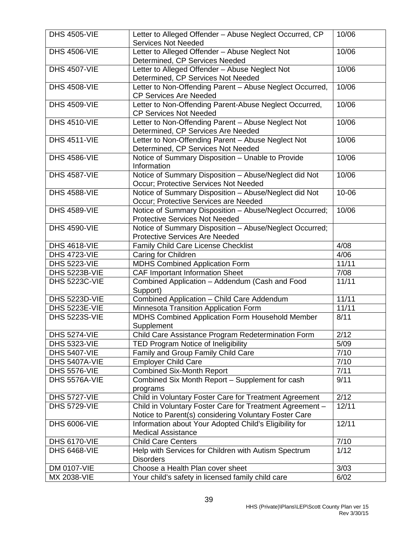| <b>DHS 4505-VIE</b>  | Letter to Alleged Offender - Abuse Neglect Occurred, CP<br><b>Services Not Needed</b> | 10/06 |
|----------------------|---------------------------------------------------------------------------------------|-------|
|                      |                                                                                       |       |
| <b>DHS 4506-VIE</b>  | Letter to Alleged Offender - Abuse Neglect Not<br>Determined, CP Services Needed      | 10/06 |
| <b>DHS 4507-VIE</b>  | Letter to Alleged Offender - Abuse Neglect Not                                        | 10/06 |
|                      | Determined, CP Services Not Needed                                                    |       |
| <b>DHS 4508-VIE</b>  | Letter to Non-Offending Parent - Abuse Neglect Occurred,                              | 10/06 |
|                      | <b>CP Services Are Needed</b>                                                         |       |
| <b>DHS 4509-VIE</b>  | Letter to Non-Offending Parent-Abuse Neglect Occurred,                                | 10/06 |
|                      | <b>CP Services Not Needed</b>                                                         |       |
| <b>DHS 4510-VIE</b>  | Letter to Non-Offending Parent - Abuse Neglect Not                                    | 10/06 |
|                      | Determined, CP Services Are Needed                                                    |       |
| <b>DHS 4511-VIE</b>  | Letter to Non-Offending Parent - Abuse Neglect Not                                    | 10/06 |
|                      | Determined, CP Services Not Needed                                                    |       |
| <b>DHS 4586-VIE</b>  | Notice of Summary Disposition - Unable to Provide                                     | 10/06 |
|                      | Information                                                                           |       |
| <b>DHS 4587-VIE</b>  | Notice of Summary Disposition - Abuse/Neglect did Not                                 | 10/06 |
|                      | Occur; Protective Services Not Needed                                                 |       |
| <b>DHS 4588-VIE</b>  | Notice of Summary Disposition - Abuse/Neglect did Not                                 | 10-06 |
|                      | Occur; Protective Services are Needed                                                 |       |
| <b>DHS 4589-VIE</b>  | Notice of Summary Disposition - Abuse/Neglect Occurred;                               | 10/06 |
|                      | <b>Protective Services Not Needed</b>                                                 |       |
| <b>DHS 4590-VIE</b>  | Notice of Summary Disposition - Abuse/Neglect Occurred;                               |       |
|                      | <b>Protective Services Are Needed</b>                                                 |       |
| <b>DHS 4618-VIE</b>  | Family Child Care License Checklist                                                   | 4/08  |
| <b>DHS 4723-VIE</b>  | Caring for Children                                                                   | 4/06  |
| <b>DHS 5223-VIE</b>  | MDHS Combined Application Form                                                        | 11/11 |
| <b>DHS 5223B-VIE</b> | <b>CAF Important Information Sheet</b>                                                | 7/08  |
| <b>DHS 5223C-VIE</b> | Combined Application - Addendum (Cash and Food                                        | 11/11 |
|                      | Support)                                                                              |       |
| DHS 5223D-VIE        | Combined Application - Child Care Addendum                                            | 11/11 |
| DHS 5223E-VIE        | Minnesota Transition Application Form                                                 | 11/11 |
| <b>DHS 5223S-VIE</b> | <b>MDHS Combined Application Form Household Member</b>                                | 8/11  |
|                      | Supplement                                                                            |       |
| <b>DHS 5274-VIE</b>  | Child Care Assistance Program Redetermination Form                                    | 2/12  |
| <b>DHS 5323-VIE</b>  | TED Program Notice of Ineligibility                                                   | 5/09  |
| <b>DHS 5407-VIE</b>  | Family and Group Family Child Care                                                    | 7/10  |
| DHS 5407A-VIE        | Employer Child Care                                                                   | 7/10  |
| <b>DHS 5576-VIE</b>  | <b>Combined Six-Month Report</b>                                                      | 7/11  |
| DHS 5576A-VIE        | Combined Six Month Report - Supplement for cash                                       | 9/11  |
|                      | programs                                                                              |       |
| <b>DHS 5727-VIE</b>  | Child in Voluntary Foster Care for Treatment Agreement                                | 2/12  |
| <b>DHS 5729-VIE</b>  | Child in Voluntary Foster Care for Treatment Agreement -                              | 12/11 |
|                      | Notice to Parent(s) considering Voluntary Foster Care                                 |       |
| <b>DHS 6006-VIE</b>  | Information about Your Adopted Child's Eligibility for                                | 12/11 |
|                      | <b>Medical Assistance</b>                                                             |       |
| <b>DHS 6170-VIE</b>  | <b>Child Care Centers</b>                                                             | 7/10  |
| <b>DHS 6468-VIE</b>  | Help with Services for Children with Autism Spectrum                                  | 1/12  |
|                      | <b>Disorders</b>                                                                      |       |
| DM 0107-VIE          | Choose a Health Plan cover sheet                                                      | 3/03  |
| MX 2038-VIE          | Your child's safety in licensed family child care                                     | 6/02  |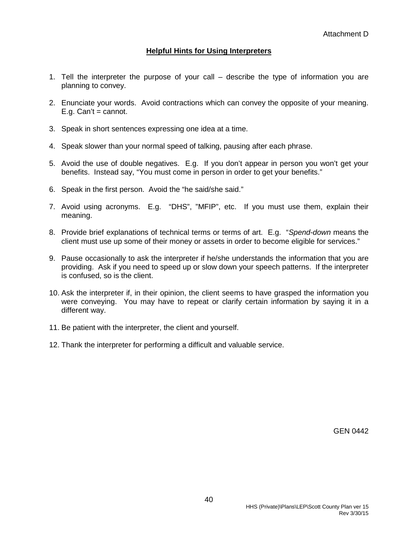#### **Helpful Hints for Using Interpreters**

- 1. Tell the interpreter the purpose of your call describe the type of information you are planning to convey.
- 2. Enunciate your words. Avoid contractions which can convey the opposite of your meaning.  $E.a. Can't = cannot.$
- 3. Speak in short sentences expressing one idea at a time.
- 4. Speak slower than your normal speed of talking, pausing after each phrase.
- 5. Avoid the use of double negatives. E.g. If you don't appear in person you won't get your benefits. Instead say, "You must come in person in order to get your benefits."
- 6. Speak in the first person. Avoid the "he said/she said."
- 7. Avoid using acronyms. E.g. "DHS", "MFIP", etc. If you must use them, explain their meaning.
- 8. Provide brief explanations of technical terms or terms of art. E.g. "*Spend-down* means the client must use up some of their money or assets in order to become eligible for services."
- 9. Pause occasionally to ask the interpreter if he/she understands the information that you are providing. Ask if you need to speed up or slow down your speech patterns. If the interpreter is confused, so is the client.
- 10. Ask the interpreter if, in their opinion, the client seems to have grasped the information you were conveying. You may have to repeat or clarify certain information by saying it in a different way.
- 11. Be patient with the interpreter, the client and yourself.
- 12. Thank the interpreter for performing a difficult and valuable service.

GEN 0442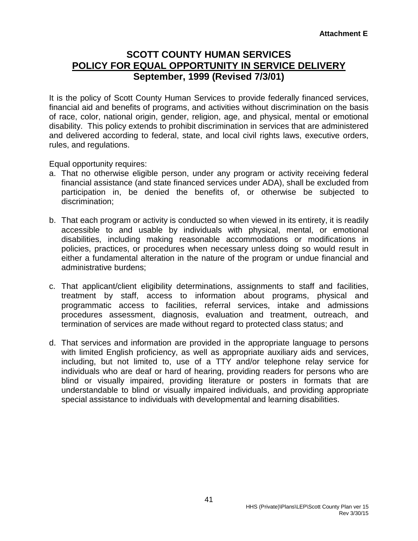## **SCOTT COUNTY HUMAN SERVICES POLICY FOR EQUAL OPPORTUNITY IN SERVICE DELIVERY September, 1999 (Revised 7/3/01)**

It is the policy of Scott County Human Services to provide federally financed services, financial aid and benefits of programs, and activities without discrimination on the basis of race, color, national origin, gender, religion, age, and physical, mental or emotional disability. This policy extends to prohibit discrimination in services that are administered and delivered according to federal, state, and local civil rights laws, executive orders, rules, and regulations.

Equal opportunity requires:

- a. That no otherwise eligible person, under any program or activity receiving federal financial assistance (and state financed services under ADA), shall be excluded from participation in, be denied the benefits of, or otherwise be subjected to discrimination;
- b. That each program or activity is conducted so when viewed in its entirety, it is readily accessible to and usable by individuals with physical, mental, or emotional disabilities, including making reasonable accommodations or modifications in policies, practices, or procedures when necessary unless doing so would result in either a fundamental alteration in the nature of the program or undue financial and administrative burdens;
- c. That applicant/client eligibility determinations, assignments to staff and facilities, treatment by staff, access to information about programs, physical and programmatic access to facilities, referral services, intake and admissions procedures assessment, diagnosis, evaluation and treatment, outreach, and termination of services are made without regard to protected class status; and
- d. That services and information are provided in the appropriate language to persons with limited English proficiency, as well as appropriate auxiliary aids and services, including, but not limited to, use of a TTY and/or telephone relay service for individuals who are deaf or hard of hearing, providing readers for persons who are blind or visually impaired, providing literature or posters in formats that are understandable to blind or visually impaired individuals, and providing appropriate special assistance to individuals with developmental and learning disabilities.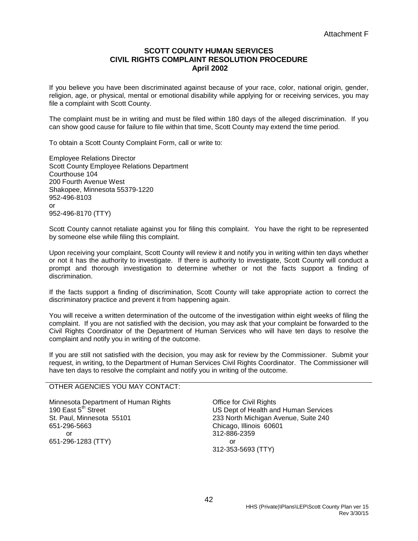#### **SCOTT COUNTY HUMAN SERVICES CIVIL RIGHTS COMPLAINT RESOLUTION PROCEDURE April 2002**

If you believe you have been discriminated against because of your race, color, national origin, gender, religion, age, or physical, mental or emotional disability while applying for or receiving services, you may file a complaint with Scott County.

The complaint must be in writing and must be filed within 180 days of the alleged discrimination. If you can show good cause for failure to file within that time, Scott County may extend the time period.

To obtain a Scott County Complaint Form, call or write to:

Employee Relations Director Scott County Employee Relations Department Courthouse 104 200 Fourth Avenue West Shakopee, Minnesota 55379-1220 952-496-8103 or 952-496-8170 (TTY)

Scott County cannot retaliate against you for filing this complaint. You have the right to be represented by someone else while filing this complaint.

Upon receiving your complaint, Scott County will review it and notify you in writing within ten days whether or not it has the authority to investigate. If there is authority to investigate, Scott County will conduct a prompt and thorough investigation to determine whether or not the facts support a finding of discrimination.

If the facts support a finding of discrimination, Scott County will take appropriate action to correct the discriminatory practice and prevent it from happening again.

You will receive a written determination of the outcome of the investigation within eight weeks of filing the complaint. If you are not satisfied with the decision, you may ask that your complaint be forwarded to the Civil Rights Coordinator of the Department of Human Services who will have ten days to resolve the complaint and notify you in writing of the outcome.

If you are still not satisfied with the decision, you may ask for review by the Commissioner. Submit your request, in writing, to the Department of Human Services Civil Rights Coordinator. The Commissioner will have ten days to resolve the complaint and notify you in writing of the outcome.

#### OTHER AGENCIES YOU MAY CONTACT:

Minnesota Department of Human Rights 190 East  $5<sup>th</sup>$  Street St. Paul, Minnesota 55101 651-296-5663 or 651-296-1283 (TTY)

Office for Civil Rights US Dept of Health and Human Services 233 North Michigan Avenue, Suite 240 Chicago, Illinois 60601 312-886-2359 or 312-353-5693 (TTY)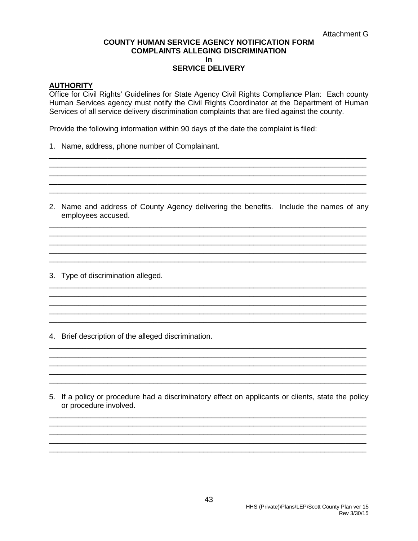#### **COUNTY HUMAN SERVICE AGENCY NOTIFICATION FORM COMPLAINTS ALLEGING DISCRIMINATION In SERVICE DELIVERY**

#### **AUTHORITY**

Office for Civil Rights' Guidelines for State Agency Civil Rights Compliance Plan: Each county Human Services agency must notify the Civil Rights Coordinator at the Department of Human Services of all service delivery discrimination complaints that are filed against the county.

Provide the following information within 90 days of the date the complaint is filed:

1. Name, address, phone number of Complainant.

2. Name and address of County Agency delivering the benefits. Include the names of any employees accused.

3. Type of discrimination alleged.

4. Brief description of the alleged discrimination.

5. If a policy or procedure had a discriminatory effect on applicants or clients, state the policy or procedure involved.

43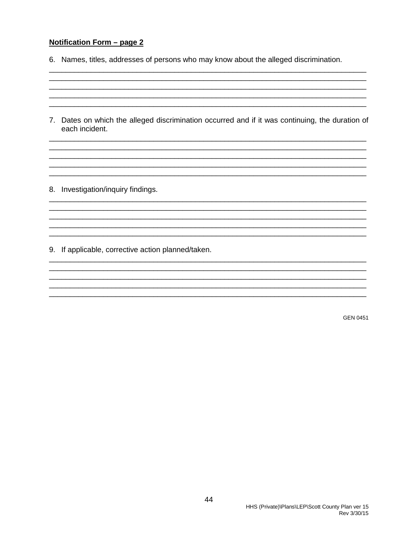#### <u>Notification Form - page 2</u>

- 6. Names, titles, addresses of persons who may know about the alleged discrimination.
- 7. Dates on which the alleged discrimination occurred and if it was continuing, the duration of each incident.

8. Investigation/inquiry findings.

9. If applicable, corrective action planned/taken.

**GEN 0451**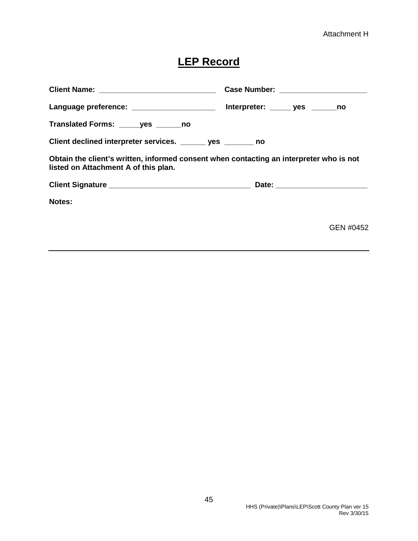## **LEP Record**

|                                                                                                                                 | Case Number: _______________________ |
|---------------------------------------------------------------------------------------------------------------------------------|--------------------------------------|
| Language preference: _______________________ Interpreter: ______ yes _______no                                                  |                                      |
| Translated Forms: ______ yes _______ no                                                                                         |                                      |
| Client declined interpreter services. _______ yes _______ no                                                                    |                                      |
| Obtain the client's written, informed consent when contacting an interpreter who is not<br>listed on Attachment A of this plan. |                                      |
|                                                                                                                                 |                                      |
| Notes:                                                                                                                          |                                      |
|                                                                                                                                 | GEN #0452                            |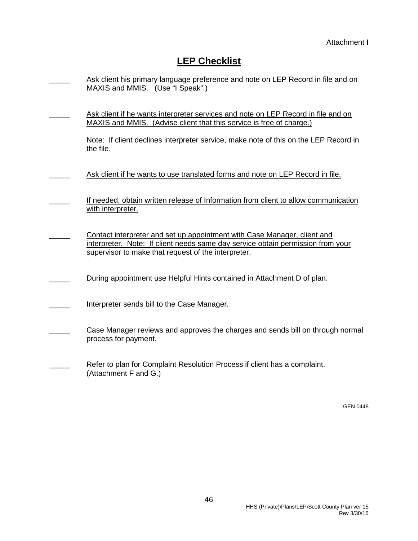## **LEP Checklist**

| Ask client his primary language preference and note on LEP Record in file and on<br>MAXIS and MMIS. (Use "I Speak".)                                                                                               |
|--------------------------------------------------------------------------------------------------------------------------------------------------------------------------------------------------------------------|
| Ask client if he wants interpreter services and note on LEP Record in file and on<br>MAXIS and MMIS. (Advise client that this service is free of charge.)                                                          |
| Note: If client declines interpreter service, make note of this on the LEP Record in<br>the file.                                                                                                                  |
| Ask client if he wants to use translated forms and note on LEP Record in file.                                                                                                                                     |
| If needed, obtain written release of Information from client to allow communication<br>with interpreter.                                                                                                           |
| Contact interpreter and set up appointment with Case Manager, client and<br>interpreter. Note: If client needs same day service obtain permission from your<br>supervisor to make that request of the interpreter. |
| During appointment use Helpful Hints contained in Attachment D of plan.                                                                                                                                            |
| Interpreter sends bill to the Case Manager.                                                                                                                                                                        |
| Case Manager reviews and approves the charges and sends bill on through normal<br>process for payment.                                                                                                             |
| Refer to plan for Complaint Resolution Process if client has a complaint.<br>(Attachment F and G.)                                                                                                                 |

GEN 0448